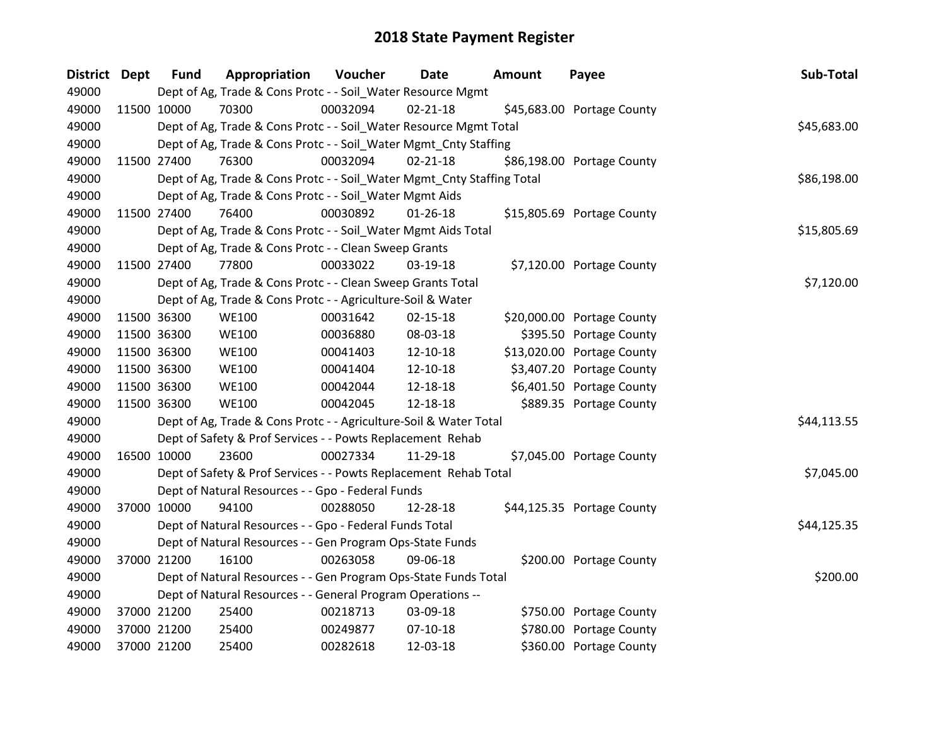| <b>District</b> | <b>Dept</b> | <b>Fund</b> | Appropriation                                                          | Voucher  | Date           | <b>Amount</b> | Payee                      | Sub-Total   |
|-----------------|-------------|-------------|------------------------------------------------------------------------|----------|----------------|---------------|----------------------------|-------------|
| 49000           |             |             | Dept of Ag, Trade & Cons Protc - - Soil_Water Resource Mgmt            |          |                |               |                            |             |
| 49000           | 11500 10000 |             | 70300                                                                  | 00032094 | $02 - 21 - 18$ |               | \$45,683.00 Portage County |             |
| 49000           |             |             | Dept of Ag, Trade & Cons Protc - - Soil_Water Resource Mgmt Total      |          |                |               |                            | \$45,683.00 |
| 49000           |             |             | Dept of Ag, Trade & Cons Protc - - Soil_Water Mgmt_Cnty Staffing       |          |                |               |                            |             |
| 49000           | 11500 27400 |             | 76300                                                                  | 00032094 | $02 - 21 - 18$ |               | \$86,198.00 Portage County |             |
| 49000           |             |             | Dept of Ag, Trade & Cons Protc - - Soil_Water Mgmt_Cnty Staffing Total |          |                |               |                            | \$86,198.00 |
| 49000           |             |             | Dept of Ag, Trade & Cons Protc - - Soil_Water Mgmt Aids                |          |                |               |                            |             |
| 49000           | 11500 27400 |             | 76400                                                                  | 00030892 | $01 - 26 - 18$ |               | \$15,805.69 Portage County |             |
| 49000           |             |             | Dept of Ag, Trade & Cons Protc - - Soil_Water Mgmt Aids Total          |          |                |               |                            | \$15,805.69 |
| 49000           |             |             | Dept of Ag, Trade & Cons Protc - - Clean Sweep Grants                  |          |                |               |                            |             |
| 49000           | 11500 27400 |             | 77800                                                                  | 00033022 | 03-19-18       |               | \$7,120.00 Portage County  |             |
| 49000           |             |             | Dept of Ag, Trade & Cons Protc - - Clean Sweep Grants Total            |          |                |               |                            | \$7,120.00  |
| 49000           |             |             | Dept of Ag, Trade & Cons Protc - - Agriculture-Soil & Water            |          |                |               |                            |             |
| 49000           | 11500 36300 |             | <b>WE100</b>                                                           | 00031642 | $02 - 15 - 18$ |               | \$20,000.00 Portage County |             |
| 49000           |             | 11500 36300 | <b>WE100</b>                                                           | 00036880 | 08-03-18       |               | \$395.50 Portage County    |             |
| 49000           | 11500 36300 |             | <b>WE100</b>                                                           | 00041403 | 12-10-18       |               | \$13,020.00 Portage County |             |
| 49000           |             | 11500 36300 | <b>WE100</b>                                                           | 00041404 | 12-10-18       |               | \$3,407.20 Portage County  |             |
| 49000           | 11500 36300 |             | <b>WE100</b>                                                           | 00042044 | 12-18-18       |               | \$6,401.50 Portage County  |             |
| 49000           | 11500 36300 |             | <b>WE100</b>                                                           | 00042045 | 12-18-18       |               | \$889.35 Portage County    |             |
| 49000           |             |             | Dept of Ag, Trade & Cons Protc - - Agriculture-Soil & Water Total      |          |                |               |                            | \$44,113.55 |
| 49000           |             |             | Dept of Safety & Prof Services - - Powts Replacement Rehab             |          |                |               |                            |             |
| 49000           | 16500 10000 |             | 23600                                                                  | 00027334 | 11-29-18       |               | \$7,045.00 Portage County  |             |
| 49000           |             |             | Dept of Safety & Prof Services - - Powts Replacement Rehab Total       |          |                |               |                            | \$7,045.00  |
| 49000           |             |             | Dept of Natural Resources - - Gpo - Federal Funds                      |          |                |               |                            |             |
| 49000           |             | 37000 10000 | 94100                                                                  | 00288050 | 12-28-18       |               | \$44,125.35 Portage County |             |
| 49000           |             |             | Dept of Natural Resources - - Gpo - Federal Funds Total                |          |                |               |                            | \$44,125.35 |
| 49000           |             |             | Dept of Natural Resources - - Gen Program Ops-State Funds              |          |                |               |                            |             |
| 49000           |             | 37000 21200 | 16100                                                                  | 00263058 | 09-06-18       |               | \$200.00 Portage County    |             |
| 49000           |             |             | Dept of Natural Resources - - Gen Program Ops-State Funds Total        |          |                |               |                            | \$200.00    |
| 49000           |             |             | Dept of Natural Resources - - General Program Operations --            |          |                |               |                            |             |
| 49000           | 37000 21200 |             | 25400                                                                  | 00218713 | 03-09-18       |               | \$750.00 Portage County    |             |
| 49000           |             | 37000 21200 | 25400                                                                  | 00249877 | $07-10-18$     |               | \$780.00 Portage County    |             |
| 49000           |             | 37000 21200 | 25400                                                                  | 00282618 | 12-03-18       |               | \$360.00 Portage County    |             |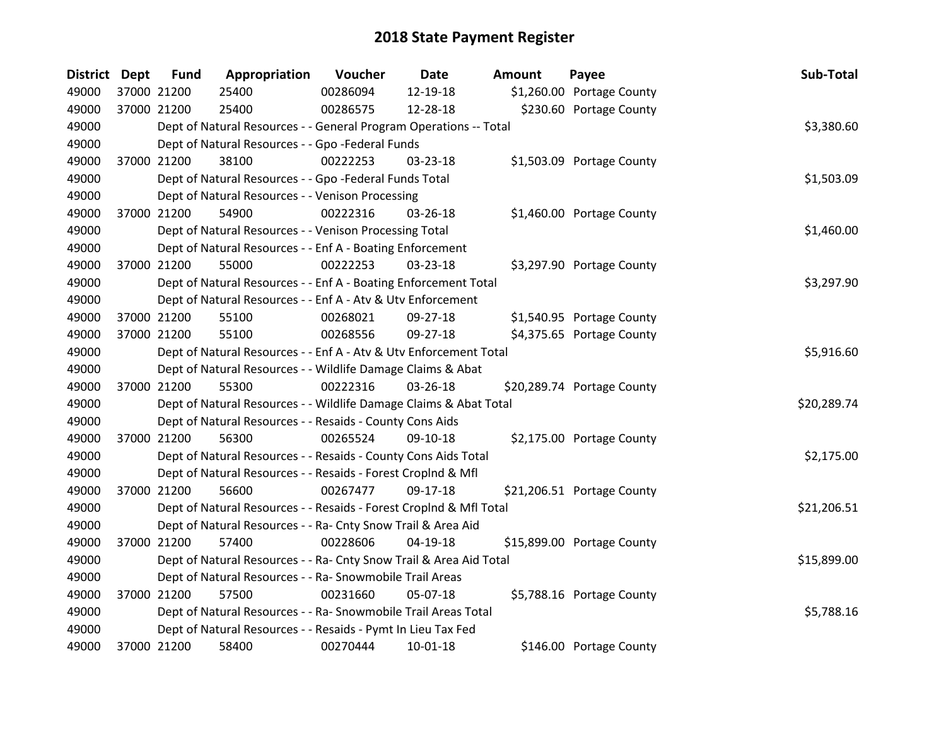| District Dept | <b>Fund</b> | Appropriation                                                      | Voucher  | Date       | <b>Amount</b> | Payee                      | Sub-Total   |
|---------------|-------------|--------------------------------------------------------------------|----------|------------|---------------|----------------------------|-------------|
| 49000         | 37000 21200 | 25400                                                              | 00286094 | 12-19-18   |               | \$1,260.00 Portage County  |             |
| 49000         | 37000 21200 | 25400                                                              | 00286575 | 12-28-18   |               | \$230.60 Portage County    |             |
| 49000         |             | Dept of Natural Resources - - General Program Operations -- Total  |          |            |               |                            | \$3,380.60  |
| 49000         |             | Dept of Natural Resources - - Gpo -Federal Funds                   |          |            |               |                            |             |
| 49000         | 37000 21200 | 38100                                                              | 00222253 | 03-23-18   |               | \$1,503.09 Portage County  |             |
| 49000         |             | Dept of Natural Resources - - Gpo -Federal Funds Total             |          |            |               |                            | \$1,503.09  |
| 49000         |             | Dept of Natural Resources - - Venison Processing                   |          |            |               |                            |             |
| 49000         | 37000 21200 | 54900                                                              | 00222316 | 03-26-18   |               | \$1,460.00 Portage County  |             |
| 49000         |             | Dept of Natural Resources - - Venison Processing Total             |          |            |               |                            | \$1,460.00  |
| 49000         |             | Dept of Natural Resources - - Enf A - Boating Enforcement          |          |            |               |                            |             |
| 49000         | 37000 21200 | 55000                                                              | 00222253 | 03-23-18   |               | \$3,297.90 Portage County  |             |
| 49000         |             | Dept of Natural Resources - - Enf A - Boating Enforcement Total    |          |            |               |                            | \$3,297.90  |
| 49000         |             | Dept of Natural Resources - - Enf A - Atv & Utv Enforcement        |          |            |               |                            |             |
| 49000         | 37000 21200 | 55100                                                              | 00268021 | 09-27-18   |               | \$1,540.95 Portage County  |             |
| 49000         | 37000 21200 | 55100                                                              | 00268556 | 09-27-18   |               | \$4,375.65 Portage County  |             |
| 49000         |             | Dept of Natural Resources - - Enf A - Atv & Utv Enforcement Total  |          |            |               |                            | \$5,916.60  |
| 49000         |             | Dept of Natural Resources - - Wildlife Damage Claims & Abat        |          |            |               |                            |             |
| 49000         | 37000 21200 | 55300                                                              | 00222316 | 03-26-18   |               | \$20,289.74 Portage County |             |
| 49000         |             | Dept of Natural Resources - - Wildlife Damage Claims & Abat Total  |          |            |               |                            | \$20,289.74 |
| 49000         |             | Dept of Natural Resources - - Resaids - County Cons Aids           |          |            |               |                            |             |
| 49000         | 37000 21200 | 56300                                                              | 00265524 | 09-10-18   |               | \$2,175.00 Portage County  |             |
| 49000         |             | Dept of Natural Resources - - Resaids - County Cons Aids Total     |          |            |               |                            | \$2,175.00  |
| 49000         |             | Dept of Natural Resources - - Resaids - Forest Croplnd & Mfl       |          |            |               |                            |             |
| 49000         | 37000 21200 | 56600                                                              | 00267477 | 09-17-18   |               | \$21,206.51 Portage County |             |
| 49000         |             | Dept of Natural Resources - - Resaids - Forest CropInd & Mfl Total |          |            |               |                            | \$21,206.51 |
| 49000         |             | Dept of Natural Resources - - Ra- Cnty Snow Trail & Area Aid       |          |            |               |                            |             |
| 49000         | 37000 21200 | 57400                                                              | 00228606 | $04-19-18$ |               | \$15,899.00 Portage County |             |
| 49000         |             | Dept of Natural Resources - - Ra- Cnty Snow Trail & Area Aid Total |          |            |               |                            | \$15,899.00 |
| 49000         |             | Dept of Natural Resources - - Ra- Snowmobile Trail Areas           |          |            |               |                            |             |
| 49000         | 37000 21200 | 57500                                                              | 00231660 | 05-07-18   |               | \$5,788.16 Portage County  |             |
| 49000         |             | Dept of Natural Resources - - Ra- Snowmobile Trail Areas Total     |          |            |               |                            | \$5,788.16  |
| 49000         |             | Dept of Natural Resources - - Resaids - Pymt In Lieu Tax Fed       |          |            |               |                            |             |
| 49000         | 37000 21200 | 58400                                                              | 00270444 | 10-01-18   |               | \$146.00 Portage County    |             |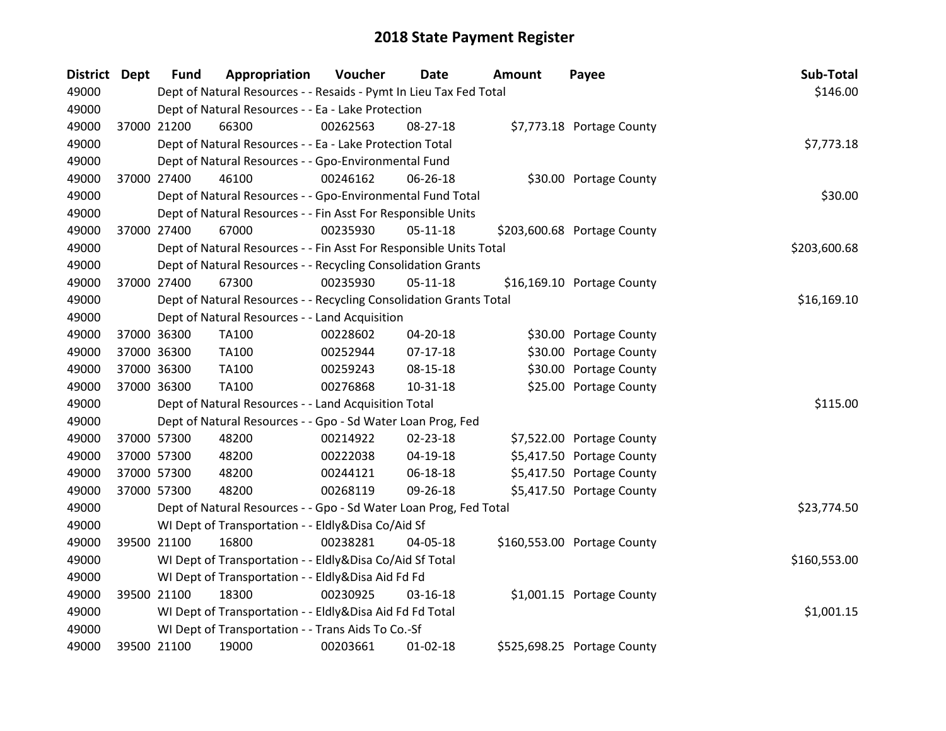| District Dept | <b>Fund</b> | Appropriation                                                      | Voucher  | <b>Date</b>    | Amount | Payee                       | Sub-Total    |
|---------------|-------------|--------------------------------------------------------------------|----------|----------------|--------|-----------------------------|--------------|
| 49000         |             | Dept of Natural Resources - - Resaids - Pymt In Lieu Tax Fed Total |          |                |        |                             | \$146.00     |
| 49000         |             | Dept of Natural Resources - - Ea - Lake Protection                 |          |                |        |                             |              |
| 49000         | 37000 21200 | 66300                                                              | 00262563 | 08-27-18       |        | \$7,773.18 Portage County   |              |
| 49000         |             | Dept of Natural Resources - - Ea - Lake Protection Total           |          |                |        |                             | \$7,773.18   |
| 49000         |             | Dept of Natural Resources - - Gpo-Environmental Fund               |          |                |        |                             |              |
| 49000         | 37000 27400 | 46100                                                              | 00246162 | 06-26-18       |        | \$30.00 Portage County      |              |
| 49000         |             | Dept of Natural Resources - - Gpo-Environmental Fund Total         |          |                |        |                             | \$30.00      |
| 49000         |             | Dept of Natural Resources - - Fin Asst For Responsible Units       |          |                |        |                             |              |
| 49000         | 37000 27400 | 67000                                                              | 00235930 | $05 - 11 - 18$ |        | \$203,600.68 Portage County |              |
| 49000         |             | Dept of Natural Resources - - Fin Asst For Responsible Units Total |          |                |        |                             | \$203,600.68 |
| 49000         |             | Dept of Natural Resources - - Recycling Consolidation Grants       |          |                |        |                             |              |
| 49000         | 37000 27400 | 67300                                                              | 00235930 | $05-11-18$     |        | \$16,169.10 Portage County  |              |
| 49000         |             | Dept of Natural Resources - - Recycling Consolidation Grants Total |          |                |        |                             | \$16,169.10  |
| 49000         |             | Dept of Natural Resources - - Land Acquisition                     |          |                |        |                             |              |
| 49000         | 37000 36300 | TA100                                                              | 00228602 | 04-20-18       |        | \$30.00 Portage County      |              |
| 49000         | 37000 36300 | <b>TA100</b>                                                       | 00252944 | $07-17-18$     |        | \$30.00 Portage County      |              |
| 49000         | 37000 36300 | TA100                                                              | 00259243 | 08-15-18       |        | \$30.00 Portage County      |              |
| 49000         | 37000 36300 | TA100                                                              | 00276868 | 10-31-18       |        | \$25.00 Portage County      |              |
| 49000         |             | Dept of Natural Resources - - Land Acquisition Total               |          |                |        |                             | \$115.00     |
| 49000         |             | Dept of Natural Resources - - Gpo - Sd Water Loan Prog, Fed        |          |                |        |                             |              |
| 49000         | 37000 57300 | 48200                                                              | 00214922 | 02-23-18       |        | \$7,522.00 Portage County   |              |
| 49000         | 37000 57300 | 48200                                                              | 00222038 | 04-19-18       |        | \$5,417.50 Portage County   |              |
| 49000         | 37000 57300 | 48200                                                              | 00244121 | 06-18-18       |        | \$5,417.50 Portage County   |              |
| 49000         | 37000 57300 | 48200                                                              | 00268119 | 09-26-18       |        | \$5,417.50 Portage County   |              |
| 49000         |             | Dept of Natural Resources - - Gpo - Sd Water Loan Prog, Fed Total  |          |                |        |                             | \$23,774.50  |
| 49000         |             | WI Dept of Transportation - - Eldly&Disa Co/Aid Sf                 |          |                |        |                             |              |
| 49000         | 39500 21100 | 16800                                                              | 00238281 | 04-05-18       |        | \$160,553.00 Portage County |              |
| 49000         |             | WI Dept of Transportation - - Eldly&Disa Co/Aid Sf Total           |          |                |        |                             | \$160,553.00 |
| 49000         |             | WI Dept of Transportation - - Eldly&Disa Aid Fd Fd                 |          |                |        |                             |              |
| 49000         | 39500 21100 | 18300                                                              | 00230925 | $03 - 16 - 18$ |        | \$1,001.15 Portage County   |              |
| 49000         |             | WI Dept of Transportation - - Eldly&Disa Aid Fd Fd Total           |          |                |        |                             | \$1,001.15   |
| 49000         |             | WI Dept of Transportation - - Trans Aids To Co.-Sf                 |          |                |        |                             |              |
| 49000         | 39500 21100 | 19000                                                              | 00203661 | $01-02-18$     |        | \$525,698.25 Portage County |              |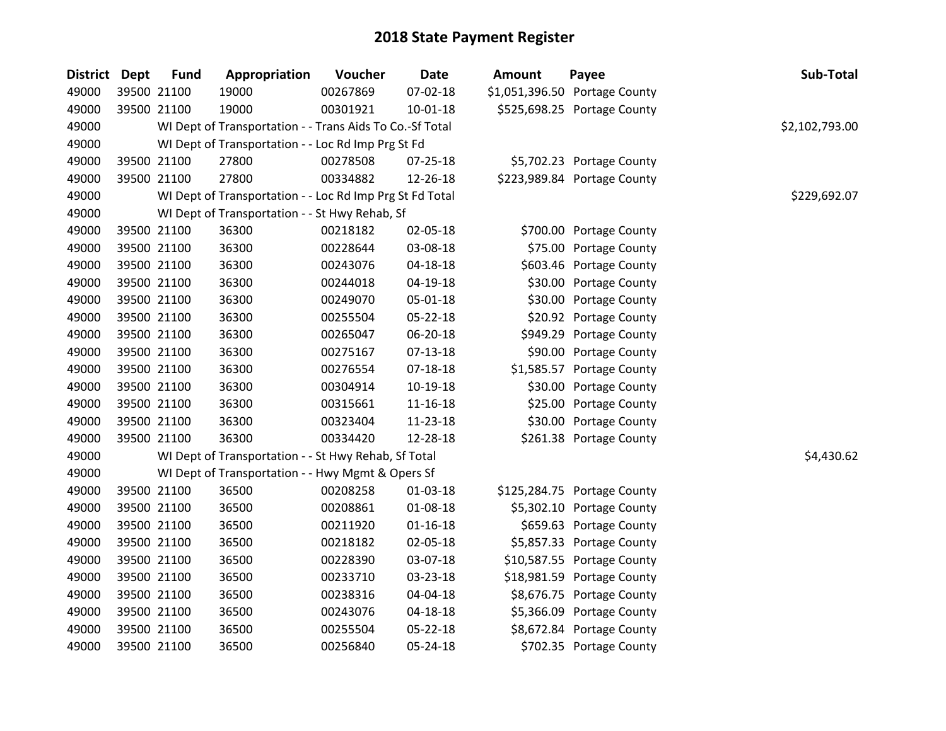| District Dept | <b>Fund</b> | Appropriation                                            | Voucher  | <b>Date</b>    | <b>Amount</b> | Payee                         | Sub-Total      |
|---------------|-------------|----------------------------------------------------------|----------|----------------|---------------|-------------------------------|----------------|
| 49000         | 39500 21100 | 19000                                                    | 00267869 | 07-02-18       |               | \$1,051,396.50 Portage County |                |
| 49000         | 39500 21100 | 19000                                                    | 00301921 | $10 - 01 - 18$ |               | \$525,698.25 Portage County   |                |
| 49000         |             | WI Dept of Transportation - - Trans Aids To Co.-Sf Total |          |                |               |                               | \$2,102,793.00 |
| 49000         |             | WI Dept of Transportation - - Loc Rd Imp Prg St Fd       |          |                |               |                               |                |
| 49000         | 39500 21100 | 27800                                                    | 00278508 | 07-25-18       |               | \$5,702.23 Portage County     |                |
| 49000         | 39500 21100 | 27800                                                    | 00334882 | 12-26-18       |               | \$223,989.84 Portage County   |                |
| 49000         |             | WI Dept of Transportation - - Loc Rd Imp Prg St Fd Total |          |                |               |                               | \$229,692.07   |
| 49000         |             | WI Dept of Transportation - - St Hwy Rehab, Sf           |          |                |               |                               |                |
| 49000         | 39500 21100 | 36300                                                    | 00218182 | 02-05-18       |               | \$700.00 Portage County       |                |
| 49000         | 39500 21100 | 36300                                                    | 00228644 | 03-08-18       |               | \$75.00 Portage County        |                |
| 49000         | 39500 21100 | 36300                                                    | 00243076 | 04-18-18       |               | \$603.46 Portage County       |                |
| 49000         | 39500 21100 | 36300                                                    | 00244018 | 04-19-18       |               | \$30.00 Portage County        |                |
| 49000         | 39500 21100 | 36300                                                    | 00249070 | 05-01-18       |               | \$30.00 Portage County        |                |
| 49000         | 39500 21100 | 36300                                                    | 00255504 | 05-22-18       |               | \$20.92 Portage County        |                |
| 49000         | 39500 21100 | 36300                                                    | 00265047 | 06-20-18       |               | \$949.29 Portage County       |                |
| 49000         | 39500 21100 | 36300                                                    | 00275167 | $07-13-18$     |               | \$90.00 Portage County        |                |
| 49000         | 39500 21100 | 36300                                                    | 00276554 | $07 - 18 - 18$ |               | \$1,585.57 Portage County     |                |
| 49000         | 39500 21100 | 36300                                                    | 00304914 | 10-19-18       |               | \$30.00 Portage County        |                |
| 49000         | 39500 21100 | 36300                                                    | 00315661 | $11 - 16 - 18$ |               | \$25.00 Portage County        |                |
| 49000         | 39500 21100 | 36300                                                    | 00323404 | 11-23-18       |               | \$30.00 Portage County        |                |
| 49000         | 39500 21100 | 36300                                                    | 00334420 | 12-28-18       |               | \$261.38 Portage County       |                |
| 49000         |             | WI Dept of Transportation - - St Hwy Rehab, Sf Total     |          |                |               |                               | \$4,430.62     |
| 49000         |             | WI Dept of Transportation - - Hwy Mgmt & Opers Sf        |          |                |               |                               |                |
| 49000         | 39500 21100 | 36500                                                    | 00208258 | $01-03-18$     |               | \$125,284.75 Portage County   |                |
| 49000         | 39500 21100 | 36500                                                    | 00208861 | 01-08-18       |               | \$5,302.10 Portage County     |                |
| 49000         | 39500 21100 | 36500                                                    | 00211920 | $01 - 16 - 18$ |               | \$659.63 Portage County       |                |
| 49000         | 39500 21100 | 36500                                                    | 00218182 | 02-05-18       |               | \$5,857.33 Portage County     |                |
| 49000         | 39500 21100 | 36500                                                    | 00228390 | 03-07-18       |               | \$10,587.55 Portage County    |                |
| 49000         | 39500 21100 | 36500                                                    | 00233710 | 03-23-18       |               | \$18,981.59 Portage County    |                |
| 49000         | 39500 21100 | 36500                                                    | 00238316 | 04-04-18       |               | \$8,676.75 Portage County     |                |
| 49000         | 39500 21100 | 36500                                                    | 00243076 | 04-18-18       |               | \$5,366.09 Portage County     |                |
| 49000         | 39500 21100 | 36500                                                    | 00255504 | 05-22-18       |               | \$8,672.84 Portage County     |                |
| 49000         | 39500 21100 | 36500                                                    | 00256840 | 05-24-18       |               | \$702.35 Portage County       |                |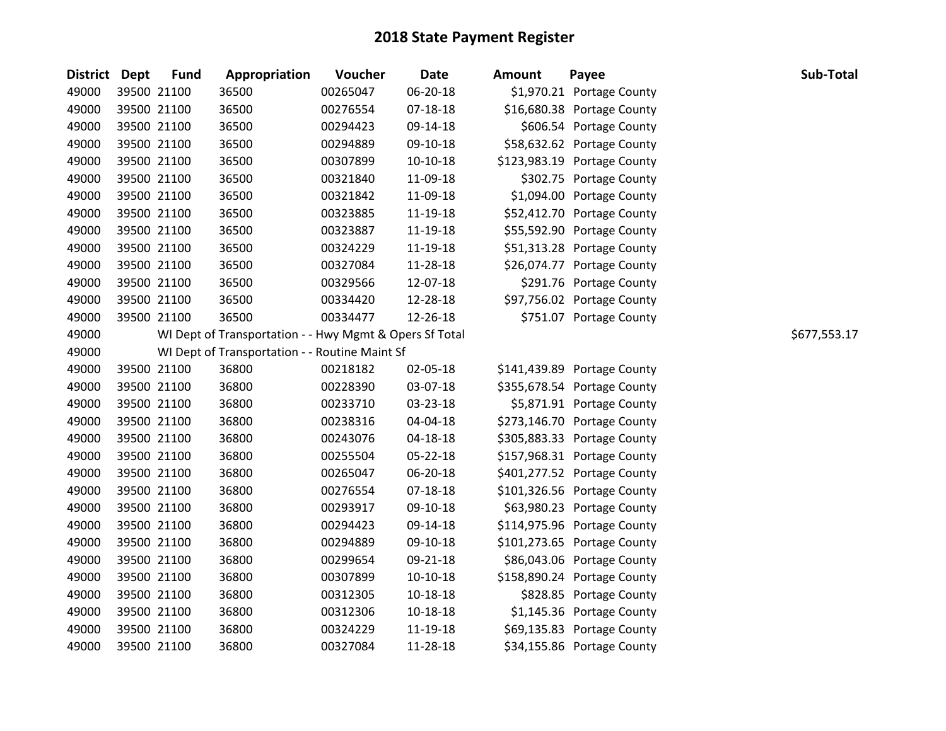| District Dept | <b>Fund</b> | Appropriation                                           | Voucher  | <b>Date</b>    | <b>Amount</b> | Payee                       | Sub-Total    |
|---------------|-------------|---------------------------------------------------------|----------|----------------|---------------|-----------------------------|--------------|
| 49000         | 39500 21100 | 36500                                                   | 00265047 | 06-20-18       |               | \$1,970.21 Portage County   |              |
| 49000         | 39500 21100 | 36500                                                   | 00276554 | 07-18-18       |               | \$16,680.38 Portage County  |              |
| 49000         | 39500 21100 | 36500                                                   | 00294423 | 09-14-18       |               | \$606.54 Portage County     |              |
| 49000         | 39500 21100 | 36500                                                   | 00294889 | 09-10-18       |               | \$58,632.62 Portage County  |              |
| 49000         | 39500 21100 | 36500                                                   | 00307899 | $10-10-18$     |               | \$123,983.19 Portage County |              |
| 49000         | 39500 21100 | 36500                                                   | 00321840 | 11-09-18       |               | \$302.75 Portage County     |              |
| 49000         | 39500 21100 | 36500                                                   | 00321842 | 11-09-18       |               | \$1,094.00 Portage County   |              |
| 49000         | 39500 21100 | 36500                                                   | 00323885 | 11-19-18       |               | \$52,412.70 Portage County  |              |
| 49000         | 39500 21100 | 36500                                                   | 00323887 | 11-19-18       |               | \$55,592.90 Portage County  |              |
| 49000         | 39500 21100 | 36500                                                   | 00324229 | 11-19-18       |               | \$51,313.28 Portage County  |              |
| 49000         | 39500 21100 | 36500                                                   | 00327084 | 11-28-18       |               | \$26,074.77 Portage County  |              |
| 49000         | 39500 21100 | 36500                                                   | 00329566 | 12-07-18       |               | \$291.76 Portage County     |              |
| 49000         | 39500 21100 | 36500                                                   | 00334420 | 12-28-18       |               | \$97,756.02 Portage County  |              |
| 49000         | 39500 21100 | 36500                                                   | 00334477 | 12-26-18       |               | \$751.07 Portage County     |              |
| 49000         |             | WI Dept of Transportation - - Hwy Mgmt & Opers Sf Total |          |                |               |                             | \$677,553.17 |
| 49000         |             | WI Dept of Transportation - - Routine Maint Sf          |          |                |               |                             |              |
| 49000         | 39500 21100 | 36800                                                   | 00218182 | 02-05-18       |               | \$141,439.89 Portage County |              |
| 49000         | 39500 21100 | 36800                                                   | 00228390 | 03-07-18       |               | \$355,678.54 Portage County |              |
| 49000         | 39500 21100 | 36800                                                   | 00233710 | 03-23-18       |               | \$5,871.91 Portage County   |              |
| 49000         | 39500 21100 | 36800                                                   | 00238316 | 04-04-18       |               | \$273,146.70 Portage County |              |
| 49000         | 39500 21100 | 36800                                                   | 00243076 | 04-18-18       |               | \$305,883.33 Portage County |              |
| 49000         | 39500 21100 | 36800                                                   | 00255504 | 05-22-18       |               | \$157,968.31 Portage County |              |
| 49000         | 39500 21100 | 36800                                                   | 00265047 | 06-20-18       |               | \$401,277.52 Portage County |              |
| 49000         | 39500 21100 | 36800                                                   | 00276554 | $07 - 18 - 18$ |               | \$101,326.56 Portage County |              |
| 49000         | 39500 21100 | 36800                                                   | 00293917 | 09-10-18       |               | \$63,980.23 Portage County  |              |
| 49000         | 39500 21100 | 36800                                                   | 00294423 | 09-14-18       |               | \$114,975.96 Portage County |              |
| 49000         | 39500 21100 | 36800                                                   | 00294889 | 09-10-18       |               | \$101,273.65 Portage County |              |
| 49000         | 39500 21100 | 36800                                                   | 00299654 | 09-21-18       |               | \$86,043.06 Portage County  |              |
| 49000         | 39500 21100 | 36800                                                   | 00307899 | $10-10-18$     |               | \$158,890.24 Portage County |              |
| 49000         | 39500 21100 | 36800                                                   | 00312305 | $10 - 18 - 18$ |               | \$828.85 Portage County     |              |
| 49000         | 39500 21100 | 36800                                                   | 00312306 | 10-18-18       |               | \$1,145.36 Portage County   |              |
| 49000         | 39500 21100 | 36800                                                   | 00324229 | 11-19-18       |               | \$69,135.83 Portage County  |              |
| 49000         | 39500 21100 | 36800                                                   | 00327084 | 11-28-18       |               | \$34,155.86 Portage County  |              |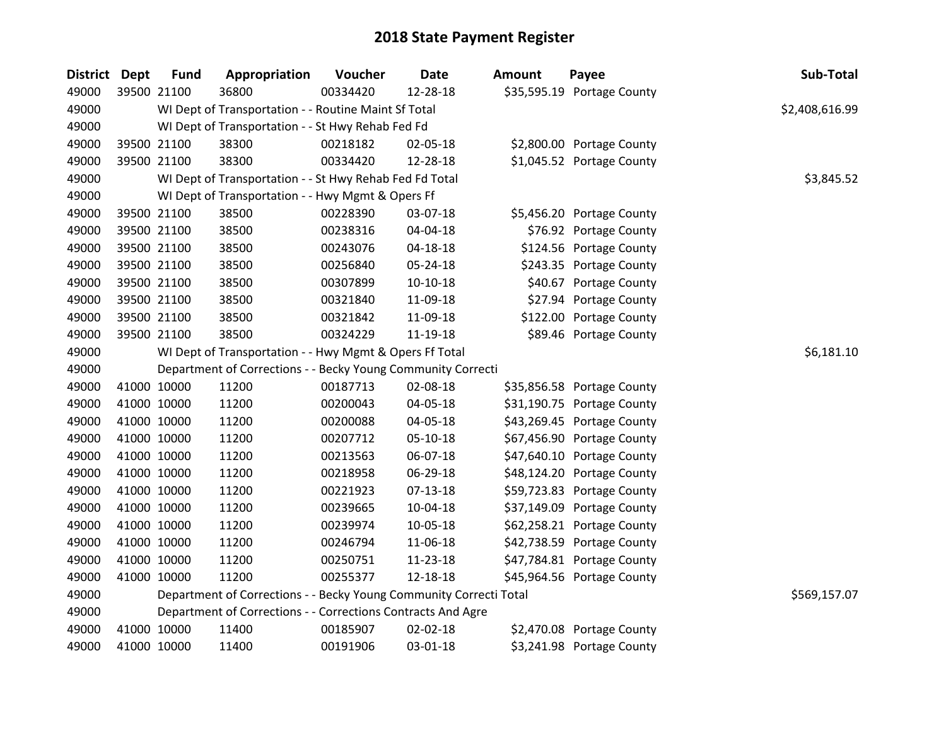| <b>District</b> | <b>Dept</b> | <b>Fund</b> | Appropriation                                                      | Voucher  | <b>Date</b>    | Amount | Payee                      | Sub-Total      |
|-----------------|-------------|-------------|--------------------------------------------------------------------|----------|----------------|--------|----------------------------|----------------|
| 49000           |             | 39500 21100 | 36800                                                              | 00334420 | 12-28-18       |        | \$35,595.19 Portage County |                |
| 49000           |             |             | WI Dept of Transportation - - Routine Maint Sf Total               |          |                |        |                            | \$2,408,616.99 |
| 49000           |             |             | WI Dept of Transportation - - St Hwy Rehab Fed Fd                  |          |                |        |                            |                |
| 49000           |             | 39500 21100 | 38300                                                              | 00218182 | 02-05-18       |        | \$2,800.00 Portage County  |                |
| 49000           |             | 39500 21100 | 38300                                                              | 00334420 | 12-28-18       |        | \$1,045.52 Portage County  |                |
| 49000           |             |             | WI Dept of Transportation - - St Hwy Rehab Fed Fd Total            |          |                |        |                            | \$3,845.52     |
| 49000           |             |             | WI Dept of Transportation - - Hwy Mgmt & Opers Ff                  |          |                |        |                            |                |
| 49000           |             | 39500 21100 | 38500                                                              | 00228390 | 03-07-18       |        | \$5,456.20 Portage County  |                |
| 49000           |             | 39500 21100 | 38500                                                              | 00238316 | 04-04-18       |        | \$76.92 Portage County     |                |
| 49000           |             | 39500 21100 | 38500                                                              | 00243076 | $04 - 18 - 18$ |        | \$124.56 Portage County    |                |
| 49000           |             | 39500 21100 | 38500                                                              | 00256840 | 05-24-18       |        | \$243.35 Portage County    |                |
| 49000           |             | 39500 21100 | 38500                                                              | 00307899 | $10-10-18$     |        | \$40.67 Portage County     |                |
| 49000           |             | 39500 21100 | 38500                                                              | 00321840 | 11-09-18       |        | \$27.94 Portage County     |                |
| 49000           |             | 39500 21100 | 38500                                                              | 00321842 | 11-09-18       |        | \$122.00 Portage County    |                |
| 49000           |             | 39500 21100 | 38500                                                              | 00324229 | 11-19-18       |        | \$89.46 Portage County     |                |
| 49000           |             |             | WI Dept of Transportation - - Hwy Mgmt & Opers Ff Total            |          |                |        |                            | \$6,181.10     |
| 49000           |             |             | Department of Corrections - - Becky Young Community Correcti       |          |                |        |                            |                |
| 49000           |             | 41000 10000 | 11200                                                              | 00187713 | 02-08-18       |        | \$35,856.58 Portage County |                |
| 49000           |             | 41000 10000 | 11200                                                              | 00200043 | 04-05-18       |        | \$31,190.75 Portage County |                |
| 49000           |             | 41000 10000 | 11200                                                              | 00200088 | 04-05-18       |        | \$43,269.45 Portage County |                |
| 49000           |             | 41000 10000 | 11200                                                              | 00207712 | $05-10-18$     |        | \$67,456.90 Portage County |                |
| 49000           |             | 41000 10000 | 11200                                                              | 00213563 | 06-07-18       |        | \$47,640.10 Portage County |                |
| 49000           |             | 41000 10000 | 11200                                                              | 00218958 | 06-29-18       |        | \$48,124.20 Portage County |                |
| 49000           |             | 41000 10000 | 11200                                                              | 00221923 | 07-13-18       |        | \$59,723.83 Portage County |                |
| 49000           |             | 41000 10000 | 11200                                                              | 00239665 | 10-04-18       |        | \$37,149.09 Portage County |                |
| 49000           |             | 41000 10000 | 11200                                                              | 00239974 | 10-05-18       |        | \$62,258.21 Portage County |                |
| 49000           |             | 41000 10000 | 11200                                                              | 00246794 | 11-06-18       |        | \$42,738.59 Portage County |                |
| 49000           |             | 41000 10000 | 11200                                                              | 00250751 | 11-23-18       |        | \$47,784.81 Portage County |                |
| 49000           |             | 41000 10000 | 11200                                                              | 00255377 | 12-18-18       |        | \$45,964.56 Portage County |                |
| 49000           |             |             | Department of Corrections - - Becky Young Community Correcti Total |          |                |        |                            | \$569,157.07   |
| 49000           |             |             | Department of Corrections - - Corrections Contracts And Agre       |          |                |        |                            |                |
| 49000           |             | 41000 10000 | 11400                                                              | 00185907 | 02-02-18       |        | \$2,470.08 Portage County  |                |
| 49000           |             | 41000 10000 | 11400                                                              | 00191906 | 03-01-18       |        | \$3,241.98 Portage County  |                |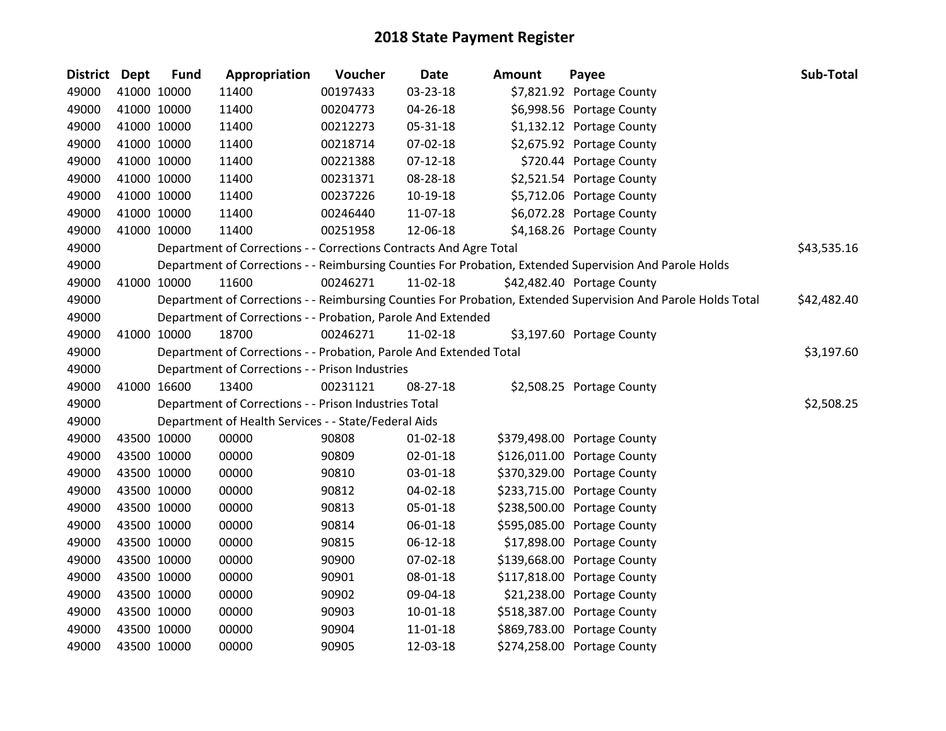| <b>District Dept</b> |             | <b>Fund</b> | Appropriation                                                      | Voucher  | <b>Date</b>    | <b>Amount</b> | Payee                                                                                                         | Sub-Total   |
|----------------------|-------------|-------------|--------------------------------------------------------------------|----------|----------------|---------------|---------------------------------------------------------------------------------------------------------------|-------------|
| 49000                |             | 41000 10000 | 11400                                                              | 00197433 | 03-23-18       |               | \$7,821.92 Portage County                                                                                     |             |
| 49000                |             | 41000 10000 | 11400                                                              | 00204773 | 04-26-18       |               | \$6,998.56 Portage County                                                                                     |             |
| 49000                |             | 41000 10000 | 11400                                                              | 00212273 | 05-31-18       |               | \$1,132.12 Portage County                                                                                     |             |
| 49000                |             | 41000 10000 | 11400                                                              | 00218714 | 07-02-18       |               | \$2,675.92 Portage County                                                                                     |             |
| 49000                |             | 41000 10000 | 11400                                                              | 00221388 | $07 - 12 - 18$ |               | \$720.44 Portage County                                                                                       |             |
| 49000                |             | 41000 10000 | 11400                                                              | 00231371 | 08-28-18       |               | \$2,521.54 Portage County                                                                                     |             |
| 49000                |             | 41000 10000 | 11400                                                              | 00237226 | 10-19-18       |               | \$5,712.06 Portage County                                                                                     |             |
| 49000                |             | 41000 10000 | 11400                                                              | 00246440 | 11-07-18       |               | \$6,072.28 Portage County                                                                                     |             |
| 49000                |             | 41000 10000 | 11400                                                              | 00251958 | 12-06-18       |               | \$4,168.26 Portage County                                                                                     |             |
| 49000                |             |             | Department of Corrections - - Corrections Contracts And Agre Total |          |                |               |                                                                                                               | \$43,535.16 |
| 49000                |             |             |                                                                    |          |                |               | Department of Corrections - - Reimbursing Counties For Probation, Extended Supervision And Parole Holds       |             |
| 49000                |             | 41000 10000 | 11600                                                              | 00246271 | $11-02-18$     |               | \$42,482.40 Portage County                                                                                    |             |
| 49000                |             |             |                                                                    |          |                |               | Department of Corrections - - Reimbursing Counties For Probation, Extended Supervision And Parole Holds Total | \$42,482.40 |
| 49000                |             |             | Department of Corrections - - Probation, Parole And Extended       |          |                |               |                                                                                                               |             |
| 49000                |             | 41000 10000 | 18700                                                              | 00246271 | 11-02-18       |               | \$3,197.60 Portage County                                                                                     |             |
| 49000                |             |             | Department of Corrections - - Probation, Parole And Extended Total |          |                |               |                                                                                                               | \$3,197.60  |
| 49000                |             |             | Department of Corrections - - Prison Industries                    |          |                |               |                                                                                                               |             |
| 49000                |             | 41000 16600 | 13400                                                              | 00231121 | 08-27-18       |               | \$2,508.25 Portage County                                                                                     |             |
| 49000                |             |             | Department of Corrections - - Prison Industries Total              |          |                |               |                                                                                                               | \$2,508.25  |
| 49000                |             |             | Department of Health Services - - State/Federal Aids               |          |                |               |                                                                                                               |             |
| 49000                |             | 43500 10000 | 00000                                                              | 90808    | $01 - 02 - 18$ |               | \$379,498.00 Portage County                                                                                   |             |
| 49000                |             | 43500 10000 | 00000                                                              | 90809    | $02 - 01 - 18$ |               | \$126,011.00 Portage County                                                                                   |             |
| 49000                |             | 43500 10000 | 00000                                                              | 90810    | 03-01-18       |               | \$370,329.00 Portage County                                                                                   |             |
| 49000                |             | 43500 10000 | 00000                                                              | 90812    | 04-02-18       |               | \$233,715.00 Portage County                                                                                   |             |
| 49000                |             | 43500 10000 | 00000                                                              | 90813    | 05-01-18       |               | \$238,500.00 Portage County                                                                                   |             |
| 49000                |             | 43500 10000 | 00000                                                              | 90814    | 06-01-18       |               | \$595,085.00 Portage County                                                                                   |             |
| 49000                |             | 43500 10000 | 00000                                                              | 90815    | 06-12-18       |               | \$17,898.00 Portage County                                                                                    |             |
| 49000                |             | 43500 10000 | 00000                                                              | 90900    | 07-02-18       |               | \$139,668.00 Portage County                                                                                   |             |
| 49000                |             | 43500 10000 | 00000                                                              | 90901    | 08-01-18       |               | \$117,818.00 Portage County                                                                                   |             |
| 49000                |             | 43500 10000 | 00000                                                              | 90902    | 09-04-18       |               | \$21,238.00 Portage County                                                                                    |             |
| 49000                |             | 43500 10000 | 00000                                                              | 90903    | $10 - 01 - 18$ |               | \$518,387.00 Portage County                                                                                   |             |
| 49000                |             | 43500 10000 | 00000                                                              | 90904    | 11-01-18       |               | \$869,783.00 Portage County                                                                                   |             |
| 49000                | 43500 10000 |             | 00000                                                              | 90905    | 12-03-18       |               | \$274,258.00 Portage County                                                                                   |             |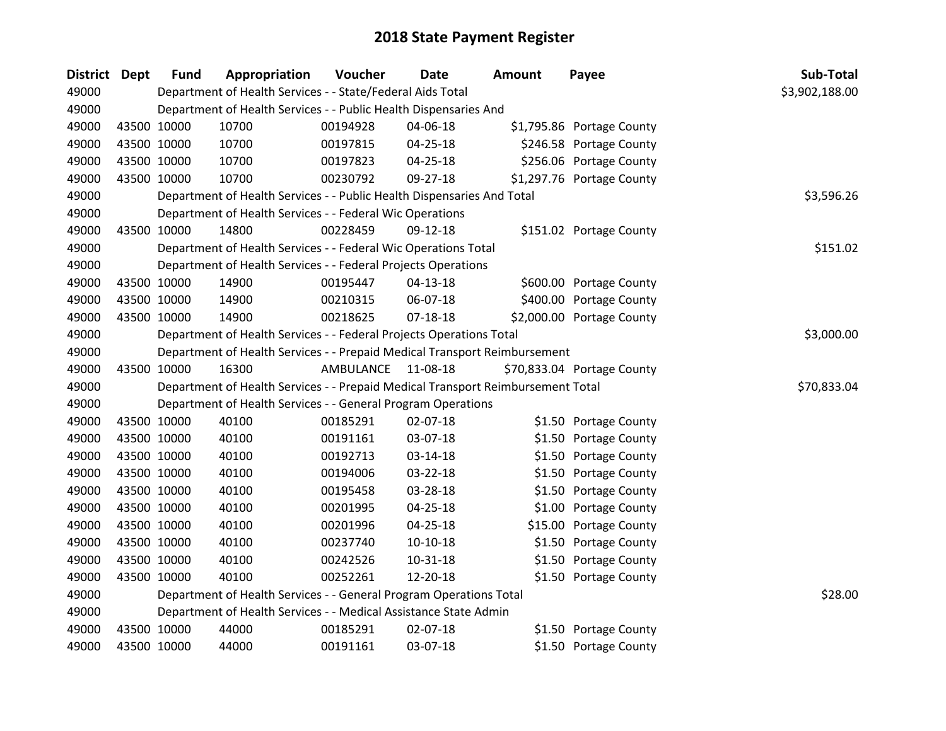| <b>District Dept</b> |             | <b>Fund</b> | Appropriation                                                                   | Voucher   | <b>Date</b>    | Amount | Payee                      | Sub-Total      |
|----------------------|-------------|-------------|---------------------------------------------------------------------------------|-----------|----------------|--------|----------------------------|----------------|
| 49000                |             |             | Department of Health Services - - State/Federal Aids Total                      |           |                |        |                            | \$3,902,188.00 |
| 49000                |             |             | Department of Health Services - - Public Health Dispensaries And                |           |                |        |                            |                |
| 49000                | 43500 10000 |             | 10700                                                                           | 00194928  | 04-06-18       |        | \$1,795.86 Portage County  |                |
| 49000                |             | 43500 10000 | 10700                                                                           | 00197815  | 04-25-18       |        | \$246.58 Portage County    |                |
| 49000                |             | 43500 10000 | 10700                                                                           | 00197823  | 04-25-18       |        | \$256.06 Portage County    |                |
| 49000                |             | 43500 10000 | 10700                                                                           | 00230792  | 09-27-18       |        | \$1,297.76 Portage County  |                |
| 49000                |             |             | Department of Health Services - - Public Health Dispensaries And Total          |           |                |        |                            | \$3,596.26     |
| 49000                |             |             | Department of Health Services - - Federal Wic Operations                        |           |                |        |                            |                |
| 49000                |             | 43500 10000 | 14800                                                                           | 00228459  | 09-12-18       |        | \$151.02 Portage County    |                |
| 49000                |             |             | Department of Health Services - - Federal Wic Operations Total                  |           |                |        |                            | \$151.02       |
| 49000                |             |             | Department of Health Services - - Federal Projects Operations                   |           |                |        |                            |                |
| 49000                |             | 43500 10000 | 14900                                                                           | 00195447  | 04-13-18       |        | \$600.00 Portage County    |                |
| 49000                |             | 43500 10000 | 14900                                                                           | 00210315  | 06-07-18       |        | \$400.00 Portage County    |                |
| 49000                |             | 43500 10000 | 14900                                                                           | 00218625  | $07-18-18$     |        | \$2,000.00 Portage County  |                |
| 49000                |             |             | Department of Health Services - - Federal Projects Operations Total             |           |                |        |                            | \$3,000.00     |
| 49000                |             |             | Department of Health Services - - Prepaid Medical Transport Reimbursement       |           |                |        |                            |                |
| 49000                |             | 43500 10000 | 16300                                                                           | AMBULANCE | 11-08-18       |        | \$70,833.04 Portage County |                |
| 49000                |             |             | Department of Health Services - - Prepaid Medical Transport Reimbursement Total |           |                |        |                            | \$70,833.04    |
| 49000                |             |             | Department of Health Services - - General Program Operations                    |           |                |        |                            |                |
| 49000                |             | 43500 10000 | 40100                                                                           | 00185291  | 02-07-18       |        | \$1.50 Portage County      |                |
| 49000                |             | 43500 10000 | 40100                                                                           | 00191161  | 03-07-18       |        | \$1.50 Portage County      |                |
| 49000                |             | 43500 10000 | 40100                                                                           | 00192713  | 03-14-18       |        | \$1.50 Portage County      |                |
| 49000                |             | 43500 10000 | 40100                                                                           | 00194006  | 03-22-18       |        | \$1.50 Portage County      |                |
| 49000                |             | 43500 10000 | 40100                                                                           | 00195458  | 03-28-18       |        | \$1.50 Portage County      |                |
| 49000                |             | 43500 10000 | 40100                                                                           | 00201995  | $04 - 25 - 18$ |        | \$1.00 Portage County      |                |
| 49000                |             | 43500 10000 | 40100                                                                           | 00201996  | 04-25-18       |        | \$15.00 Portage County     |                |
| 49000                |             | 43500 10000 | 40100                                                                           | 00237740  | $10-10-18$     |        | \$1.50 Portage County      |                |
| 49000                |             | 43500 10000 | 40100                                                                           | 00242526  | 10-31-18       |        | \$1.50 Portage County      |                |
| 49000                |             | 43500 10000 | 40100                                                                           | 00252261  | 12-20-18       |        | \$1.50 Portage County      |                |
| 49000                |             |             | Department of Health Services - - General Program Operations Total              |           |                |        |                            | \$28.00        |
| 49000                |             |             | Department of Health Services - - Medical Assistance State Admin                |           |                |        |                            |                |
| 49000                |             | 43500 10000 | 44000                                                                           | 00185291  | 02-07-18       |        | \$1.50 Portage County      |                |
| 49000                | 43500 10000 |             | 44000                                                                           | 00191161  | 03-07-18       |        | \$1.50 Portage County      |                |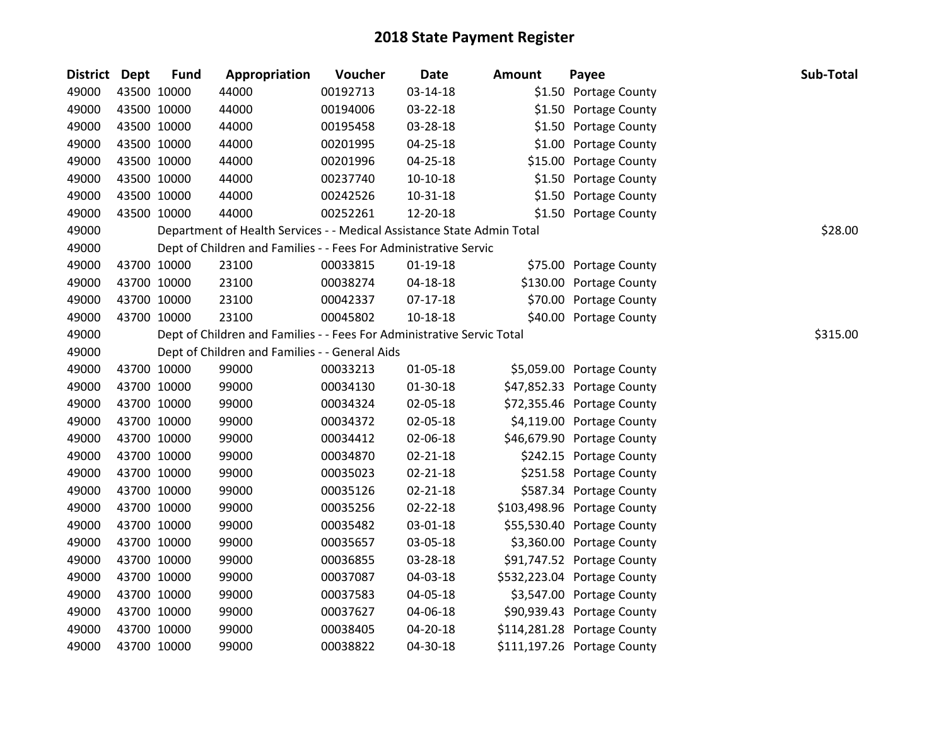| District Dept |             | <b>Fund</b> | Appropriation                                                          | Voucher  | <b>Date</b>    | <b>Amount</b> | Payee                       | Sub-Total |
|---------------|-------------|-------------|------------------------------------------------------------------------|----------|----------------|---------------|-----------------------------|-----------|
| 49000         | 43500 10000 |             | 44000                                                                  | 00192713 | 03-14-18       |               | \$1.50 Portage County       |           |
| 49000         | 43500 10000 |             | 44000                                                                  | 00194006 | 03-22-18       |               | \$1.50 Portage County       |           |
| 49000         | 43500 10000 |             | 44000                                                                  | 00195458 | 03-28-18       |               | \$1.50 Portage County       |           |
| 49000         | 43500 10000 |             | 44000                                                                  | 00201995 | $04 - 25 - 18$ |               | \$1.00 Portage County       |           |
| 49000         | 43500 10000 |             | 44000                                                                  | 00201996 | 04-25-18       |               | \$15.00 Portage County      |           |
| 49000         | 43500 10000 |             | 44000                                                                  | 00237740 | $10-10-18$     |               | \$1.50 Portage County       |           |
| 49000         | 43500 10000 |             | 44000                                                                  | 00242526 | $10 - 31 - 18$ |               | \$1.50 Portage County       |           |
| 49000         | 43500 10000 |             | 44000                                                                  | 00252261 | 12-20-18       |               | \$1.50 Portage County       |           |
| 49000         |             |             | Department of Health Services - - Medical Assistance State Admin Total |          |                |               |                             | \$28.00   |
| 49000         |             |             | Dept of Children and Families - - Fees For Administrative Servic       |          |                |               |                             |           |
| 49000         | 43700 10000 |             | 23100                                                                  | 00033815 | $01-19-18$     |               | \$75.00 Portage County      |           |
| 49000         | 43700 10000 |             | 23100                                                                  | 00038274 | 04-18-18       |               | \$130.00 Portage County     |           |
| 49000         | 43700 10000 |             | 23100                                                                  | 00042337 | $07-17-18$     |               | \$70.00 Portage County      |           |
| 49000         | 43700 10000 |             | 23100                                                                  | 00045802 | $10 - 18 - 18$ |               | \$40.00 Portage County      |           |
| 49000         |             |             | Dept of Children and Families - - Fees For Administrative Servic Total |          |                |               |                             | \$315.00  |
| 49000         |             |             | Dept of Children and Families - - General Aids                         |          |                |               |                             |           |
| 49000         | 43700 10000 |             | 99000                                                                  | 00033213 | 01-05-18       |               | \$5,059.00 Portage County   |           |
| 49000         | 43700 10000 |             | 99000                                                                  | 00034130 | $01-30-18$     |               | \$47,852.33 Portage County  |           |
| 49000         | 43700 10000 |             | 99000                                                                  | 00034324 | 02-05-18       |               | \$72,355.46 Portage County  |           |
| 49000         | 43700 10000 |             | 99000                                                                  | 00034372 | 02-05-18       |               | \$4,119.00 Portage County   |           |
| 49000         | 43700 10000 |             | 99000                                                                  | 00034412 | 02-06-18       |               | \$46,679.90 Portage County  |           |
| 49000         | 43700 10000 |             | 99000                                                                  | 00034870 | $02 - 21 - 18$ |               | \$242.15 Portage County     |           |
| 49000         | 43700 10000 |             | 99000                                                                  | 00035023 | $02 - 21 - 18$ |               | \$251.58 Portage County     |           |
| 49000         | 43700 10000 |             | 99000                                                                  | 00035126 | $02 - 21 - 18$ |               | \$587.34 Portage County     |           |
| 49000         | 43700 10000 |             | 99000                                                                  | 00035256 | $02 - 22 - 18$ |               | \$103,498.96 Portage County |           |
| 49000         | 43700 10000 |             | 99000                                                                  | 00035482 | 03-01-18       |               | \$55,530.40 Portage County  |           |
| 49000         | 43700 10000 |             | 99000                                                                  | 00035657 | 03-05-18       |               | \$3,360.00 Portage County   |           |
| 49000         | 43700 10000 |             | 99000                                                                  | 00036855 | 03-28-18       |               | \$91,747.52 Portage County  |           |
| 49000         | 43700 10000 |             | 99000                                                                  | 00037087 | 04-03-18       |               | \$532,223.04 Portage County |           |
| 49000         | 43700 10000 |             | 99000                                                                  | 00037583 | 04-05-18       |               | \$3,547.00 Portage County   |           |
| 49000         | 43700 10000 |             | 99000                                                                  | 00037627 | 04-06-18       |               | \$90,939.43 Portage County  |           |
| 49000         | 43700 10000 |             | 99000                                                                  | 00038405 | 04-20-18       |               | \$114,281.28 Portage County |           |
| 49000         | 43700 10000 |             | 99000                                                                  | 00038822 | 04-30-18       |               | \$111,197.26 Portage County |           |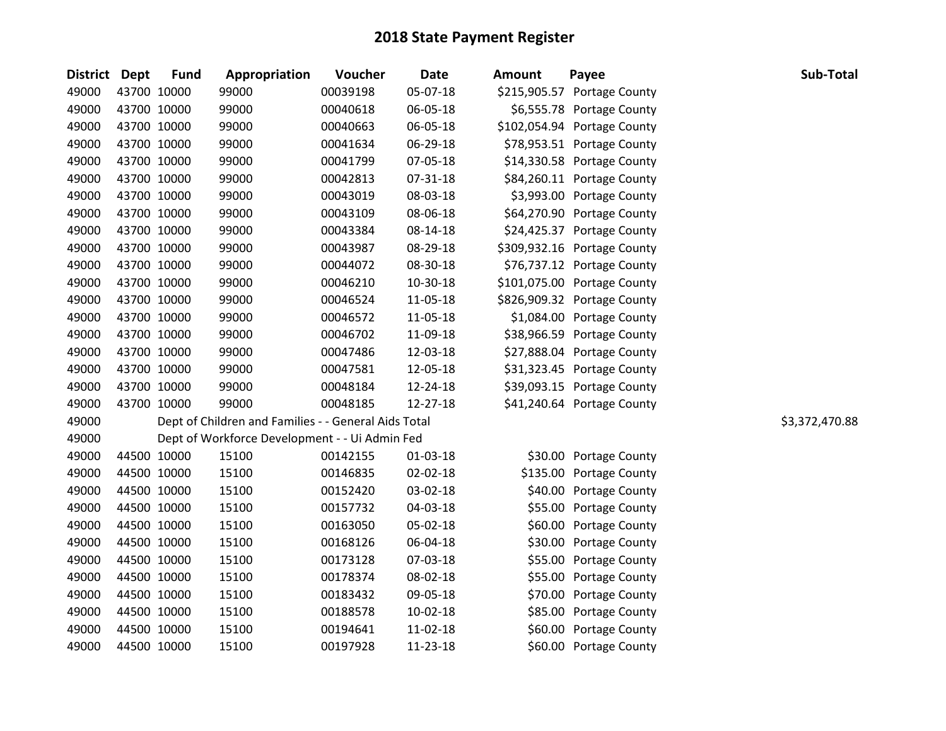| <b>District</b> | Dept        | <b>Fund</b> | Appropriation                                        | Voucher  | <b>Date</b> | <b>Amount</b> | Payee                       | Sub-Total      |
|-----------------|-------------|-------------|------------------------------------------------------|----------|-------------|---------------|-----------------------------|----------------|
| 49000           | 43700 10000 |             | 99000                                                | 00039198 | 05-07-18    |               | \$215,905.57 Portage County |                |
| 49000           |             | 43700 10000 | 99000                                                | 00040618 | 06-05-18    |               | \$6,555.78 Portage County   |                |
| 49000           |             | 43700 10000 | 99000                                                | 00040663 | 06-05-18    |               | \$102,054.94 Portage County |                |
| 49000           | 43700 10000 |             | 99000                                                | 00041634 | 06-29-18    |               | \$78,953.51 Portage County  |                |
| 49000           | 43700 10000 |             | 99000                                                | 00041799 | 07-05-18    |               | \$14,330.58 Portage County  |                |
| 49000           |             | 43700 10000 | 99000                                                | 00042813 | 07-31-18    |               | \$84,260.11 Portage County  |                |
| 49000           |             | 43700 10000 | 99000                                                | 00043019 | 08-03-18    |               | \$3,993.00 Portage County   |                |
| 49000           |             | 43700 10000 | 99000                                                | 00043109 | 08-06-18    |               | \$64,270.90 Portage County  |                |
| 49000           |             | 43700 10000 | 99000                                                | 00043384 | 08-14-18    |               | \$24,425.37 Portage County  |                |
| 49000           | 43700 10000 |             | 99000                                                | 00043987 | 08-29-18    |               | \$309,932.16 Portage County |                |
| 49000           |             | 43700 10000 | 99000                                                | 00044072 | 08-30-18    |               | \$76,737.12 Portage County  |                |
| 49000           |             | 43700 10000 | 99000                                                | 00046210 | 10-30-18    |               | \$101,075.00 Portage County |                |
| 49000           |             | 43700 10000 | 99000                                                | 00046524 | 11-05-18    |               | \$826,909.32 Portage County |                |
| 49000           | 43700 10000 |             | 99000                                                | 00046572 | 11-05-18    |               | \$1,084.00 Portage County   |                |
| 49000           | 43700 10000 |             | 99000                                                | 00046702 | 11-09-18    |               | \$38,966.59 Portage County  |                |
| 49000           | 43700 10000 |             | 99000                                                | 00047486 | 12-03-18    |               | \$27,888.04 Portage County  |                |
| 49000           |             | 43700 10000 | 99000                                                | 00047581 | 12-05-18    |               | \$31,323.45 Portage County  |                |
| 49000           |             | 43700 10000 | 99000                                                | 00048184 | 12-24-18    |               | \$39,093.15 Portage County  |                |
| 49000           |             | 43700 10000 | 99000                                                | 00048185 | 12-27-18    |               | \$41,240.64 Portage County  |                |
| 49000           |             |             | Dept of Children and Families - - General Aids Total |          |             |               |                             | \$3,372,470.88 |
| 49000           |             |             | Dept of Workforce Development - - Ui Admin Fed       |          |             |               |                             |                |
| 49000           | 44500 10000 |             | 15100                                                | 00142155 | 01-03-18    |               | \$30.00 Portage County      |                |
| 49000           |             | 44500 10000 | 15100                                                | 00146835 | 02-02-18    |               | \$135.00 Portage County     |                |
| 49000           | 44500 10000 |             | 15100                                                | 00152420 | 03-02-18    |               | \$40.00 Portage County      |                |
| 49000           | 44500 10000 |             | 15100                                                | 00157732 | 04-03-18    |               | \$55.00 Portage County      |                |
| 49000           | 44500 10000 |             | 15100                                                | 00163050 | 05-02-18    |               | \$60.00 Portage County      |                |
| 49000           |             | 44500 10000 | 15100                                                | 00168126 | 06-04-18    | \$30.00       | Portage County              |                |
| 49000           |             | 44500 10000 | 15100                                                | 00173128 | 07-03-18    | \$55.00       | Portage County              |                |
| 49000           | 44500 10000 |             | 15100                                                | 00178374 | 08-02-18    | \$55.00       | Portage County              |                |
| 49000           |             | 44500 10000 | 15100                                                | 00183432 | 09-05-18    |               | \$70.00 Portage County      |                |
| 49000           | 44500 10000 |             | 15100                                                | 00188578 | 10-02-18    |               | \$85.00 Portage County      |                |
| 49000           |             | 44500 10000 | 15100                                                | 00194641 | 11-02-18    | \$60.00       | Portage County              |                |
| 49000           |             | 44500 10000 | 15100                                                | 00197928 | 11-23-18    |               | \$60.00 Portage County      |                |
|                 |             |             |                                                      |          |             |               |                             |                |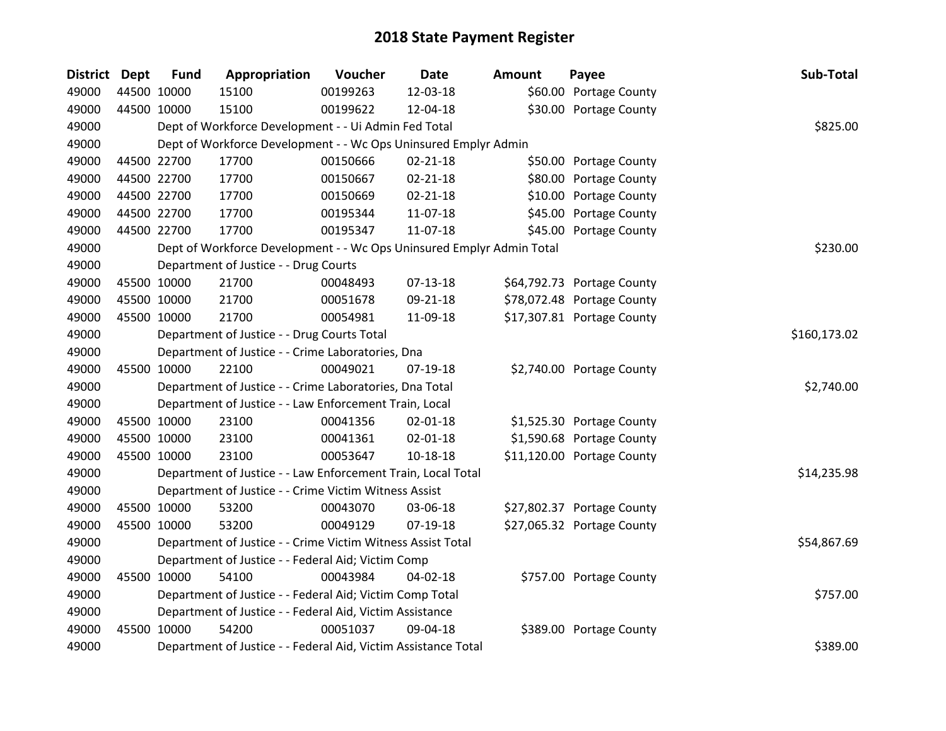| District Dept | <b>Fund</b> | Appropriation                                                         | Voucher  | Date           | <b>Amount</b> | Payee                      | Sub-Total    |
|---------------|-------------|-----------------------------------------------------------------------|----------|----------------|---------------|----------------------------|--------------|
| 49000         | 44500 10000 | 15100                                                                 | 00199263 | 12-03-18       |               | \$60.00 Portage County     |              |
| 49000         | 44500 10000 | 15100                                                                 | 00199622 | 12-04-18       |               | \$30.00 Portage County     |              |
| 49000         |             | Dept of Workforce Development - - Ui Admin Fed Total                  |          |                |               |                            | \$825.00     |
| 49000         |             | Dept of Workforce Development - - Wc Ops Uninsured Emplyr Admin       |          |                |               |                            |              |
| 49000         | 44500 22700 | 17700                                                                 | 00150666 | $02 - 21 - 18$ |               | \$50.00 Portage County     |              |
| 49000         | 44500 22700 | 17700                                                                 | 00150667 | $02 - 21 - 18$ |               | \$80.00 Portage County     |              |
| 49000         | 44500 22700 | 17700                                                                 | 00150669 | $02 - 21 - 18$ |               | \$10.00 Portage County     |              |
| 49000         | 44500 22700 | 17700                                                                 | 00195344 | 11-07-18       |               | \$45.00 Portage County     |              |
| 49000         | 44500 22700 | 17700                                                                 | 00195347 | 11-07-18       |               | \$45.00 Portage County     |              |
| 49000         |             | Dept of Workforce Development - - Wc Ops Uninsured Emplyr Admin Total |          |                |               |                            | \$230.00     |
| 49000         |             | Department of Justice - - Drug Courts                                 |          |                |               |                            |              |
| 49000         | 45500 10000 | 21700                                                                 | 00048493 | $07 - 13 - 18$ |               | \$64,792.73 Portage County |              |
| 49000         | 45500 10000 | 21700                                                                 | 00051678 | 09-21-18       |               | \$78,072.48 Portage County |              |
| 49000         | 45500 10000 | 21700                                                                 | 00054981 | 11-09-18       |               | \$17,307.81 Portage County |              |
| 49000         |             | Department of Justice - - Drug Courts Total                           |          |                |               |                            | \$160,173.02 |
| 49000         |             | Department of Justice - - Crime Laboratories, Dna                     |          |                |               |                            |              |
| 49000         | 45500 10000 | 22100                                                                 | 00049021 | $07-19-18$     |               | \$2,740.00 Portage County  |              |
| 49000         |             | Department of Justice - - Crime Laboratories, Dna Total               |          |                |               |                            | \$2,740.00   |
| 49000         |             | Department of Justice - - Law Enforcement Train, Local                |          |                |               |                            |              |
| 49000         | 45500 10000 | 23100                                                                 | 00041356 | $02 - 01 - 18$ |               | \$1,525.30 Portage County  |              |
| 49000         | 45500 10000 | 23100                                                                 | 00041361 | $02 - 01 - 18$ |               | \$1,590.68 Portage County  |              |
| 49000         | 45500 10000 | 23100                                                                 | 00053647 | 10-18-18       |               | \$11,120.00 Portage County |              |
| 49000         |             | Department of Justice - - Law Enforcement Train, Local Total          |          |                |               |                            | \$14,235.98  |
| 49000         |             | Department of Justice - - Crime Victim Witness Assist                 |          |                |               |                            |              |
| 49000         | 45500 10000 | 53200                                                                 | 00043070 | 03-06-18       |               | \$27,802.37 Portage County |              |
| 49000         | 45500 10000 | 53200                                                                 | 00049129 | 07-19-18       |               | \$27,065.32 Portage County |              |
| 49000         |             | Department of Justice - - Crime Victim Witness Assist Total           |          |                |               |                            | \$54,867.69  |
| 49000         |             | Department of Justice - - Federal Aid; Victim Comp                    |          |                |               |                            |              |
| 49000         | 45500 10000 | 54100                                                                 | 00043984 | 04-02-18       |               | \$757.00 Portage County    |              |
| 49000         |             | Department of Justice - - Federal Aid; Victim Comp Total              |          |                |               |                            | \$757.00     |
| 49000         |             | Department of Justice - - Federal Aid, Victim Assistance              |          |                |               |                            |              |
| 49000         | 45500 10000 | 54200                                                                 | 00051037 | 09-04-18       |               | \$389.00 Portage County    |              |
| 49000         |             | Department of Justice - - Federal Aid, Victim Assistance Total        |          |                |               |                            | \$389.00     |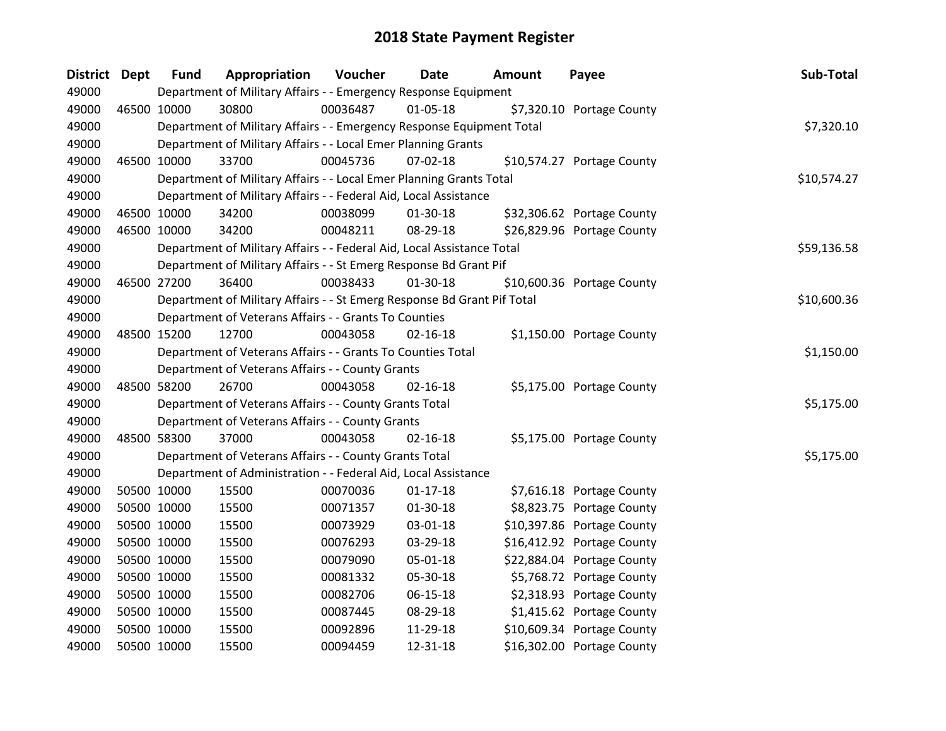| <b>District</b> | <b>Dept</b> | <b>Fund</b> | Appropriation                                                           | <b>Voucher</b> | Date           | Amount | Payee                      | Sub-Total   |
|-----------------|-------------|-------------|-------------------------------------------------------------------------|----------------|----------------|--------|----------------------------|-------------|
| 49000           |             |             | Department of Military Affairs - - Emergency Response Equipment         |                |                |        |                            |             |
| 49000           | 46500 10000 |             | 30800                                                                   | 00036487       | 01-05-18       |        | \$7,320.10 Portage County  |             |
| 49000           |             |             | Department of Military Affairs - - Emergency Response Equipment Total   |                |                |        |                            | \$7,320.10  |
| 49000           |             |             | Department of Military Affairs - - Local Emer Planning Grants           |                |                |        |                            |             |
| 49000           |             | 46500 10000 | 33700                                                                   | 00045736       | 07-02-18       |        | \$10,574.27 Portage County |             |
| 49000           |             |             | Department of Military Affairs - - Local Emer Planning Grants Total     |                |                |        |                            | \$10,574.27 |
| 49000           |             |             | Department of Military Affairs - - Federal Aid, Local Assistance        |                |                |        |                            |             |
| 49000           |             | 46500 10000 | 34200                                                                   | 00038099       | 01-30-18       |        | \$32,306.62 Portage County |             |
| 49000           |             | 46500 10000 | 34200                                                                   | 00048211       | 08-29-18       |        | \$26,829.96 Portage County |             |
| 49000           |             |             | Department of Military Affairs - - Federal Aid, Local Assistance Total  |                |                |        |                            | \$59,136.58 |
| 49000           |             |             | Department of Military Affairs - - St Emerg Response Bd Grant Pif       |                |                |        |                            |             |
| 49000           |             | 46500 27200 | 36400                                                                   | 00038433       | 01-30-18       |        | \$10,600.36 Portage County |             |
| 49000           |             |             | Department of Military Affairs - - St Emerg Response Bd Grant Pif Total |                |                |        |                            | \$10,600.36 |
| 49000           |             |             | Department of Veterans Affairs - - Grants To Counties                   |                |                |        |                            |             |
| 49000           |             | 48500 15200 | 12700                                                                   | 00043058       | $02 - 16 - 18$ |        | \$1,150.00 Portage County  |             |
| 49000           |             |             | Department of Veterans Affairs - - Grants To Counties Total             |                |                |        |                            | \$1,150.00  |
| 49000           |             |             | Department of Veterans Affairs - - County Grants                        |                |                |        |                            |             |
| 49000           |             | 48500 58200 | 26700                                                                   | 00043058       | $02 - 16 - 18$ |        | \$5,175.00 Portage County  |             |
| 49000           |             |             | Department of Veterans Affairs - - County Grants Total                  |                |                |        |                            | \$5,175.00  |
| 49000           |             |             | Department of Veterans Affairs - - County Grants                        |                |                |        |                            |             |
| 49000           |             | 48500 58300 | 37000                                                                   | 00043058       | $02 - 16 - 18$ |        | \$5,175.00 Portage County  |             |
| 49000           |             |             | Department of Veterans Affairs - - County Grants Total                  |                |                |        |                            | \$5,175.00  |
| 49000           |             |             | Department of Administration - - Federal Aid, Local Assistance          |                |                |        |                            |             |
| 49000           |             | 50500 10000 | 15500                                                                   | 00070036       | $01-17-18$     |        | \$7,616.18 Portage County  |             |
| 49000           |             | 50500 10000 | 15500                                                                   | 00071357       | 01-30-18       |        | \$8,823.75 Portage County  |             |
| 49000           |             | 50500 10000 | 15500                                                                   | 00073929       | 03-01-18       |        | \$10,397.86 Portage County |             |
| 49000           |             | 50500 10000 | 15500                                                                   | 00076293       | 03-29-18       |        | \$16,412.92 Portage County |             |
| 49000           |             | 50500 10000 | 15500                                                                   | 00079090       | 05-01-18       |        | \$22,884.04 Portage County |             |
| 49000           |             | 50500 10000 | 15500                                                                   | 00081332       | 05-30-18       |        | \$5,768.72 Portage County  |             |
| 49000           |             | 50500 10000 | 15500                                                                   | 00082706       | 06-15-18       |        | \$2,318.93 Portage County  |             |
| 49000           |             | 50500 10000 | 15500                                                                   | 00087445       | 08-29-18       |        | \$1,415.62 Portage County  |             |
| 49000           |             | 50500 10000 | 15500                                                                   | 00092896       | 11-29-18       |        | \$10,609.34 Portage County |             |
| 49000           | 50500 10000 |             | 15500                                                                   | 00094459       | 12-31-18       |        | \$16,302.00 Portage County |             |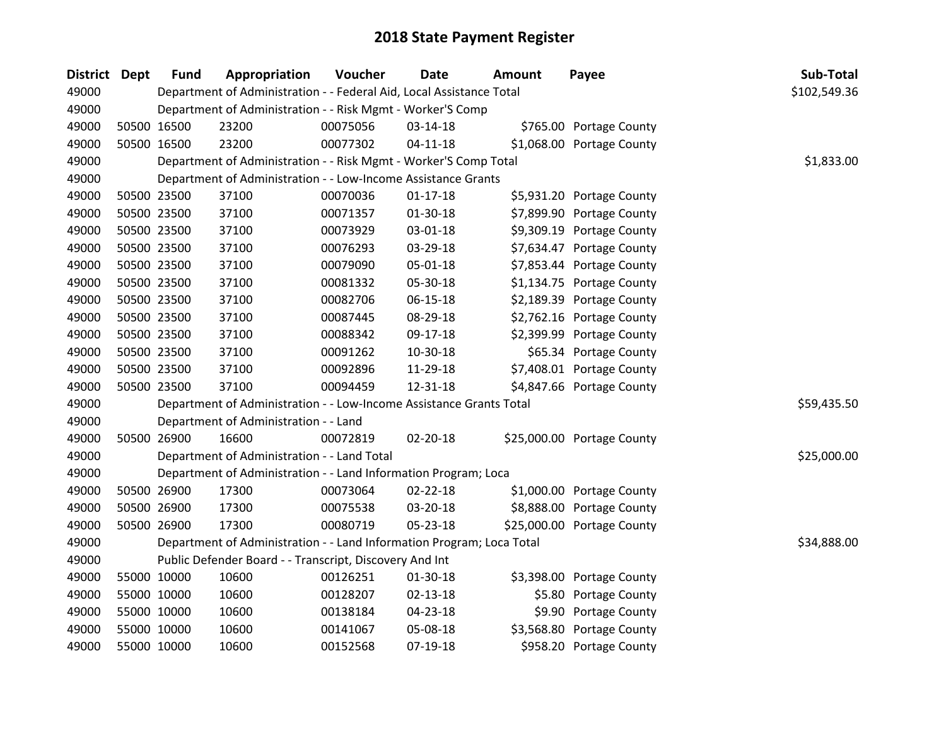| <b>District</b> | <b>Dept</b> | <b>Fund</b> | Appropriation                                                         | Voucher  | <b>Date</b>    | Amount | Payee                      | Sub-Total    |
|-----------------|-------------|-------------|-----------------------------------------------------------------------|----------|----------------|--------|----------------------------|--------------|
| 49000           |             |             | Department of Administration - - Federal Aid, Local Assistance Total  |          |                |        |                            | \$102,549.36 |
| 49000           |             |             | Department of Administration - - Risk Mgmt - Worker'S Comp            |          |                |        |                            |              |
| 49000           |             | 50500 16500 | 23200                                                                 | 00075056 | 03-14-18       |        | \$765.00 Portage County    |              |
| 49000           |             | 50500 16500 | 23200                                                                 | 00077302 | $04 - 11 - 18$ |        | \$1,068.00 Portage County  |              |
| 49000           |             |             | Department of Administration - - Risk Mgmt - Worker'S Comp Total      |          |                |        |                            | \$1,833.00   |
| 49000           |             |             | Department of Administration - - Low-Income Assistance Grants         |          |                |        |                            |              |
| 49000           |             | 50500 23500 | 37100                                                                 | 00070036 | $01 - 17 - 18$ |        | \$5,931.20 Portage County  |              |
| 49000           |             | 50500 23500 | 37100                                                                 | 00071357 | $01-30-18$     |        | \$7,899.90 Portage County  |              |
| 49000           |             | 50500 23500 | 37100                                                                 | 00073929 | 03-01-18       |        | \$9,309.19 Portage County  |              |
| 49000           |             | 50500 23500 | 37100                                                                 | 00076293 | 03-29-18       |        | \$7,634.47 Portage County  |              |
| 49000           |             | 50500 23500 | 37100                                                                 | 00079090 | 05-01-18       |        | \$7,853.44 Portage County  |              |
| 49000           |             | 50500 23500 | 37100                                                                 | 00081332 | 05-30-18       |        | \$1,134.75 Portage County  |              |
| 49000           |             | 50500 23500 | 37100                                                                 | 00082706 | 06-15-18       |        | \$2,189.39 Portage County  |              |
| 49000           |             | 50500 23500 | 37100                                                                 | 00087445 | 08-29-18       |        | \$2,762.16 Portage County  |              |
| 49000           |             | 50500 23500 | 37100                                                                 | 00088342 | 09-17-18       |        | \$2,399.99 Portage County  |              |
| 49000           |             | 50500 23500 | 37100                                                                 | 00091262 | 10-30-18       |        | \$65.34 Portage County     |              |
| 49000           |             | 50500 23500 | 37100                                                                 | 00092896 | 11-29-18       |        | \$7,408.01 Portage County  |              |
| 49000           |             | 50500 23500 | 37100                                                                 | 00094459 | 12-31-18       |        | \$4,847.66 Portage County  |              |
| 49000           |             |             | Department of Administration - - Low-Income Assistance Grants Total   |          |                |        |                            | \$59,435.50  |
| 49000           |             |             | Department of Administration - - Land                                 |          |                |        |                            |              |
| 49000           |             | 50500 26900 | 16600                                                                 | 00072819 | 02-20-18       |        | \$25,000.00 Portage County |              |
| 49000           |             |             | Department of Administration - - Land Total                           |          |                |        |                            | \$25,000.00  |
| 49000           |             |             | Department of Administration - - Land Information Program; Loca       |          |                |        |                            |              |
| 49000           |             | 50500 26900 | 17300                                                                 | 00073064 | 02-22-18       |        | \$1,000.00 Portage County  |              |
| 49000           |             | 50500 26900 | 17300                                                                 | 00075538 | 03-20-18       |        | \$8,888.00 Portage County  |              |
| 49000           |             | 50500 26900 | 17300                                                                 | 00080719 | 05-23-18       |        | \$25,000.00 Portage County |              |
| 49000           |             |             | Department of Administration - - Land Information Program; Loca Total |          |                |        |                            | \$34,888.00  |
| 49000           |             |             | Public Defender Board - - Transcript, Discovery And Int               |          |                |        |                            |              |
| 49000           |             | 55000 10000 | 10600                                                                 | 00126251 | $01-30-18$     |        | \$3,398.00 Portage County  |              |
| 49000           |             | 55000 10000 | 10600                                                                 | 00128207 | 02-13-18       |        | \$5.80 Portage County      |              |
| 49000           |             | 55000 10000 | 10600                                                                 | 00138184 | 04-23-18       |        | \$9.90 Portage County      |              |
| 49000           |             | 55000 10000 | 10600                                                                 | 00141067 | 05-08-18       |        | \$3,568.80 Portage County  |              |
| 49000           |             | 55000 10000 | 10600                                                                 | 00152568 | 07-19-18       |        | \$958.20 Portage County    |              |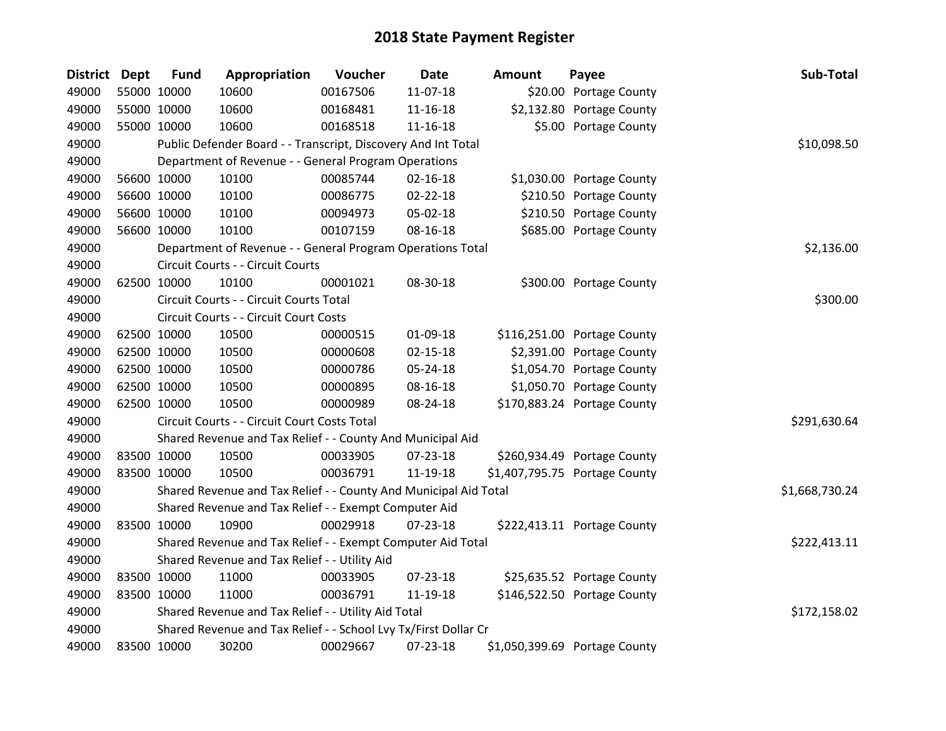| District Dept | <b>Fund</b> | Appropriation                                                    | Voucher  | <b>Date</b>    | <b>Amount</b> | Payee                         | Sub-Total      |
|---------------|-------------|------------------------------------------------------------------|----------|----------------|---------------|-------------------------------|----------------|
| 49000         | 55000 10000 | 10600                                                            | 00167506 | 11-07-18       |               | \$20.00 Portage County        |                |
| 49000         | 55000 10000 | 10600                                                            | 00168481 | 11-16-18       |               | \$2,132.80 Portage County     |                |
| 49000         | 55000 10000 | 10600                                                            | 00168518 | $11 - 16 - 18$ |               | \$5.00 Portage County         |                |
| 49000         |             | Public Defender Board - - Transcript, Discovery And Int Total    |          |                |               |                               | \$10,098.50    |
| 49000         |             | Department of Revenue - - General Program Operations             |          |                |               |                               |                |
| 49000         | 56600 10000 | 10100                                                            | 00085744 | $02 - 16 - 18$ |               | \$1,030.00 Portage County     |                |
| 49000         | 56600 10000 | 10100                                                            | 00086775 | 02-22-18       |               | \$210.50 Portage County       |                |
| 49000         | 56600 10000 | 10100                                                            | 00094973 | 05-02-18       |               | \$210.50 Portage County       |                |
| 49000         | 56600 10000 | 10100                                                            | 00107159 | 08-16-18       |               | \$685.00 Portage County       |                |
| 49000         |             | Department of Revenue - - General Program Operations Total       |          |                |               |                               | \$2,136.00     |
| 49000         |             | Circuit Courts - - Circuit Courts                                |          |                |               |                               |                |
| 49000         | 62500 10000 | 10100                                                            | 00001021 | 08-30-18       |               | \$300.00 Portage County       |                |
| 49000         |             | Circuit Courts - - Circuit Courts Total                          |          |                |               |                               | \$300.00       |
| 49000         |             | Circuit Courts - - Circuit Court Costs                           |          |                |               |                               |                |
| 49000         | 62500 10000 | 10500                                                            | 00000515 | 01-09-18       |               | \$116,251.00 Portage County   |                |
| 49000         | 62500 10000 | 10500                                                            | 00000608 | $02 - 15 - 18$ |               | \$2,391.00 Portage County     |                |
| 49000         | 62500 10000 | 10500                                                            | 00000786 | 05-24-18       |               | \$1,054.70 Portage County     |                |
| 49000         | 62500 10000 | 10500                                                            | 00000895 | 08-16-18       |               | \$1,050.70 Portage County     |                |
| 49000         | 62500 10000 | 10500                                                            | 00000989 | 08-24-18       |               | \$170,883.24 Portage County   |                |
| 49000         |             | Circuit Courts - - Circuit Court Costs Total                     |          |                |               |                               | \$291,630.64   |
| 49000         |             | Shared Revenue and Tax Relief - - County And Municipal Aid       |          |                |               |                               |                |
| 49000         | 83500 10000 | 10500                                                            | 00033905 | 07-23-18       |               | \$260,934.49 Portage County   |                |
| 49000         | 83500 10000 | 10500                                                            | 00036791 | 11-19-18       |               | \$1,407,795.75 Portage County |                |
| 49000         |             | Shared Revenue and Tax Relief - - County And Municipal Aid Total |          |                |               |                               | \$1,668,730.24 |
| 49000         |             | Shared Revenue and Tax Relief - - Exempt Computer Aid            |          |                |               |                               |                |
| 49000         | 83500 10000 | 10900                                                            | 00029918 | $07 - 23 - 18$ |               | \$222,413.11 Portage County   |                |
| 49000         |             | Shared Revenue and Tax Relief - - Exempt Computer Aid Total      |          |                |               |                               | \$222,413.11   |
| 49000         |             | Shared Revenue and Tax Relief - - Utility Aid                    |          |                |               |                               |                |
| 49000         | 83500 10000 | 11000                                                            | 00033905 | 07-23-18       |               | \$25,635.52 Portage County    |                |
| 49000         | 83500 10000 | 11000                                                            | 00036791 | 11-19-18       |               | \$146,522.50 Portage County   |                |
| 49000         |             | Shared Revenue and Tax Relief - - Utility Aid Total              |          |                |               |                               | \$172,158.02   |
| 49000         |             | Shared Revenue and Tax Relief - - School Lvy Tx/First Dollar Cr  |          |                |               |                               |                |
| 49000         | 83500 10000 | 30200                                                            | 00029667 | 07-23-18       |               | \$1,050,399.69 Portage County |                |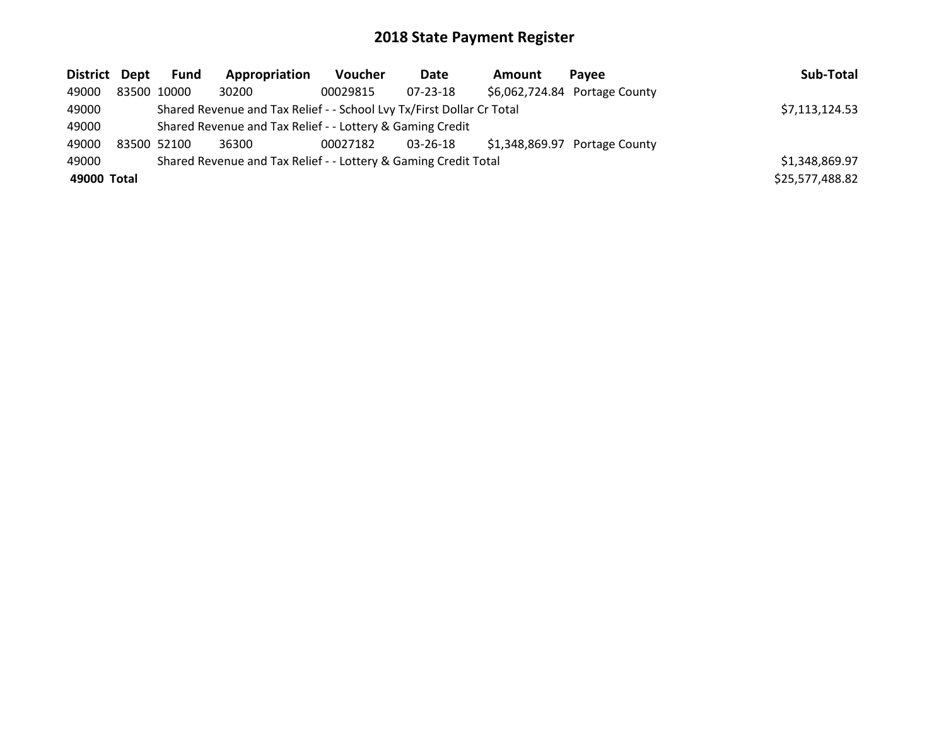| District Dept | Fund        | Appropriation                                                         | <b>Voucher</b> | Date           | <b>Amount</b> | Pavee                          | Sub-Total       |
|---------------|-------------|-----------------------------------------------------------------------|----------------|----------------|---------------|--------------------------------|-----------------|
| 49000         | 83500 10000 | 30200                                                                 | 00029815       | $07 - 23 - 18$ |               | \$6,062,724.84 Portage County  |                 |
| 49000         |             | Shared Revenue and Tax Relief - - School Lvy Tx/First Dollar Cr Total |                |                |               |                                | \$7,113,124.53  |
| 49000         |             | Shared Revenue and Tax Relief - - Lottery & Gaming Credit             |                |                |               |                                |                 |
| 49000         | 83500 52100 | 36300                                                                 | 00027182       | 03-26-18       |               | $$1,348,869.97$ Portage County |                 |
| 49000         |             | Shared Revenue and Tax Relief - - Lottery & Gaming Credit Total       |                |                |               |                                | \$1,348,869.97  |
| 49000 Total   |             |                                                                       |                |                |               |                                | \$25,577,488.82 |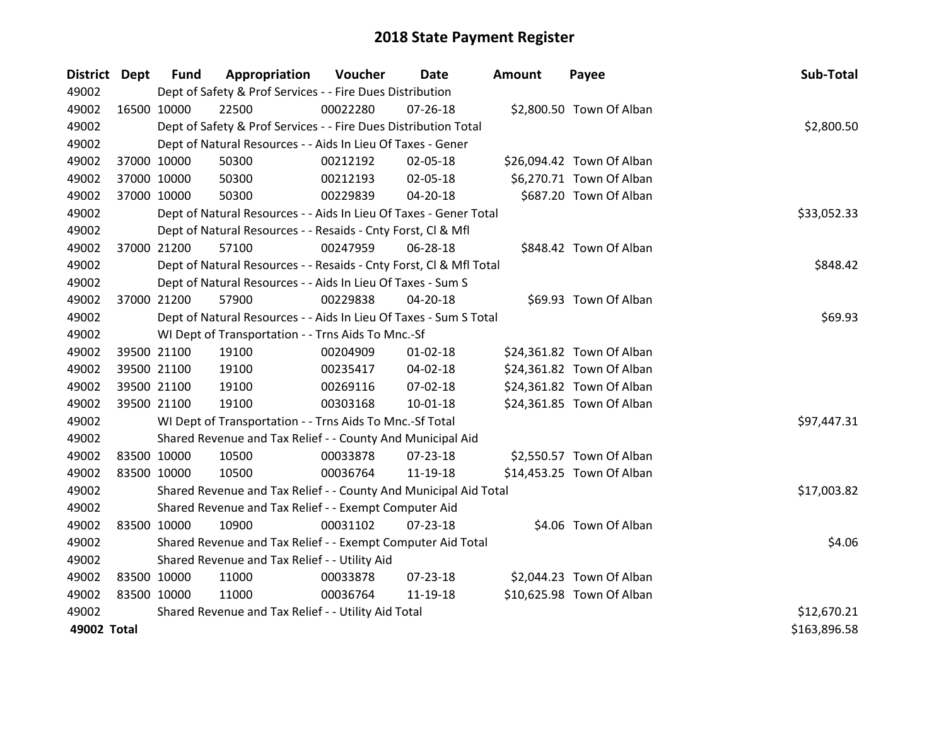| <b>District Dept</b> |             | <b>Fund</b> | Appropriation                                                      | Voucher  | Date           | <b>Amount</b> | Payee                     | Sub-Total    |
|----------------------|-------------|-------------|--------------------------------------------------------------------|----------|----------------|---------------|---------------------------|--------------|
| 49002                |             |             | Dept of Safety & Prof Services - - Fire Dues Distribution          |          |                |               |                           |              |
| 49002                | 16500 10000 |             | 22500                                                              | 00022280 | 07-26-18       |               | \$2,800.50 Town Of Alban  |              |
| 49002                |             |             | Dept of Safety & Prof Services - - Fire Dues Distribution Total    |          |                |               |                           | \$2,800.50   |
| 49002                |             |             | Dept of Natural Resources - - Aids In Lieu Of Taxes - Gener        |          |                |               |                           |              |
| 49002                | 37000 10000 |             | 50300                                                              | 00212192 | 02-05-18       |               | \$26,094.42 Town Of Alban |              |
| 49002                |             | 37000 10000 | 50300                                                              | 00212193 | 02-05-18       |               | \$6,270.71 Town Of Alban  |              |
| 49002                |             | 37000 10000 | 50300                                                              | 00229839 | $04 - 20 - 18$ |               | \$687.20 Town Of Alban    |              |
| 49002                |             |             | Dept of Natural Resources - - Aids In Lieu Of Taxes - Gener Total  |          |                |               |                           | \$33,052.33  |
| 49002                |             |             | Dept of Natural Resources - - Resaids - Cnty Forst, Cl & Mfl       |          |                |               |                           |              |
| 49002                |             | 37000 21200 | 57100                                                              | 00247959 | 06-28-18       |               | \$848.42 Town Of Alban    |              |
| 49002                |             |             | Dept of Natural Resources - - Resaids - Cnty Forst, CI & Mfl Total |          |                |               |                           | \$848.42     |
| 49002                |             |             | Dept of Natural Resources - - Aids In Lieu Of Taxes - Sum S        |          |                |               |                           |              |
| 49002                |             | 37000 21200 | 57900                                                              | 00229838 | 04-20-18       |               | \$69.93 Town Of Alban     |              |
| 49002                |             |             | Dept of Natural Resources - - Aids In Lieu Of Taxes - Sum S Total  |          |                |               |                           | \$69.93      |
| 49002                |             |             | WI Dept of Transportation - - Trns Aids To Mnc.-Sf                 |          |                |               |                           |              |
| 49002                |             | 39500 21100 | 19100                                                              | 00204909 | $01 - 02 - 18$ |               | \$24,361.82 Town Of Alban |              |
| 49002                |             | 39500 21100 | 19100                                                              | 00235417 | 04-02-18       |               | \$24,361.82 Town Of Alban |              |
| 49002                |             | 39500 21100 | 19100                                                              | 00269116 | 07-02-18       |               | \$24,361.82 Town Of Alban |              |
| 49002                |             | 39500 21100 | 19100                                                              | 00303168 | $10 - 01 - 18$ |               | \$24,361.85 Town Of Alban |              |
| 49002                |             |             | WI Dept of Transportation - - Trns Aids To Mnc.-Sf Total           |          |                |               |                           | \$97,447.31  |
| 49002                |             |             | Shared Revenue and Tax Relief - - County And Municipal Aid         |          |                |               |                           |              |
| 49002                | 83500 10000 |             | 10500                                                              | 00033878 | 07-23-18       |               | \$2,550.57 Town Of Alban  |              |
| 49002                |             | 83500 10000 | 10500                                                              | 00036764 | 11-19-18       |               | \$14,453.25 Town Of Alban |              |
| 49002                |             |             | Shared Revenue and Tax Relief - - County And Municipal Aid Total   |          |                |               |                           | \$17,003.82  |
| 49002                |             |             | Shared Revenue and Tax Relief - - Exempt Computer Aid              |          |                |               |                           |              |
| 49002                | 83500 10000 |             | 10900                                                              | 00031102 | $07 - 23 - 18$ |               | \$4.06 Town Of Alban      |              |
| 49002                |             |             | Shared Revenue and Tax Relief - - Exempt Computer Aid Total        |          |                |               |                           | \$4.06       |
| 49002                |             |             | Shared Revenue and Tax Relief - - Utility Aid                      |          |                |               |                           |              |
| 49002                | 83500 10000 |             | 11000                                                              | 00033878 | 07-23-18       |               | \$2,044.23 Town Of Alban  |              |
| 49002                | 83500 10000 |             | 11000                                                              | 00036764 | 11-19-18       |               | \$10,625.98 Town Of Alban |              |
| 49002                |             |             | Shared Revenue and Tax Relief - - Utility Aid Total                |          |                |               |                           | \$12,670.21  |
| 49002 Total          |             |             |                                                                    |          |                |               |                           | \$163,896.58 |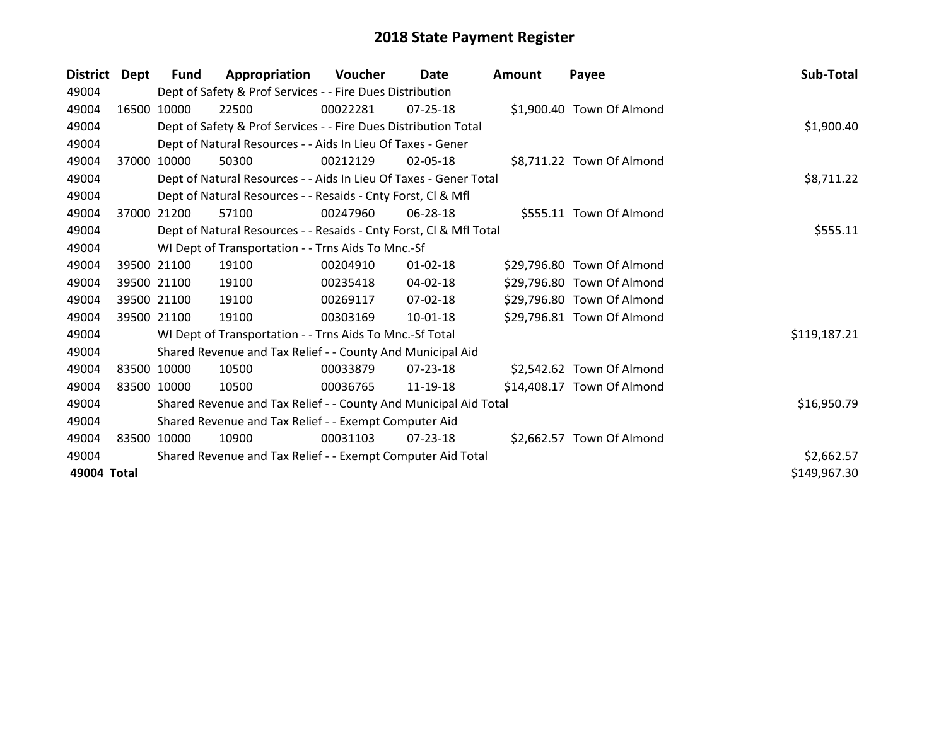| <b>District</b> | Dept  | Fund        | Appropriation                                                      | Voucher  | Date           | <b>Amount</b> | Payee                      | Sub-Total    |
|-----------------|-------|-------------|--------------------------------------------------------------------|----------|----------------|---------------|----------------------------|--------------|
| 49004           |       |             | Dept of Safety & Prof Services - - Fire Dues Distribution          |          |                |               |                            |              |
| 49004           |       | 16500 10000 | 22500                                                              | 00022281 | $07 - 25 - 18$ |               | \$1,900.40 Town Of Almond  |              |
| 49004           |       |             | Dept of Safety & Prof Services - - Fire Dues Distribution Total    |          |                |               |                            | \$1,900.40   |
| 49004           |       |             | Dept of Natural Resources - - Aids In Lieu Of Taxes - Gener        |          |                |               |                            |              |
| 49004           | 37000 | 10000       | 50300                                                              | 00212129 | $02 - 05 - 18$ |               | \$8,711.22 Town Of Almond  |              |
| 49004           |       |             | Dept of Natural Resources - - Aids In Lieu Of Taxes - Gener Total  |          |                |               |                            | \$8,711.22   |
| 49004           |       |             | Dept of Natural Resources - - Resaids - Cnty Forst, Cl & Mfl       |          |                |               |                            |              |
| 49004           | 37000 | 21200       | 57100                                                              | 00247960 | 06-28-18       |               | \$555.11 Town Of Almond    |              |
| 49004           |       |             | Dept of Natural Resources - - Resaids - Cnty Forst, Cl & Mfl Total |          |                |               |                            | \$555.11     |
| 49004           |       |             | WI Dept of Transportation - - Trns Aids To Mnc.-Sf                 |          |                |               |                            |              |
| 49004           |       | 39500 21100 | 19100                                                              | 00204910 | $01 - 02 - 18$ |               | \$29,796.80 Town Of Almond |              |
| 49004           |       | 39500 21100 | 19100                                                              | 00235418 | 04-02-18       |               | \$29,796.80 Town Of Almond |              |
| 49004           |       | 39500 21100 | 19100                                                              | 00269117 | 07-02-18       |               | \$29,796.80 Town Of Almond |              |
| 49004           |       | 39500 21100 | 19100                                                              | 00303169 | 10-01-18       |               | \$29,796.81 Town Of Almond |              |
| 49004           |       |             | WI Dept of Transportation - - Trns Aids To Mnc.-Sf Total           |          |                |               |                            | \$119,187.21 |
| 49004           |       |             | Shared Revenue and Tax Relief - - County And Municipal Aid         |          |                |               |                            |              |
| 49004           |       | 83500 10000 | 10500                                                              | 00033879 | 07-23-18       |               | \$2,542.62 Town Of Almond  |              |
| 49004           |       | 83500 10000 | 10500                                                              | 00036765 | 11-19-18       |               | \$14,408.17 Town Of Almond |              |
| 49004           |       |             | Shared Revenue and Tax Relief - - County And Municipal Aid Total   |          |                |               |                            | \$16,950.79  |
| 49004           |       |             | Shared Revenue and Tax Relief - - Exempt Computer Aid              |          |                |               |                            |              |
| 49004           |       | 83500 10000 | 10900                                                              | 00031103 | 07-23-18       |               | \$2,662.57 Town Of Almond  |              |
| 49004           |       |             | Shared Revenue and Tax Relief - - Exempt Computer Aid Total        |          |                |               |                            | \$2,662.57   |
| 49004 Total     |       |             |                                                                    |          |                |               |                            | \$149,967.30 |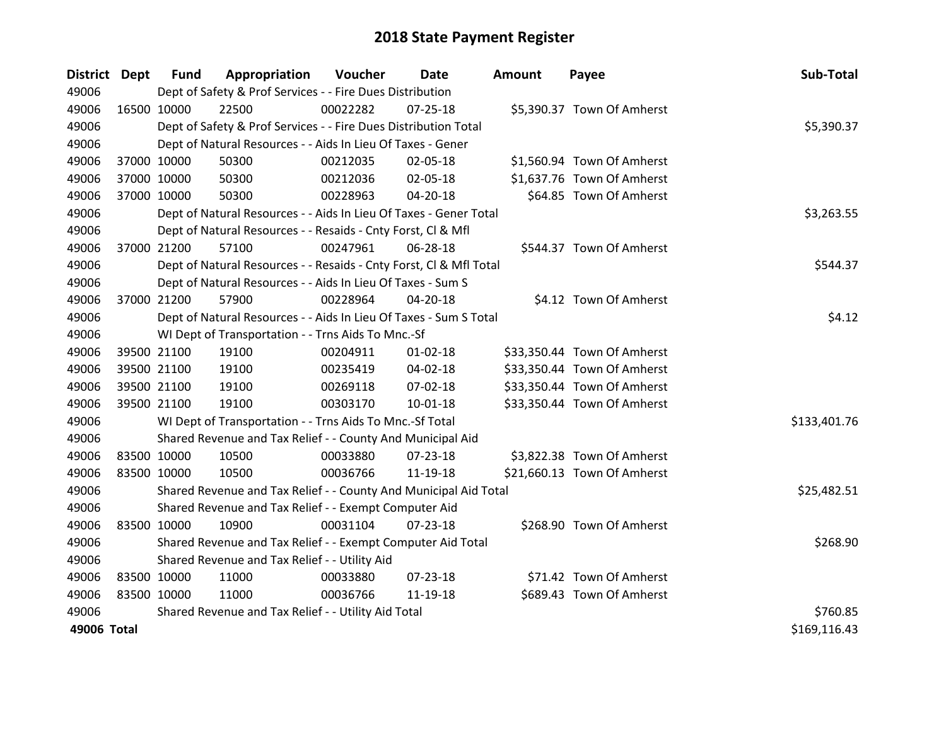| District Dept | <b>Fund</b> | Appropriation                                                      | <b>Voucher</b> | Date           | Amount | Payee                       | Sub-Total    |
|---------------|-------------|--------------------------------------------------------------------|----------------|----------------|--------|-----------------------------|--------------|
| 49006         |             | Dept of Safety & Prof Services - - Fire Dues Distribution          |                |                |        |                             |              |
| 49006         | 16500 10000 | 22500                                                              | 00022282       | 07-25-18       |        | \$5,390.37 Town Of Amherst  |              |
| 49006         |             | Dept of Safety & Prof Services - - Fire Dues Distribution Total    |                |                |        |                             | \$5,390.37   |
| 49006         |             | Dept of Natural Resources - - Aids In Lieu Of Taxes - Gener        |                |                |        |                             |              |
| 49006         | 37000 10000 | 50300                                                              | 00212035       | 02-05-18       |        | \$1,560.94 Town Of Amherst  |              |
| 49006         | 37000 10000 | 50300                                                              | 00212036       | 02-05-18       |        | \$1,637.76 Town Of Amherst  |              |
| 49006         | 37000 10000 | 50300                                                              | 00228963       | $04 - 20 - 18$ |        | \$64.85 Town Of Amherst     |              |
| 49006         |             | Dept of Natural Resources - - Aids In Lieu Of Taxes - Gener Total  |                |                |        |                             | \$3,263.55   |
| 49006         |             | Dept of Natural Resources - - Resaids - Cnty Forst, Cl & Mfl       |                |                |        |                             |              |
| 49006         | 37000 21200 | 57100                                                              | 00247961       | 06-28-18       |        | \$544.37 Town Of Amherst    |              |
| 49006         |             | Dept of Natural Resources - - Resaids - Cnty Forst, CI & Mfl Total |                |                |        |                             | \$544.37     |
| 49006         |             | Dept of Natural Resources - - Aids In Lieu Of Taxes - Sum S        |                |                |        |                             |              |
| 49006         | 37000 21200 | 57900                                                              | 00228964       | $04 - 20 - 18$ |        | \$4.12 Town Of Amherst      |              |
| 49006         |             | Dept of Natural Resources - - Aids In Lieu Of Taxes - Sum S Total  |                |                |        |                             | \$4.12       |
| 49006         |             | WI Dept of Transportation - - Trns Aids To Mnc.-Sf                 |                |                |        |                             |              |
| 49006         | 39500 21100 | 19100                                                              | 00204911       | $01 - 02 - 18$ |        | \$33,350.44 Town Of Amherst |              |
| 49006         | 39500 21100 | 19100                                                              | 00235419       | 04-02-18       |        | \$33,350.44 Town Of Amherst |              |
| 49006         | 39500 21100 | 19100                                                              | 00269118       | 07-02-18       |        | \$33,350.44 Town Of Amherst |              |
| 49006         | 39500 21100 | 19100                                                              | 00303170       | $10 - 01 - 18$ |        | \$33,350.44 Town Of Amherst |              |
| 49006         |             | WI Dept of Transportation - - Trns Aids To Mnc.-Sf Total           |                |                |        |                             | \$133,401.76 |
| 49006         |             | Shared Revenue and Tax Relief - - County And Municipal Aid         |                |                |        |                             |              |
| 49006         | 83500 10000 | 10500                                                              | 00033880       | 07-23-18       |        | \$3,822.38 Town Of Amherst  |              |
| 49006         | 83500 10000 | 10500                                                              | 00036766       | 11-19-18       |        | \$21,660.13 Town Of Amherst |              |
| 49006         |             | Shared Revenue and Tax Relief - - County And Municipal Aid Total   |                |                |        |                             | \$25,482.51  |
| 49006         |             | Shared Revenue and Tax Relief - - Exempt Computer Aid              |                |                |        |                             |              |
| 49006         | 83500 10000 | 10900                                                              | 00031104       | $07 - 23 - 18$ |        | \$268.90 Town Of Amherst    |              |
| 49006         |             | Shared Revenue and Tax Relief - - Exempt Computer Aid Total        |                |                |        |                             | \$268.90     |
| 49006         |             | Shared Revenue and Tax Relief - - Utility Aid                      |                |                |        |                             |              |
| 49006         | 83500 10000 | 11000                                                              | 00033880       | 07-23-18       |        | \$71.42 Town Of Amherst     |              |
| 49006         | 83500 10000 | 11000                                                              | 00036766       | 11-19-18       |        | \$689.43 Town Of Amherst    |              |
| 49006         |             | Shared Revenue and Tax Relief - - Utility Aid Total                |                |                |        |                             | \$760.85     |
| 49006 Total   |             |                                                                    |                |                |        |                             | \$169,116.43 |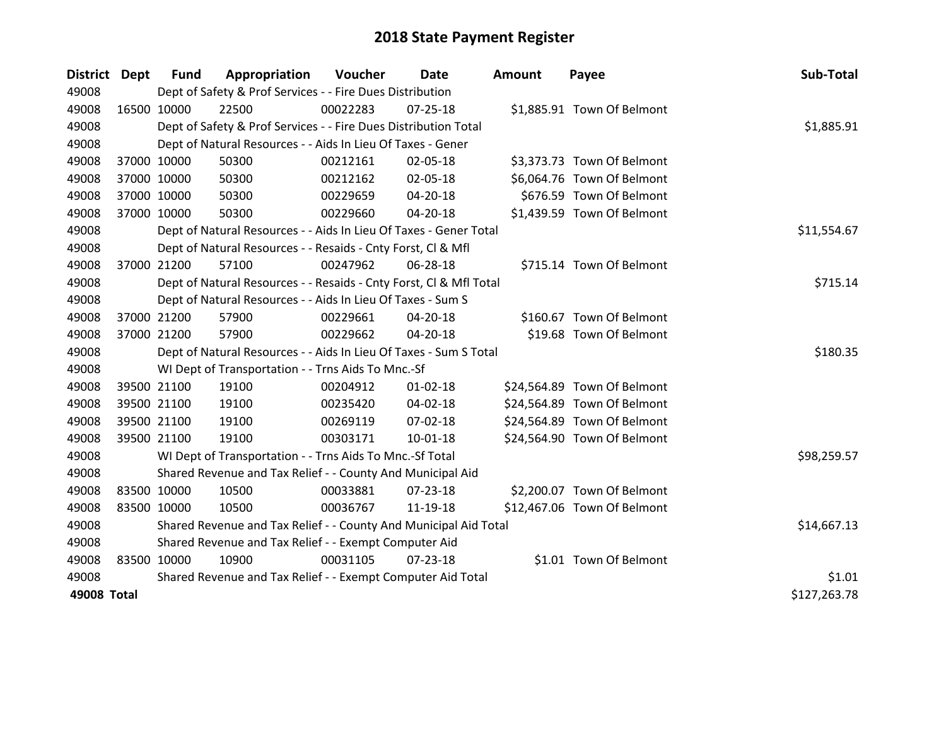| <b>District Dept</b> |             | <b>Fund</b> | Appropriation                                                      | <b>Voucher</b> | Date           | <b>Amount</b> | Payee                       | Sub-Total    |
|----------------------|-------------|-------------|--------------------------------------------------------------------|----------------|----------------|---------------|-----------------------------|--------------|
| 49008                |             |             | Dept of Safety & Prof Services - - Fire Dues Distribution          |                |                |               |                             |              |
| 49008                | 16500 10000 |             | 22500                                                              | 00022283       | $07 - 25 - 18$ |               | \$1,885.91 Town Of Belmont  |              |
| 49008                |             |             | Dept of Safety & Prof Services - - Fire Dues Distribution Total    |                |                |               |                             | \$1,885.91   |
| 49008                |             |             | Dept of Natural Resources - - Aids In Lieu Of Taxes - Gener        |                |                |               |                             |              |
| 49008                |             | 37000 10000 | 50300                                                              | 00212161       | 02-05-18       |               | \$3,373.73 Town Of Belmont  |              |
| 49008                | 37000 10000 |             | 50300                                                              | 00212162       | 02-05-18       |               | \$6,064.76 Town Of Belmont  |              |
| 49008                |             | 37000 10000 | 50300                                                              | 00229659       | 04-20-18       |               | \$676.59 Town Of Belmont    |              |
| 49008                |             | 37000 10000 | 50300                                                              | 00229660       | 04-20-18       |               | \$1,439.59 Town Of Belmont  |              |
| 49008                |             |             | Dept of Natural Resources - - Aids In Lieu Of Taxes - Gener Total  |                |                |               |                             | \$11,554.67  |
| 49008                |             |             | Dept of Natural Resources - - Resaids - Cnty Forst, CI & Mfl       |                |                |               |                             |              |
| 49008                |             | 37000 21200 | 57100                                                              | 00247962       | 06-28-18       |               | \$715.14 Town Of Belmont    |              |
| 49008                |             |             | Dept of Natural Resources - - Resaids - Cnty Forst, Cl & Mfl Total |                |                |               |                             | \$715.14     |
| 49008                |             |             | Dept of Natural Resources - - Aids In Lieu Of Taxes - Sum S        |                |                |               |                             |              |
| 49008                |             | 37000 21200 | 57900                                                              | 00229661       | 04-20-18       |               | \$160.67 Town Of Belmont    |              |
| 49008                |             | 37000 21200 | 57900                                                              | 00229662       | 04-20-18       |               | \$19.68 Town Of Belmont     |              |
| 49008                |             |             | Dept of Natural Resources - - Aids In Lieu Of Taxes - Sum S Total  |                |                |               |                             | \$180.35     |
| 49008                |             |             | WI Dept of Transportation - - Trns Aids To Mnc.-Sf                 |                |                |               |                             |              |
| 49008                |             | 39500 21100 | 19100                                                              | 00204912       | $01 - 02 - 18$ |               | \$24,564.89 Town Of Belmont |              |
| 49008                |             | 39500 21100 | 19100                                                              | 00235420       | 04-02-18       |               | \$24,564.89 Town Of Belmont |              |
| 49008                |             | 39500 21100 | 19100                                                              | 00269119       | 07-02-18       |               | \$24,564.89 Town Of Belmont |              |
| 49008                |             | 39500 21100 | 19100                                                              | 00303171       | 10-01-18       |               | \$24,564.90 Town Of Belmont |              |
| 49008                |             |             | WI Dept of Transportation - - Trns Aids To Mnc.-Sf Total           |                |                |               |                             | \$98,259.57  |
| 49008                |             |             | Shared Revenue and Tax Relief - - County And Municipal Aid         |                |                |               |                             |              |
| 49008                | 83500 10000 |             | 10500                                                              | 00033881       | $07 - 23 - 18$ |               | \$2,200.07 Town Of Belmont  |              |
| 49008                | 83500 10000 |             | 10500                                                              | 00036767       | 11-19-18       |               | \$12,467.06 Town Of Belmont |              |
| 49008                |             |             | Shared Revenue and Tax Relief - - County And Municipal Aid Total   |                |                |               |                             | \$14,667.13  |
| 49008                |             |             | Shared Revenue and Tax Relief - - Exempt Computer Aid              |                |                |               |                             |              |
| 49008                | 83500 10000 |             | 10900                                                              | 00031105       | $07 - 23 - 18$ |               | \$1.01 Town Of Belmont      |              |
| 49008                |             |             | Shared Revenue and Tax Relief - - Exempt Computer Aid Total        |                |                |               |                             | \$1.01       |
| 49008 Total          |             |             |                                                                    |                |                |               |                             | \$127,263.78 |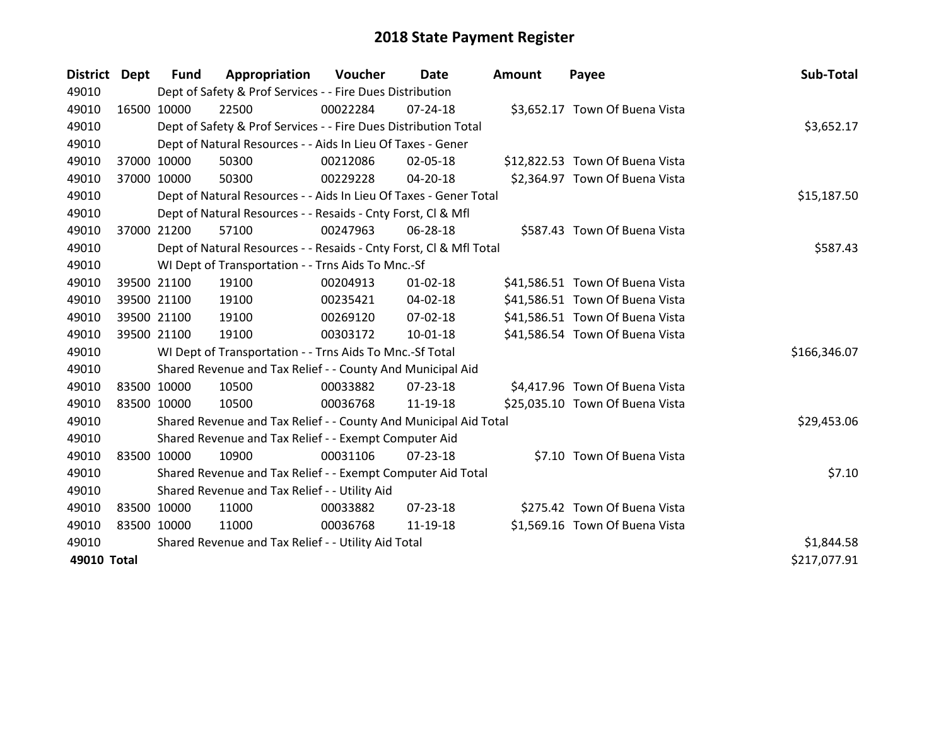| District Dept | <b>Fund</b> | Appropriation                                                      | Voucher  | Date           | <b>Amount</b> | Payee                           | Sub-Total    |
|---------------|-------------|--------------------------------------------------------------------|----------|----------------|---------------|---------------------------------|--------------|
| 49010         |             | Dept of Safety & Prof Services - - Fire Dues Distribution          |          |                |               |                                 |              |
| 49010         | 16500 10000 | 22500                                                              | 00022284 | $07 - 24 - 18$ |               | \$3,652.17 Town Of Buena Vista  |              |
| 49010         |             | Dept of Safety & Prof Services - - Fire Dues Distribution Total    |          |                |               |                                 | \$3,652.17   |
| 49010         |             | Dept of Natural Resources - - Aids In Lieu Of Taxes - Gener        |          |                |               |                                 |              |
| 49010         | 37000 10000 | 50300                                                              | 00212086 | 02-05-18       |               | \$12,822.53 Town Of Buena Vista |              |
| 49010         | 37000 10000 | 50300                                                              | 00229228 | 04-20-18       |               | \$2,364.97 Town Of Buena Vista  |              |
| 49010         |             | Dept of Natural Resources - - Aids In Lieu Of Taxes - Gener Total  |          |                |               |                                 | \$15,187.50  |
| 49010         |             | Dept of Natural Resources - - Resaids - Cnty Forst, CI & Mfl       |          |                |               |                                 |              |
| 49010         | 37000 21200 | 57100                                                              | 00247963 | 06-28-18       |               | \$587.43 Town Of Buena Vista    |              |
| 49010         |             | Dept of Natural Resources - - Resaids - Cnty Forst, Cl & Mfl Total |          |                |               |                                 | \$587.43     |
| 49010         |             | WI Dept of Transportation - - Trns Aids To Mnc.-Sf                 |          |                |               |                                 |              |
| 49010         | 39500 21100 | 19100                                                              | 00204913 | $01 - 02 - 18$ |               | \$41,586.51 Town Of Buena Vista |              |
| 49010         | 39500 21100 | 19100                                                              | 00235421 | 04-02-18       |               | \$41,586.51 Town Of Buena Vista |              |
| 49010         | 39500 21100 | 19100                                                              | 00269120 | 07-02-18       |               | \$41,586.51 Town Of Buena Vista |              |
| 49010         | 39500 21100 | 19100                                                              | 00303172 | 10-01-18       |               | \$41,586.54 Town Of Buena Vista |              |
| 49010         |             | WI Dept of Transportation - - Trns Aids To Mnc.-Sf Total           |          |                |               |                                 | \$166,346.07 |
| 49010         |             | Shared Revenue and Tax Relief - - County And Municipal Aid         |          |                |               |                                 |              |
| 49010         | 83500 10000 | 10500                                                              | 00033882 | 07-23-18       |               | \$4,417.96 Town Of Buena Vista  |              |
| 49010         | 83500 10000 | 10500                                                              | 00036768 | 11-19-18       |               | \$25,035.10 Town Of Buena Vista |              |
| 49010         |             | Shared Revenue and Tax Relief - - County And Municipal Aid Total   |          |                |               |                                 | \$29,453.06  |
| 49010         |             | Shared Revenue and Tax Relief - - Exempt Computer Aid              |          |                |               |                                 |              |
| 49010         | 83500 10000 | 10900                                                              | 00031106 | $07 - 23 - 18$ |               | \$7.10 Town Of Buena Vista      |              |
| 49010         |             | Shared Revenue and Tax Relief - - Exempt Computer Aid Total        |          |                |               |                                 | \$7.10       |
| 49010         |             | Shared Revenue and Tax Relief - - Utility Aid                      |          |                |               |                                 |              |
| 49010         | 83500 10000 | 11000                                                              | 00033882 | $07 - 23 - 18$ |               | \$275.42 Town Of Buena Vista    |              |
| 49010         | 83500 10000 | 11000                                                              | 00036768 | 11-19-18       |               | \$1,569.16 Town Of Buena Vista  |              |
| 49010         |             | Shared Revenue and Tax Relief - - Utility Aid Total                |          |                |               |                                 | \$1,844.58   |
| 49010 Total   |             |                                                                    |          |                |               |                                 | \$217,077.91 |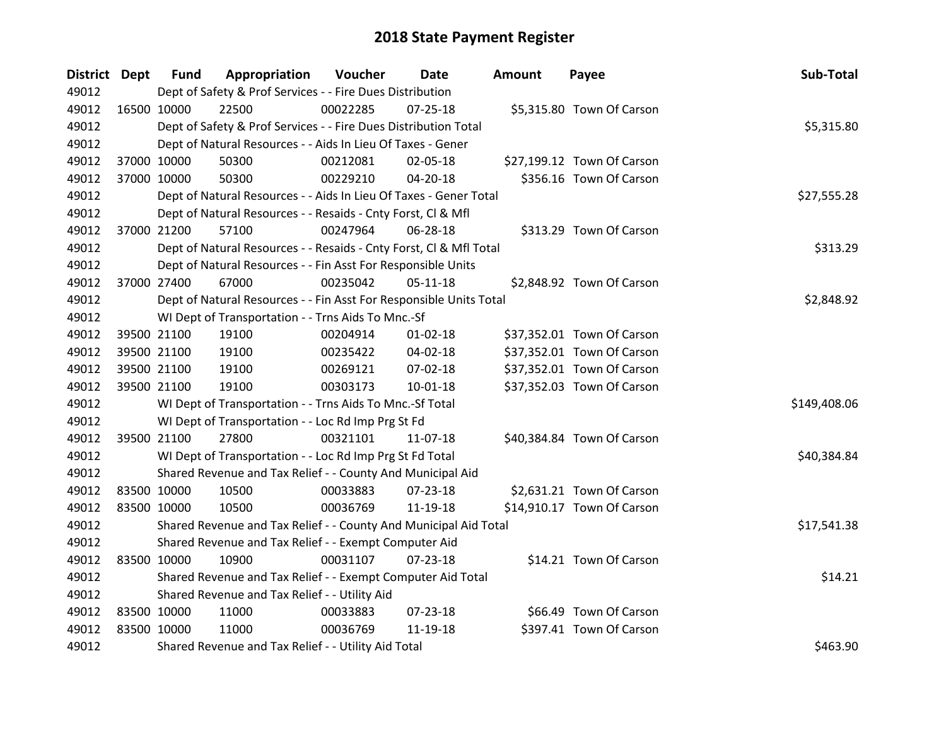| District Dept |             | <b>Fund</b> | Appropriation                                                      | Voucher  | Date           | <b>Amount</b> | Payee                      | Sub-Total    |
|---------------|-------------|-------------|--------------------------------------------------------------------|----------|----------------|---------------|----------------------------|--------------|
| 49012         |             |             | Dept of Safety & Prof Services - - Fire Dues Distribution          |          |                |               |                            |              |
| 49012         | 16500 10000 |             | 22500                                                              | 00022285 | $07 - 25 - 18$ |               | \$5,315.80 Town Of Carson  |              |
| 49012         |             |             | Dept of Safety & Prof Services - - Fire Dues Distribution Total    |          |                |               |                            | \$5,315.80   |
| 49012         |             |             | Dept of Natural Resources - - Aids In Lieu Of Taxes - Gener        |          |                |               |                            |              |
| 49012         | 37000 10000 |             | 50300                                                              | 00212081 | 02-05-18       |               | \$27,199.12 Town Of Carson |              |
| 49012         |             | 37000 10000 | 50300                                                              | 00229210 | 04-20-18       |               | \$356.16 Town Of Carson    |              |
| 49012         |             |             | Dept of Natural Resources - - Aids In Lieu Of Taxes - Gener Total  |          |                |               |                            | \$27,555.28  |
| 49012         |             |             | Dept of Natural Resources - - Resaids - Cnty Forst, Cl & Mfl       |          |                |               |                            |              |
| 49012         | 37000 21200 |             | 57100                                                              | 00247964 | 06-28-18       |               | \$313.29 Town Of Carson    |              |
| 49012         |             |             | Dept of Natural Resources - - Resaids - Cnty Forst, Cl & Mfl Total |          |                |               |                            | \$313.29     |
| 49012         |             |             | Dept of Natural Resources - - Fin Asst For Responsible Units       |          |                |               |                            |              |
| 49012         |             | 37000 27400 | 67000                                                              | 00235042 | $05-11-18$     |               | \$2,848.92 Town Of Carson  |              |
| 49012         |             |             | Dept of Natural Resources - - Fin Asst For Responsible Units Total |          |                |               |                            | \$2,848.92   |
| 49012         |             |             | WI Dept of Transportation - - Trns Aids To Mnc.-Sf                 |          |                |               |                            |              |
| 49012         |             | 39500 21100 | 19100                                                              | 00204914 | 01-02-18       |               | \$37,352.01 Town Of Carson |              |
| 49012         |             | 39500 21100 | 19100                                                              | 00235422 | 04-02-18       |               | \$37,352.01 Town Of Carson |              |
| 49012         |             | 39500 21100 | 19100                                                              | 00269121 | 07-02-18       |               | \$37,352.01 Town Of Carson |              |
| 49012         |             | 39500 21100 | 19100                                                              | 00303173 | $10-01-18$     |               | \$37,352.03 Town Of Carson |              |
| 49012         |             |             | WI Dept of Transportation - - Trns Aids To Mnc.-Sf Total           |          |                |               |                            | \$149,408.06 |
| 49012         |             |             | WI Dept of Transportation - - Loc Rd Imp Prg St Fd                 |          |                |               |                            |              |
| 49012         | 39500 21100 |             | 27800                                                              | 00321101 | 11-07-18       |               | \$40,384.84 Town Of Carson |              |
| 49012         |             |             | WI Dept of Transportation - - Loc Rd Imp Prg St Fd Total           |          |                |               |                            | \$40,384.84  |
| 49012         |             |             | Shared Revenue and Tax Relief - - County And Municipal Aid         |          |                |               |                            |              |
| 49012         | 83500 10000 |             | 10500                                                              | 00033883 | 07-23-18       |               | \$2,631.21 Town Of Carson  |              |
| 49012         | 83500 10000 |             | 10500                                                              | 00036769 | 11-19-18       |               | \$14,910.17 Town Of Carson |              |
| 49012         |             |             | Shared Revenue and Tax Relief - - County And Municipal Aid Total   |          |                |               |                            | \$17,541.38  |
| 49012         |             |             | Shared Revenue and Tax Relief - - Exempt Computer Aid              |          |                |               |                            |              |
| 49012         | 83500 10000 |             | 10900                                                              | 00031107 | $07 - 23 - 18$ |               | \$14.21 Town Of Carson     |              |
| 49012         |             |             | Shared Revenue and Tax Relief - - Exempt Computer Aid Total        |          |                |               |                            | \$14.21      |
| 49012         |             |             | Shared Revenue and Tax Relief - - Utility Aid                      |          |                |               |                            |              |
| 49012         | 83500 10000 |             | 11000                                                              | 00033883 | 07-23-18       |               | \$66.49 Town Of Carson     |              |
| 49012         | 83500 10000 |             | 11000                                                              | 00036769 | 11-19-18       |               | \$397.41 Town Of Carson    |              |
| 49012         |             |             | Shared Revenue and Tax Relief - - Utility Aid Total                |          |                |               |                            | \$463.90     |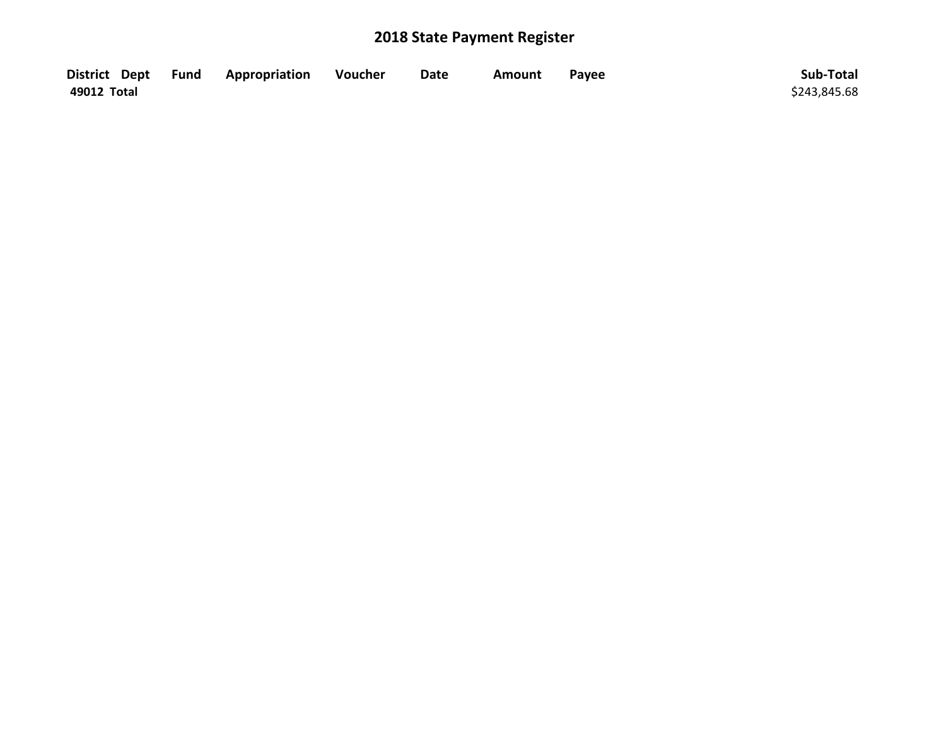|             | District Dept Fund Appropriation | <b>Voucher</b> | <b>Date</b> | Amount | Payee | Sub-Total    |
|-------------|----------------------------------|----------------|-------------|--------|-------|--------------|
| 49012 Total |                                  |                |             |        |       | \$243,845.68 |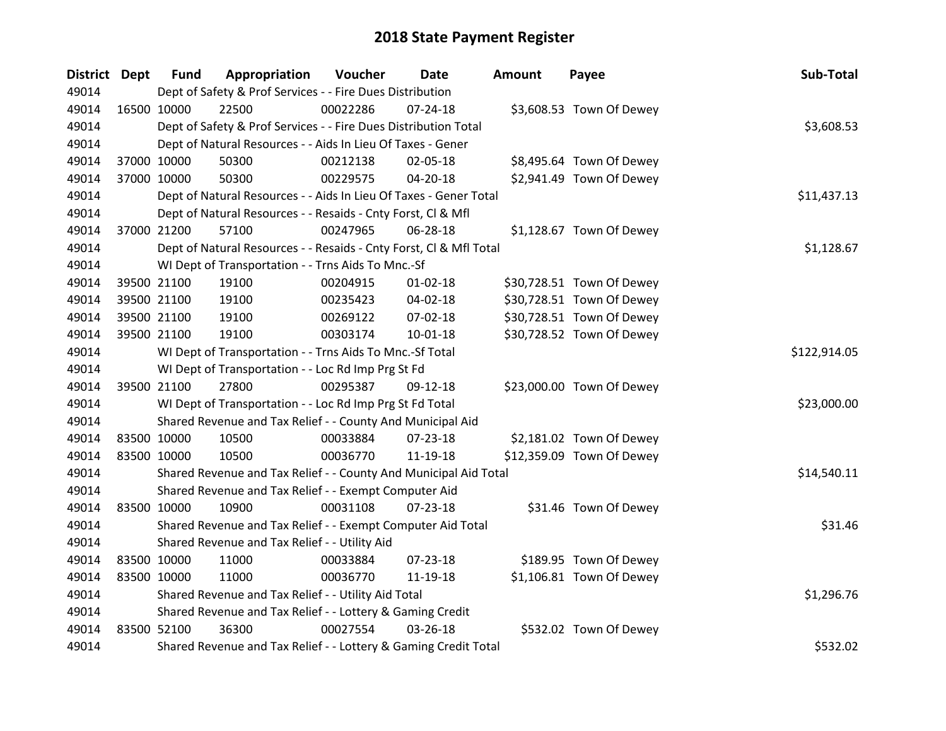| District Dept |             | <b>Fund</b> | Appropriation                                                      | Voucher  | Date           | <b>Amount</b> | Payee                     | Sub-Total    |
|---------------|-------------|-------------|--------------------------------------------------------------------|----------|----------------|---------------|---------------------------|--------------|
| 49014         |             |             | Dept of Safety & Prof Services - - Fire Dues Distribution          |          |                |               |                           |              |
| 49014         | 16500 10000 |             | 22500                                                              | 00022286 | $07 - 24 - 18$ |               | \$3,608.53 Town Of Dewey  |              |
| 49014         |             |             | Dept of Safety & Prof Services - - Fire Dues Distribution Total    |          |                |               |                           | \$3,608.53   |
| 49014         |             |             | Dept of Natural Resources - - Aids In Lieu Of Taxes - Gener        |          |                |               |                           |              |
| 49014         |             | 37000 10000 | 50300                                                              | 00212138 | 02-05-18       |               | \$8,495.64 Town Of Dewey  |              |
| 49014         |             | 37000 10000 | 50300                                                              | 00229575 | 04-20-18       |               | \$2,941.49 Town Of Dewey  |              |
| 49014         |             |             | Dept of Natural Resources - - Aids In Lieu Of Taxes - Gener Total  |          |                |               |                           | \$11,437.13  |
| 49014         |             |             | Dept of Natural Resources - - Resaids - Cnty Forst, Cl & Mfl       |          |                |               |                           |              |
| 49014         |             | 37000 21200 | 57100                                                              | 00247965 | 06-28-18       |               | \$1,128.67 Town Of Dewey  |              |
| 49014         |             |             | Dept of Natural Resources - - Resaids - Cnty Forst, CI & Mfl Total |          |                |               |                           | \$1,128.67   |
| 49014         |             |             | WI Dept of Transportation - - Trns Aids To Mnc.-Sf                 |          |                |               |                           |              |
| 49014         |             | 39500 21100 | 19100                                                              | 00204915 | $01 - 02 - 18$ |               | \$30,728.51 Town Of Dewey |              |
| 49014         |             | 39500 21100 | 19100                                                              | 00235423 | 04-02-18       |               | \$30,728.51 Town Of Dewey |              |
| 49014         |             | 39500 21100 | 19100                                                              | 00269122 | 07-02-18       |               | \$30,728.51 Town Of Dewey |              |
| 49014         |             | 39500 21100 | 19100                                                              | 00303174 | $10 - 01 - 18$ |               | \$30,728.52 Town Of Dewey |              |
| 49014         |             |             | WI Dept of Transportation - - Trns Aids To Mnc.-Sf Total           |          |                |               |                           | \$122,914.05 |
| 49014         |             |             | WI Dept of Transportation - - Loc Rd Imp Prg St Fd                 |          |                |               |                           |              |
| 49014         |             | 39500 21100 | 27800                                                              | 00295387 | 09-12-18       |               | \$23,000.00 Town Of Dewey |              |
| 49014         |             |             | WI Dept of Transportation - - Loc Rd Imp Prg St Fd Total           |          |                |               |                           | \$23,000.00  |
| 49014         |             |             | Shared Revenue and Tax Relief - - County And Municipal Aid         |          |                |               |                           |              |
| 49014         | 83500 10000 |             | 10500                                                              | 00033884 | 07-23-18       |               | \$2,181.02 Town Of Dewey  |              |
| 49014         | 83500 10000 |             | 10500                                                              | 00036770 | 11-19-18       |               | \$12,359.09 Town Of Dewey |              |
| 49014         |             |             | Shared Revenue and Tax Relief - - County And Municipal Aid Total   |          |                |               |                           | \$14,540.11  |
| 49014         |             |             | Shared Revenue and Tax Relief - - Exempt Computer Aid              |          |                |               |                           |              |
| 49014         | 83500 10000 |             | 10900                                                              | 00031108 | 07-23-18       |               | \$31.46 Town Of Dewey     |              |
| 49014         |             |             | Shared Revenue and Tax Relief - - Exempt Computer Aid Total        |          |                |               |                           | \$31.46      |
| 49014         |             |             | Shared Revenue and Tax Relief - - Utility Aid                      |          |                |               |                           |              |
| 49014         | 83500 10000 |             | 11000                                                              | 00033884 | 07-23-18       |               | \$189.95 Town Of Dewey    |              |
| 49014         | 83500 10000 |             | 11000                                                              | 00036770 | 11-19-18       |               | \$1,106.81 Town Of Dewey  |              |
| 49014         |             |             | Shared Revenue and Tax Relief - - Utility Aid Total                |          |                |               |                           | \$1,296.76   |
| 49014         |             |             | Shared Revenue and Tax Relief - - Lottery & Gaming Credit          |          |                |               |                           |              |
| 49014         | 83500 52100 |             | 36300                                                              | 00027554 | 03-26-18       |               | \$532.02 Town Of Dewey    |              |
| 49014         |             |             | Shared Revenue and Tax Relief - - Lottery & Gaming Credit Total    |          |                |               |                           | \$532.02     |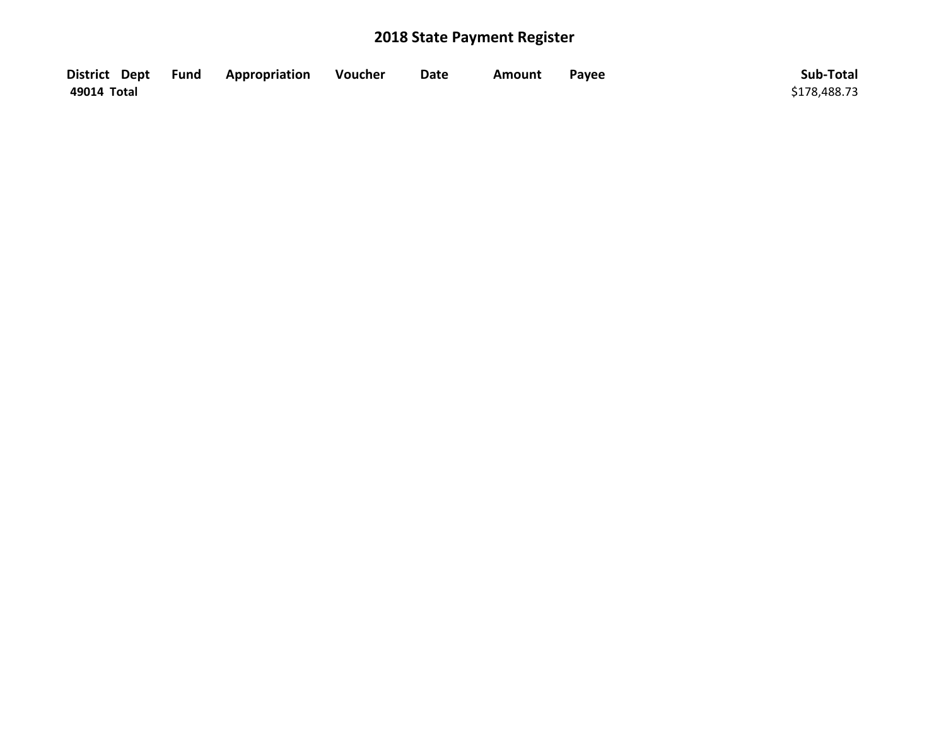|             | District Dept Fund Appropriation | Voucher | <b>Date</b> | Amount | Payee | Sub-Total    |
|-------------|----------------------------------|---------|-------------|--------|-------|--------------|
| 49014 Total |                                  |         |             |        |       | \$178,488.73 |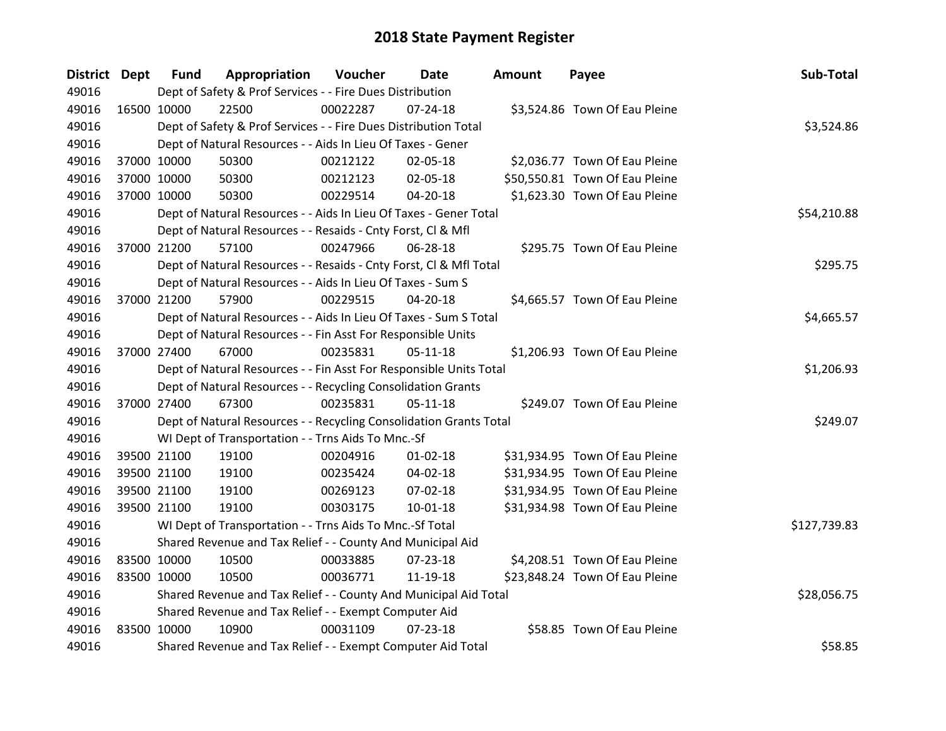| District Dept |             | <b>Fund</b> | Appropriation                                                      | Voucher  | Date           | <b>Amount</b> | Payee                          | Sub-Total    |
|---------------|-------------|-------------|--------------------------------------------------------------------|----------|----------------|---------------|--------------------------------|--------------|
| 49016         |             |             | Dept of Safety & Prof Services - - Fire Dues Distribution          |          |                |               |                                |              |
| 49016         |             | 16500 10000 | 22500                                                              | 00022287 | $07 - 24 - 18$ |               | \$3,524.86 Town Of Eau Pleine  |              |
| 49016         |             |             | Dept of Safety & Prof Services - - Fire Dues Distribution Total    |          |                |               |                                | \$3,524.86   |
| 49016         |             |             | Dept of Natural Resources - - Aids In Lieu Of Taxes - Gener        |          |                |               |                                |              |
| 49016         |             | 37000 10000 | 50300                                                              | 00212122 | 02-05-18       |               | \$2,036.77 Town Of Eau Pleine  |              |
| 49016         |             | 37000 10000 | 50300                                                              | 00212123 | 02-05-18       |               | \$50,550.81 Town Of Eau Pleine |              |
| 49016         |             | 37000 10000 | 50300                                                              | 00229514 | 04-20-18       |               | \$1,623.30 Town Of Eau Pleine  |              |
| 49016         |             |             | Dept of Natural Resources - - Aids In Lieu Of Taxes - Gener Total  |          |                |               |                                | \$54,210.88  |
| 49016         |             |             | Dept of Natural Resources - - Resaids - Cnty Forst, Cl & Mfl       |          |                |               |                                |              |
| 49016         |             | 37000 21200 | 57100                                                              | 00247966 | 06-28-18       |               | \$295.75 Town Of Eau Pleine    |              |
| 49016         |             |             | Dept of Natural Resources - - Resaids - Cnty Forst, Cl & Mfl Total |          |                |               |                                | \$295.75     |
| 49016         |             |             | Dept of Natural Resources - - Aids In Lieu Of Taxes - Sum S        |          |                |               |                                |              |
| 49016         |             | 37000 21200 | 57900                                                              | 00229515 | 04-20-18       |               | \$4,665.57 Town Of Eau Pleine  |              |
| 49016         |             |             | Dept of Natural Resources - - Aids In Lieu Of Taxes - Sum S Total  |          |                |               |                                | \$4,665.57   |
| 49016         |             |             | Dept of Natural Resources - - Fin Asst For Responsible Units       |          |                |               |                                |              |
| 49016         |             | 37000 27400 | 67000                                                              | 00235831 | $05-11-18$     |               | \$1,206.93 Town Of Eau Pleine  |              |
| 49016         |             |             | Dept of Natural Resources - - Fin Asst For Responsible Units Total |          |                |               |                                | \$1,206.93   |
| 49016         |             |             | Dept of Natural Resources - - Recycling Consolidation Grants       |          |                |               |                                |              |
| 49016         |             | 37000 27400 | 67300                                                              | 00235831 | 05-11-18       |               | \$249.07 Town Of Eau Pleine    |              |
| 49016         |             |             | Dept of Natural Resources - - Recycling Consolidation Grants Total |          |                |               |                                | \$249.07     |
| 49016         |             |             | WI Dept of Transportation - - Trns Aids To Mnc.-Sf                 |          |                |               |                                |              |
| 49016         |             | 39500 21100 | 19100                                                              | 00204916 | $01 - 02 - 18$ |               | \$31,934.95 Town Of Eau Pleine |              |
| 49016         |             | 39500 21100 | 19100                                                              | 00235424 | 04-02-18       |               | \$31,934.95 Town Of Eau Pleine |              |
| 49016         |             | 39500 21100 | 19100                                                              | 00269123 | 07-02-18       |               | \$31,934.95 Town Of Eau Pleine |              |
| 49016         |             | 39500 21100 | 19100                                                              | 00303175 | $10 - 01 - 18$ |               | \$31,934.98 Town Of Eau Pleine |              |
| 49016         |             |             | WI Dept of Transportation - - Trns Aids To Mnc.-Sf Total           |          |                |               |                                | \$127,739.83 |
| 49016         |             |             | Shared Revenue and Tax Relief - - County And Municipal Aid         |          |                |               |                                |              |
| 49016         |             | 83500 10000 | 10500                                                              | 00033885 | 07-23-18       |               | \$4,208.51 Town Of Eau Pleine  |              |
| 49016         |             | 83500 10000 | 10500                                                              | 00036771 | 11-19-18       |               | \$23,848.24 Town Of Eau Pleine |              |
| 49016         |             |             | Shared Revenue and Tax Relief - - County And Municipal Aid Total   |          |                |               |                                | \$28,056.75  |
| 49016         |             |             | Shared Revenue and Tax Relief - - Exempt Computer Aid              |          |                |               |                                |              |
| 49016         | 83500 10000 |             | 10900                                                              | 00031109 | $07 - 23 - 18$ |               | \$58.85 Town Of Eau Pleine     |              |
| 49016         |             |             | Shared Revenue and Tax Relief - - Exempt Computer Aid Total        |          |                |               |                                | \$58.85      |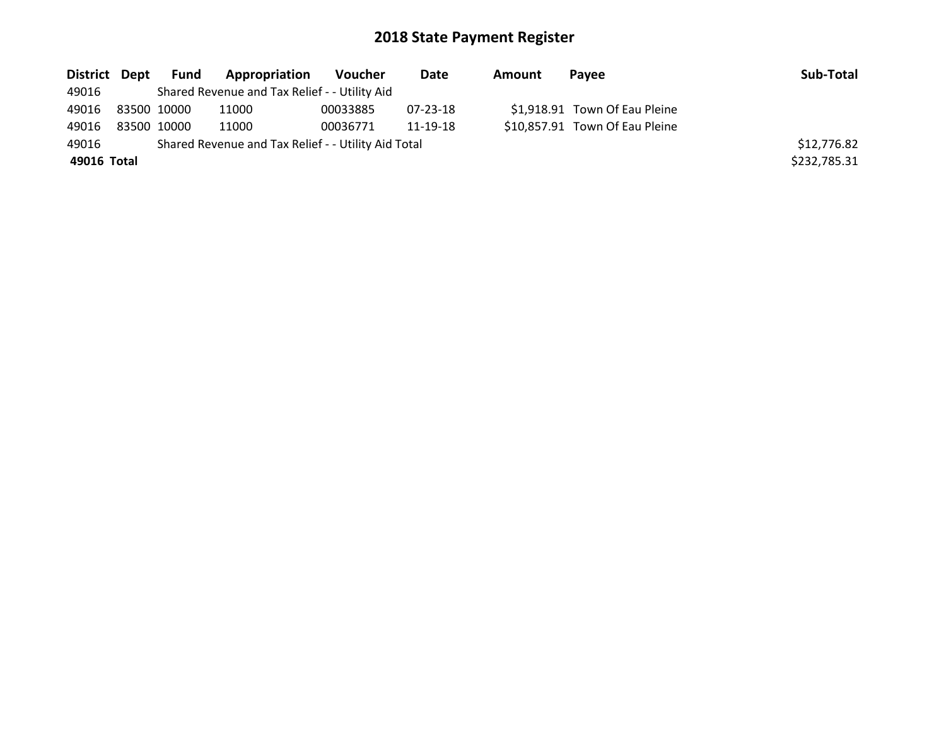|             | District Dept Fund | <b>Appropriation</b>                                | Voucher  | Date     | Amount | Pavee                          | Sub-Total    |
|-------------|--------------------|-----------------------------------------------------|----------|----------|--------|--------------------------------|--------------|
| 49016       |                    | Shared Revenue and Tax Relief - - Utility Aid       |          |          |        |                                |              |
| 49016       | 83500 10000        | 11000                                               | 00033885 | 07-23-18 |        | \$1,918.91 Town Of Eau Pleine  |              |
| 49016       | 83500 10000        | 11000                                               | 00036771 | 11-19-18 |        | \$10,857.91 Town Of Eau Pleine |              |
| 49016       |                    | Shared Revenue and Tax Relief - - Utility Aid Total |          |          |        |                                | \$12,776.82  |
| 49016 Total |                    |                                                     |          |          |        |                                | \$232,785.31 |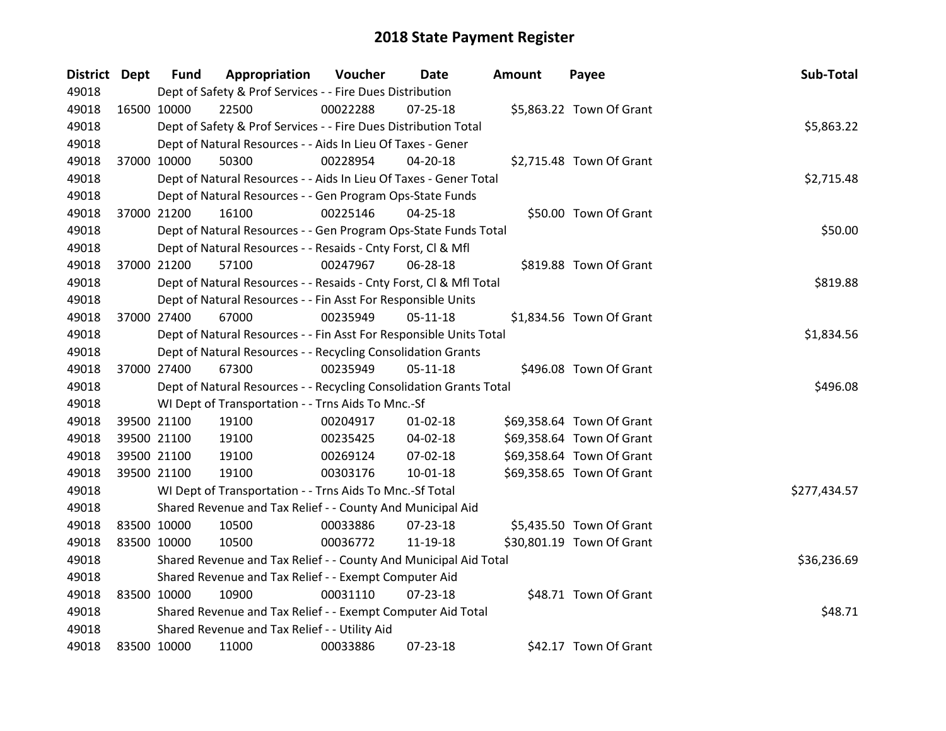| <b>District Dept</b> | <b>Fund</b> | Appropriation                                                      | Voucher  | Date           | <b>Amount</b> | Payee                     | Sub-Total    |
|----------------------|-------------|--------------------------------------------------------------------|----------|----------------|---------------|---------------------------|--------------|
| 49018                |             | Dept of Safety & Prof Services - - Fire Dues Distribution          |          |                |               |                           |              |
| 49018                | 16500 10000 | 22500                                                              | 00022288 | $07 - 25 - 18$ |               | \$5,863.22 Town Of Grant  |              |
| 49018                |             | Dept of Safety & Prof Services - - Fire Dues Distribution Total    |          |                |               |                           | \$5,863.22   |
| 49018                |             | Dept of Natural Resources - - Aids In Lieu Of Taxes - Gener        |          |                |               |                           |              |
| 49018                | 37000 10000 | 50300                                                              | 00228954 | $04 - 20 - 18$ |               | \$2,715.48 Town Of Grant  |              |
| 49018                |             | Dept of Natural Resources - - Aids In Lieu Of Taxes - Gener Total  |          |                |               |                           | \$2,715.48   |
| 49018                |             | Dept of Natural Resources - - Gen Program Ops-State Funds          |          |                |               |                           |              |
| 49018                | 37000 21200 | 16100                                                              | 00225146 | $04 - 25 - 18$ |               | \$50.00 Town Of Grant     |              |
| 49018                |             | Dept of Natural Resources - - Gen Program Ops-State Funds Total    |          |                |               |                           | \$50.00      |
| 49018                |             | Dept of Natural Resources - - Resaids - Cnty Forst, CI & Mfl       |          |                |               |                           |              |
| 49018                | 37000 21200 | 57100                                                              | 00247967 | 06-28-18       |               | \$819.88 Town Of Grant    |              |
| 49018                |             | Dept of Natural Resources - - Resaids - Cnty Forst, CI & Mfl Total |          |                |               |                           | \$819.88     |
| 49018                |             | Dept of Natural Resources - - Fin Asst For Responsible Units       |          |                |               |                           |              |
| 49018                | 37000 27400 | 67000                                                              | 00235949 | $05 - 11 - 18$ |               | \$1,834.56 Town Of Grant  |              |
| 49018                |             | Dept of Natural Resources - - Fin Asst For Responsible Units Total |          |                |               |                           | \$1,834.56   |
| 49018                |             | Dept of Natural Resources - - Recycling Consolidation Grants       |          |                |               |                           |              |
| 49018                | 37000 27400 | 67300                                                              | 00235949 | $05 - 11 - 18$ |               | \$496.08 Town Of Grant    |              |
| 49018                |             | Dept of Natural Resources - - Recycling Consolidation Grants Total |          |                |               |                           | \$496.08     |
| 49018                |             | WI Dept of Transportation - - Trns Aids To Mnc.-Sf                 |          |                |               |                           |              |
| 49018                | 39500 21100 | 19100                                                              | 00204917 | $01 - 02 - 18$ |               | \$69,358.64 Town Of Grant |              |
| 49018                | 39500 21100 | 19100                                                              | 00235425 | 04-02-18       |               | \$69,358.64 Town Of Grant |              |
| 49018                | 39500 21100 | 19100                                                              | 00269124 | 07-02-18       |               | \$69,358.64 Town Of Grant |              |
| 49018                | 39500 21100 | 19100                                                              | 00303176 | $10 - 01 - 18$ |               | \$69,358.65 Town Of Grant |              |
| 49018                |             | WI Dept of Transportation - - Trns Aids To Mnc.-Sf Total           |          |                |               |                           | \$277,434.57 |
| 49018                |             | Shared Revenue and Tax Relief - - County And Municipal Aid         |          |                |               |                           |              |
| 49018                | 83500 10000 | 10500                                                              | 00033886 | 07-23-18       |               | \$5,435.50 Town Of Grant  |              |
| 49018                | 83500 10000 | 10500                                                              | 00036772 | 11-19-18       |               | \$30,801.19 Town Of Grant |              |
| 49018                |             | Shared Revenue and Tax Relief - - County And Municipal Aid Total   |          |                |               |                           | \$36,236.69  |
| 49018                |             | Shared Revenue and Tax Relief - - Exempt Computer Aid              |          |                |               |                           |              |
| 49018                | 83500 10000 | 10900                                                              | 00031110 | $07 - 23 - 18$ |               | \$48.71 Town Of Grant     |              |
| 49018                |             | Shared Revenue and Tax Relief - - Exempt Computer Aid Total        |          |                |               |                           | \$48.71      |
| 49018                |             | Shared Revenue and Tax Relief - - Utility Aid                      |          |                |               |                           |              |
| 49018                | 83500 10000 | 11000                                                              | 00033886 | 07-23-18       |               | \$42.17 Town Of Grant     |              |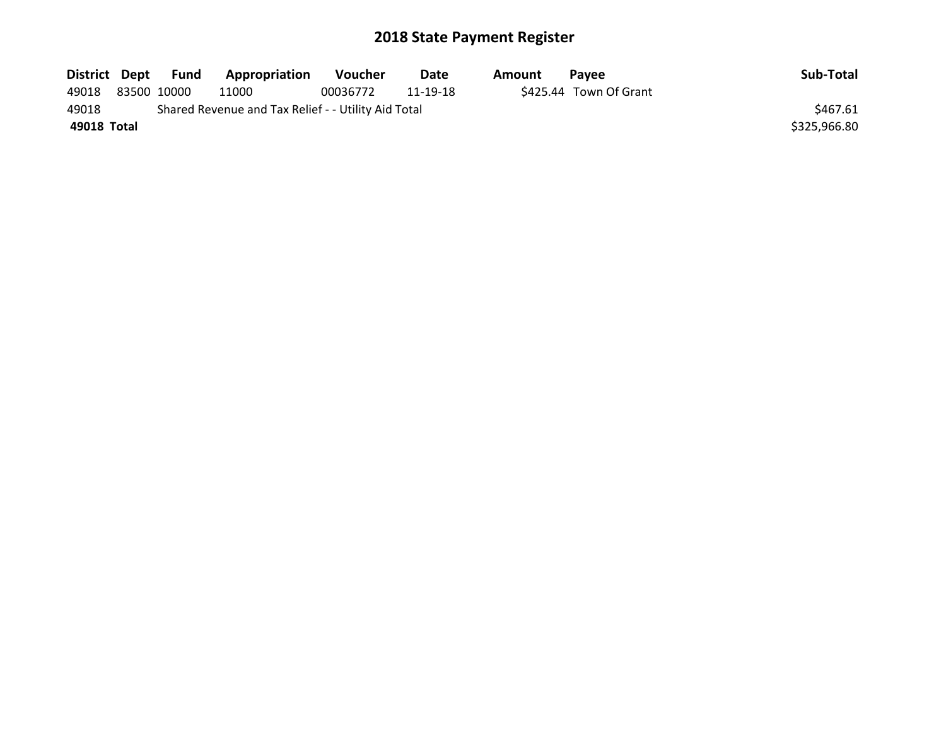|             | District Dept Fund | <b>Appropriation</b>                                | Voucher  | Date     | Amount | Pavee                  | Sub-Total    |
|-------------|--------------------|-----------------------------------------------------|----------|----------|--------|------------------------|--------------|
| 49018       | 83500 10000        | 11000                                               | 00036772 | 11-19-18 |        | \$425.44 Town Of Grant |              |
| 49018       |                    | Shared Revenue and Tax Relief - - Utility Aid Total |          |          |        |                        | \$467.61     |
| 49018 Total |                    |                                                     |          |          |        |                        | \$325,966.80 |
|             |                    |                                                     |          |          |        |                        |              |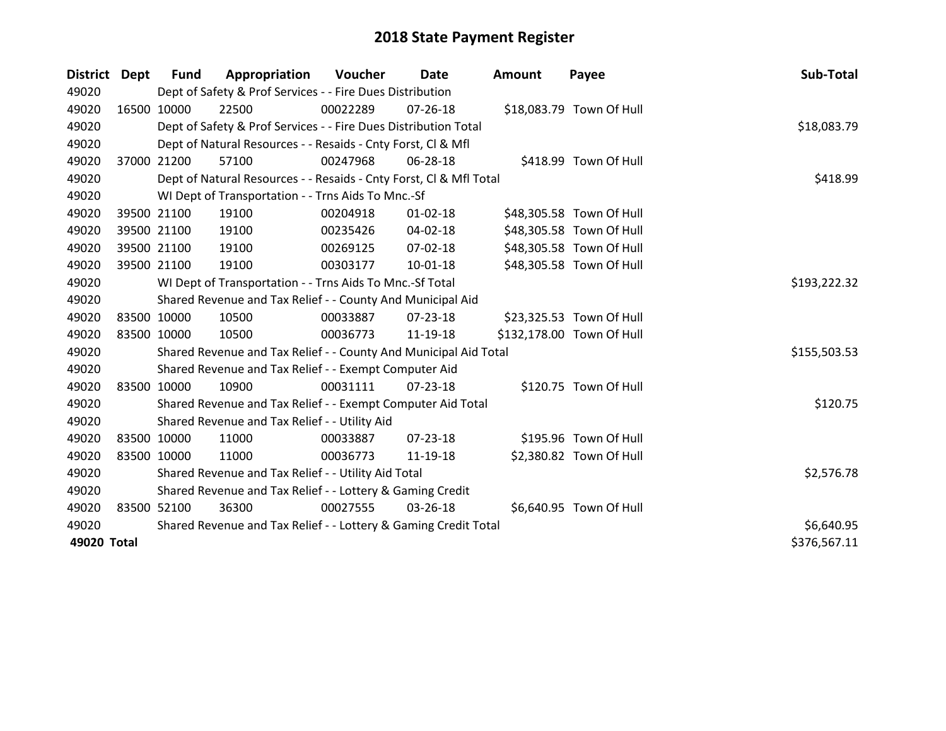| District Dept |             | <b>Fund</b> | Appropriation                                                      | Voucher    | Date           | <b>Amount</b> | Payee                     | Sub-Total    |
|---------------|-------------|-------------|--------------------------------------------------------------------|------------|----------------|---------------|---------------------------|--------------|
| 49020         |             |             | Dept of Safety & Prof Services - - Fire Dues Distribution          |            |                |               |                           |              |
| 49020         |             | 16500 10000 | 22500                                                              | 00022289   | $07 - 26 - 18$ |               | \$18,083.79 Town Of Hull  |              |
| 49020         |             |             | Dept of Safety & Prof Services - - Fire Dues Distribution Total    |            |                |               |                           | \$18,083.79  |
| 49020         |             |             | Dept of Natural Resources - - Resaids - Cnty Forst, CI & Mfl       |            |                |               |                           |              |
| 49020         | 37000 21200 |             | 57100                                                              | 00247968   | 06-28-18       |               | \$418.99 Town Of Hull     |              |
| 49020         |             |             | Dept of Natural Resources - - Resaids - Cnty Forst, Cl & Mfl Total |            |                |               |                           | \$418.99     |
| 49020         |             |             | WI Dept of Transportation - - Trns Aids To Mnc.-Sf                 |            |                |               |                           |              |
| 49020         |             | 39500 21100 | 19100                                                              | 00204918   | $01 - 02 - 18$ |               | \$48,305.58 Town Of Hull  |              |
| 49020         |             | 39500 21100 | 19100                                                              | 00235426   | 04-02-18       |               | \$48,305.58 Town Of Hull  |              |
| 49020         |             | 39500 21100 | 19100                                                              | 00269125   | $07 - 02 - 18$ |               | \$48,305.58 Town Of Hull  |              |
| 49020         |             | 39500 21100 | 19100                                                              | 00303177   | $10 - 01 - 18$ |               | \$48,305.58 Town Of Hull  |              |
| 49020         |             |             | WI Dept of Transportation - - Trns Aids To Mnc.-Sf Total           |            |                |               |                           | \$193,222.32 |
| 49020         |             |             | Shared Revenue and Tax Relief - - County And Municipal Aid         |            |                |               |                           |              |
| 49020         |             | 83500 10000 | 10500                                                              | 00033887   | $07 - 23 - 18$ |               | \$23,325.53 Town Of Hull  |              |
| 49020         |             | 83500 10000 | 10500                                                              | 00036773   | 11-19-18       |               | \$132,178.00 Town Of Hull |              |
| 49020         |             |             | Shared Revenue and Tax Relief - - County And Municipal Aid Total   |            |                |               |                           | \$155,503.53 |
| 49020         |             |             | Shared Revenue and Tax Relief - - Exempt Computer Aid              |            |                |               |                           |              |
| 49020         | 83500 10000 |             | 10900                                                              | 00031111   | 07-23-18       |               | \$120.75 Town Of Hull     |              |
| 49020         |             |             | Shared Revenue and Tax Relief - - Exempt Computer Aid Total        |            |                |               |                           | \$120.75     |
| 49020         |             |             | Shared Revenue and Tax Relief - - Utility Aid                      |            |                |               |                           |              |
| 49020         |             | 83500 10000 | 11000                                                              | 00033887   | $07 - 23 - 18$ |               | \$195.96 Town Of Hull     |              |
| 49020         |             | 83500 10000 | 11000                                                              | 00036773   | 11-19-18       |               | \$2,380.82 Town Of Hull   |              |
| 49020         |             |             | Shared Revenue and Tax Relief - - Utility Aid Total                |            |                |               |                           | \$2,576.78   |
| 49020         |             |             | Shared Revenue and Tax Relief - - Lottery & Gaming Credit          |            |                |               |                           |              |
| 49020         |             | 83500 52100 | 36300                                                              | 00027555   | 03-26-18       |               | \$6,640.95 Town Of Hull   |              |
| 49020         |             |             | Shared Revenue and Tax Relief - - Lottery & Gaming Credit Total    | \$6,640.95 |                |               |                           |              |
| 49020 Total   |             |             |                                                                    |            |                |               |                           | \$376,567.11 |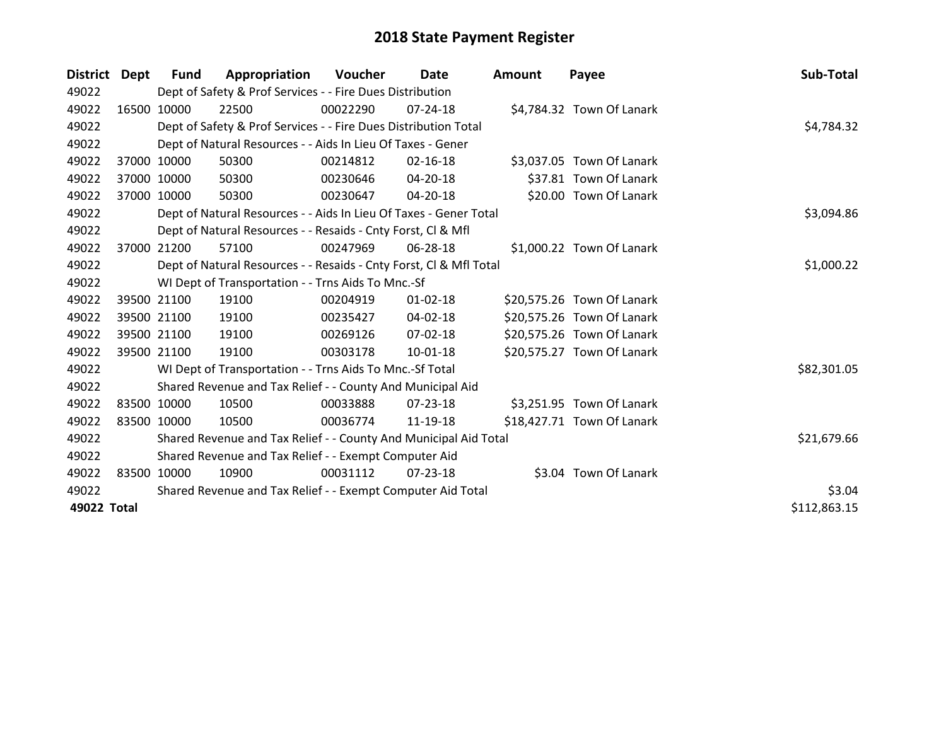| District Dept |             | Fund        | Appropriation                                                      | Voucher    | Date           | <b>Amount</b> | Payee                      | Sub-Total    |
|---------------|-------------|-------------|--------------------------------------------------------------------|------------|----------------|---------------|----------------------------|--------------|
| 49022         |             |             | Dept of Safety & Prof Services - - Fire Dues Distribution          |            |                |               |                            |              |
| 49022         |             | 16500 10000 | 22500                                                              | 00022290   | 07-24-18       |               | \$4,784.32 Town Of Lanark  |              |
| 49022         |             |             | Dept of Safety & Prof Services - - Fire Dues Distribution Total    |            |                |               |                            | \$4,784.32   |
| 49022         |             |             | Dept of Natural Resources - - Aids In Lieu Of Taxes - Gener        |            |                |               |                            |              |
| 49022         |             | 37000 10000 | 50300                                                              | 00214812   | 02-16-18       |               | \$3,037.05 Town Of Lanark  |              |
| 49022         |             | 37000 10000 | 50300                                                              | 00230646   | $04 - 20 - 18$ |               | \$37.81 Town Of Lanark     |              |
| 49022         |             | 37000 10000 | 50300                                                              | 00230647   | 04-20-18       |               | \$20.00 Town Of Lanark     |              |
| 49022         |             |             | Dept of Natural Resources - - Aids In Lieu Of Taxes - Gener Total  | \$3,094.86 |                |               |                            |              |
| 49022         |             |             | Dept of Natural Resources - - Resaids - Cnty Forst, CI & Mfl       |            |                |               |                            |              |
| 49022         |             | 37000 21200 | 57100                                                              | 00247969   | 06-28-18       |               | \$1,000.22 Town Of Lanark  |              |
| 49022         |             |             | Dept of Natural Resources - - Resaids - Cnty Forst, CI & Mfl Total |            |                |               |                            | \$1,000.22   |
| 49022         |             |             | WI Dept of Transportation - - Trns Aids To Mnc.-Sf                 |            |                |               |                            |              |
| 49022         |             | 39500 21100 | 19100                                                              | 00204919   | $01 - 02 - 18$ |               | \$20,575.26 Town Of Lanark |              |
| 49022         |             | 39500 21100 | 19100                                                              | 00235427   | 04-02-18       |               | \$20,575.26 Town Of Lanark |              |
| 49022         |             | 39500 21100 | 19100                                                              | 00269126   | 07-02-18       |               | \$20,575.26 Town Of Lanark |              |
| 49022         |             | 39500 21100 | 19100                                                              | 00303178   | 10-01-18       |               | \$20,575.27 Town Of Lanark |              |
| 49022         |             |             | WI Dept of Transportation - - Trns Aids To Mnc.-Sf Total           |            |                |               |                            | \$82,301.05  |
| 49022         |             |             | Shared Revenue and Tax Relief - - County And Municipal Aid         |            |                |               |                            |              |
| 49022         |             | 83500 10000 | 10500                                                              | 00033888   | 07-23-18       |               | \$3,251.95 Town Of Lanark  |              |
| 49022         | 83500 10000 |             | 10500                                                              | 00036774   | 11-19-18       |               | \$18,427.71 Town Of Lanark |              |
| 49022         |             |             | Shared Revenue and Tax Relief - - County And Municipal Aid Total   |            |                |               |                            | \$21,679.66  |
| 49022         |             |             | Shared Revenue and Tax Relief - - Exempt Computer Aid              |            |                |               |                            |              |
| 49022         |             | 83500 10000 | 10900                                                              | 00031112   | 07-23-18       |               | \$3.04 Town Of Lanark      |              |
| 49022         |             |             | Shared Revenue and Tax Relief - - Exempt Computer Aid Total        |            |                |               |                            | \$3.04       |
| 49022 Total   |             |             |                                                                    |            |                |               |                            | \$112,863.15 |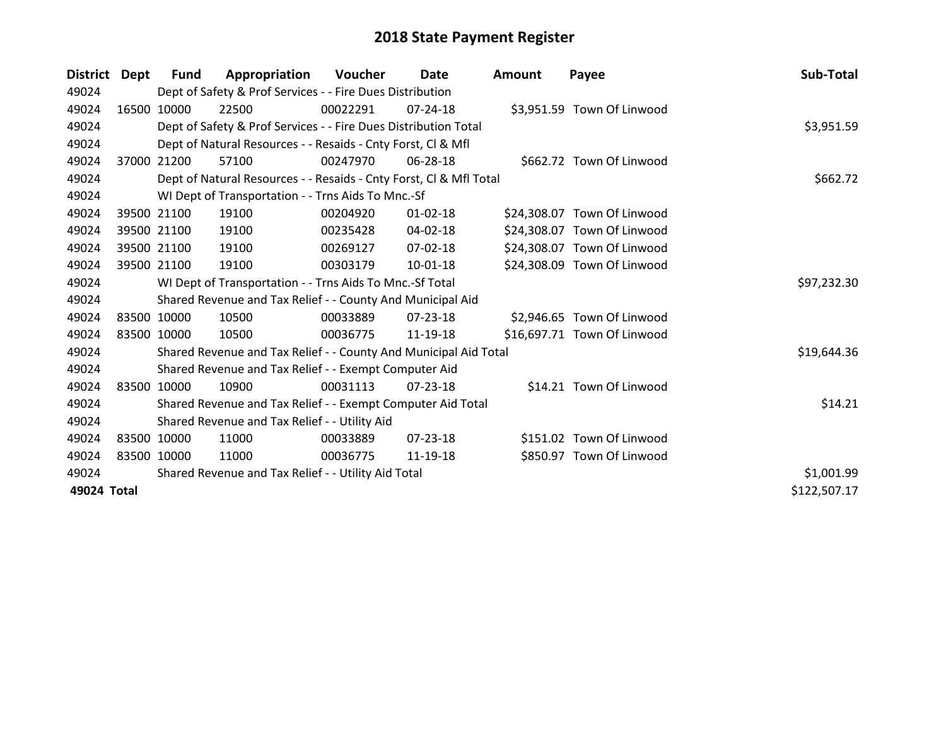| <b>District</b> | Dept  | <b>Fund</b> | Appropriation                                                      | <b>Voucher</b> | Date           | Amount | Payee                       | Sub-Total    |
|-----------------|-------|-------------|--------------------------------------------------------------------|----------------|----------------|--------|-----------------------------|--------------|
| 49024           |       |             | Dept of Safety & Prof Services - - Fire Dues Distribution          |                |                |        |                             |              |
| 49024           |       | 16500 10000 | 22500                                                              | 00022291       | 07-24-18       |        | \$3,951.59 Town Of Linwood  |              |
| 49024           |       |             | Dept of Safety & Prof Services - - Fire Dues Distribution Total    |                |                |        |                             | \$3,951.59   |
| 49024           |       |             | Dept of Natural Resources - - Resaids - Cnty Forst, CI & Mfl       |                |                |        |                             |              |
| 49024           | 37000 | 21200       | 57100                                                              | 00247970       | 06-28-18       |        | \$662.72 Town Of Linwood    |              |
| 49024           |       |             | Dept of Natural Resources - - Resaids - Cnty Forst, Cl & Mfl Total |                | \$662.72       |        |                             |              |
| 49024           |       |             | WI Dept of Transportation - - Trns Aids To Mnc.-Sf                 |                |                |        |                             |              |
| 49024           |       | 39500 21100 | 19100                                                              | 00204920       | $01 - 02 - 18$ |        | \$24,308.07 Town Of Linwood |              |
| 49024           |       | 39500 21100 | 19100                                                              | 00235428       | 04-02-18       |        | \$24,308.07 Town Of Linwood |              |
| 49024           |       | 39500 21100 | 19100                                                              | 00269127       | $07 - 02 - 18$ |        | \$24,308.07 Town Of Linwood |              |
| 49024           |       | 39500 21100 | 19100                                                              | 00303179       | $10 - 01 - 18$ |        | \$24,308.09 Town Of Linwood |              |
| 49024           |       |             | WI Dept of Transportation - - Trns Aids To Mnc.-Sf Total           |                |                |        |                             | \$97,232.30  |
| 49024           |       |             | Shared Revenue and Tax Relief - - County And Municipal Aid         |                |                |        |                             |              |
| 49024           |       | 83500 10000 | 10500                                                              | 00033889       | $07 - 23 - 18$ |        | \$2,946.65 Town Of Linwood  |              |
| 49024           |       | 83500 10000 | 10500                                                              | 00036775       | 11-19-18       |        | \$16,697.71 Town Of Linwood |              |
| 49024           |       |             | Shared Revenue and Tax Relief - - County And Municipal Aid Total   |                |                |        |                             | \$19,644.36  |
| 49024           |       |             | Shared Revenue and Tax Relief - - Exempt Computer Aid              |                |                |        |                             |              |
| 49024           |       | 83500 10000 | 10900                                                              | 00031113       | 07-23-18       |        | \$14.21 Town Of Linwood     |              |
| 49024           |       |             | Shared Revenue and Tax Relief - - Exempt Computer Aid Total        |                |                |        |                             | \$14.21      |
| 49024           |       |             | Shared Revenue and Tax Relief - - Utility Aid                      |                |                |        |                             |              |
| 49024           |       | 83500 10000 | 11000                                                              | 00033889       | $07 - 23 - 18$ |        | \$151.02 Town Of Linwood    |              |
| 49024           |       | 83500 10000 | 11000                                                              | 00036775       | 11-19-18       |        | \$850.97 Town Of Linwood    |              |
| 49024           |       |             | Shared Revenue and Tax Relief - - Utility Aid Total                |                |                |        |                             | \$1,001.99   |
| 49024 Total     |       |             |                                                                    |                |                |        |                             | \$122,507.17 |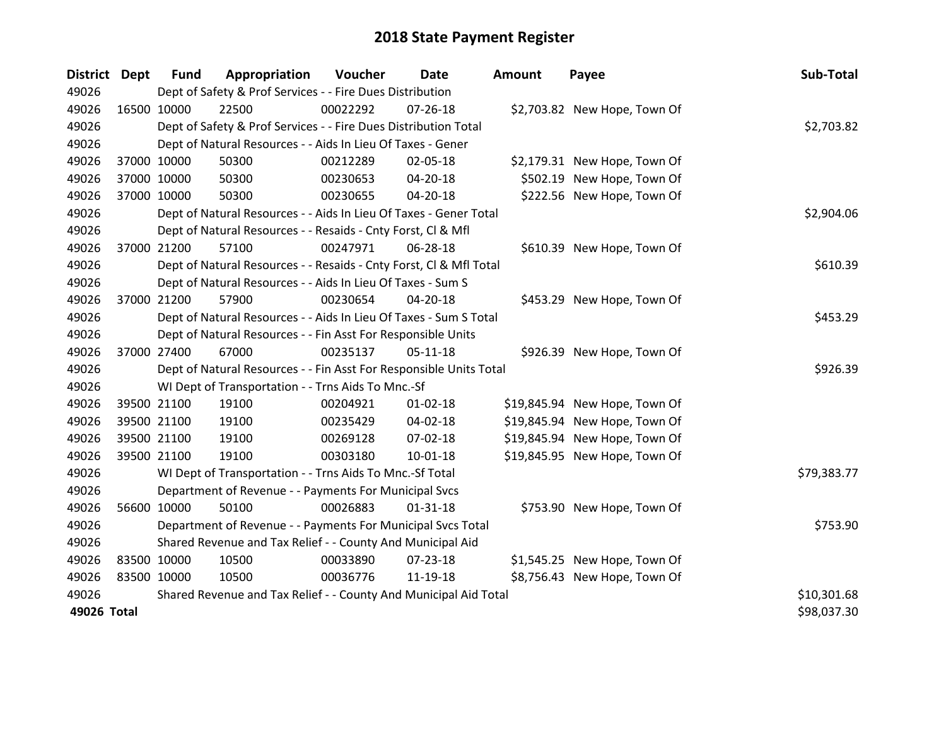| <b>District Dept</b> |             | <b>Fund</b> | Appropriation                                                      | Voucher  | <b>Date</b>    | <b>Amount</b> | Payee                         | Sub-Total   |
|----------------------|-------------|-------------|--------------------------------------------------------------------|----------|----------------|---------------|-------------------------------|-------------|
| 49026                |             |             | Dept of Safety & Prof Services - - Fire Dues Distribution          |          |                |               |                               |             |
| 49026                | 16500 10000 |             | 22500                                                              | 00022292 | 07-26-18       |               | \$2,703.82 New Hope, Town Of  |             |
| 49026                |             |             | Dept of Safety & Prof Services - - Fire Dues Distribution Total    |          |                |               |                               | \$2,703.82  |
| 49026                |             |             | Dept of Natural Resources - - Aids In Lieu Of Taxes - Gener        |          |                |               |                               |             |
| 49026                |             | 37000 10000 | 50300                                                              | 00212289 | 02-05-18       |               | \$2,179.31 New Hope, Town Of  |             |
| 49026                |             | 37000 10000 | 50300                                                              | 00230653 | 04-20-18       |               | \$502.19 New Hope, Town Of    |             |
| 49026                |             | 37000 10000 | 50300                                                              | 00230655 | 04-20-18       |               | \$222.56 New Hope, Town Of    |             |
| 49026                |             |             | Dept of Natural Resources - - Aids In Lieu Of Taxes - Gener Total  |          | \$2,904.06     |               |                               |             |
| 49026                |             |             | Dept of Natural Resources - - Resaids - Cnty Forst, CI & Mfl       |          |                |               |                               |             |
| 49026                |             | 37000 21200 | 57100                                                              | 00247971 | 06-28-18       |               | \$610.39 New Hope, Town Of    |             |
| 49026                |             |             | Dept of Natural Resources - - Resaids - Cnty Forst, CI & Mfl Total |          |                |               |                               | \$610.39    |
| 49026                |             |             | Dept of Natural Resources - - Aids In Lieu Of Taxes - Sum S        |          |                |               |                               |             |
| 49026                |             | 37000 21200 | 57900                                                              | 00230654 | 04-20-18       |               | \$453.29 New Hope, Town Of    |             |
| 49026                |             |             | Dept of Natural Resources - - Aids In Lieu Of Taxes - Sum S Total  | \$453.29 |                |               |                               |             |
| 49026                |             |             | Dept of Natural Resources - - Fin Asst For Responsible Units       |          |                |               |                               |             |
| 49026                |             | 37000 27400 | 67000                                                              | 00235137 | $05 - 11 - 18$ |               | \$926.39 New Hope, Town Of    |             |
| 49026                |             |             | Dept of Natural Resources - - Fin Asst For Responsible Units Total |          |                |               |                               | \$926.39    |
| 49026                |             |             | WI Dept of Transportation - - Trns Aids To Mnc.-Sf                 |          |                |               |                               |             |
| 49026                |             | 39500 21100 | 19100                                                              | 00204921 | $01 - 02 - 18$ |               | \$19,845.94 New Hope, Town Of |             |
| 49026                |             | 39500 21100 | 19100                                                              | 00235429 | 04-02-18       |               | \$19,845.94 New Hope, Town Of |             |
| 49026                |             | 39500 21100 | 19100                                                              | 00269128 | 07-02-18       |               | \$19,845.94 New Hope, Town Of |             |
| 49026                | 39500 21100 |             | 19100                                                              | 00303180 | $10 - 01 - 18$ |               | \$19,845.95 New Hope, Town Of |             |
| 49026                |             |             | WI Dept of Transportation - - Trns Aids To Mnc.-Sf Total           |          |                |               |                               | \$79,383.77 |
| 49026                |             |             | Department of Revenue - - Payments For Municipal Svcs              |          |                |               |                               |             |
| 49026                |             | 56600 10000 | 50100                                                              | 00026883 | $01 - 31 - 18$ |               | \$753.90 New Hope, Town Of    |             |
| 49026                |             |             | Department of Revenue - - Payments For Municipal Svcs Total        |          |                |               |                               | \$753.90    |
| 49026                |             |             | Shared Revenue and Tax Relief - - County And Municipal Aid         |          |                |               |                               |             |
| 49026                | 83500 10000 |             | 10500                                                              | 00033890 | 07-23-18       |               | \$1,545.25 New Hope, Town Of  |             |
| 49026                | 83500 10000 |             | 10500                                                              | 00036776 | 11-19-18       |               | \$8,756.43 New Hope, Town Of  |             |
| 49026                |             |             | Shared Revenue and Tax Relief - - County And Municipal Aid Total   |          |                |               |                               | \$10,301.68 |
| 49026 Total          |             |             |                                                                    |          |                |               |                               | \$98,037.30 |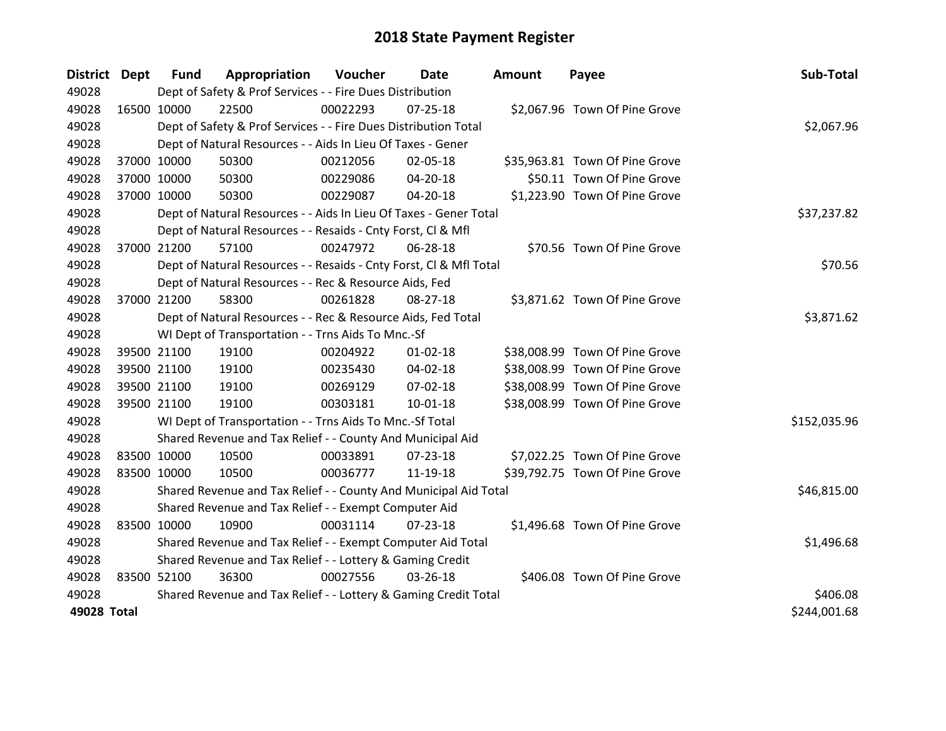| District Dept |             | <b>Fund</b> | Appropriation                                                      | Voucher  | Date           | <b>Amount</b> | Payee                          | Sub-Total    |
|---------------|-------------|-------------|--------------------------------------------------------------------|----------|----------------|---------------|--------------------------------|--------------|
| 49028         |             |             | Dept of Safety & Prof Services - - Fire Dues Distribution          |          |                |               |                                |              |
| 49028         | 16500 10000 |             | 22500                                                              | 00022293 | 07-25-18       |               | \$2,067.96 Town Of Pine Grove  |              |
| 49028         |             |             | Dept of Safety & Prof Services - - Fire Dues Distribution Total    |          |                |               |                                | \$2,067.96   |
| 49028         |             |             | Dept of Natural Resources - - Aids In Lieu Of Taxes - Gener        |          |                |               |                                |              |
| 49028         | 37000 10000 |             | 50300                                                              | 00212056 | 02-05-18       |               | \$35,963.81 Town Of Pine Grove |              |
| 49028         | 37000 10000 |             | 50300                                                              | 00229086 | $04 - 20 - 18$ |               | \$50.11 Town Of Pine Grove     |              |
| 49028         | 37000 10000 |             | 50300                                                              | 00229087 | 04-20-18       |               | \$1,223.90 Town Of Pine Grove  |              |
| 49028         |             |             | Dept of Natural Resources - - Aids In Lieu Of Taxes - Gener Total  |          |                |               |                                | \$37,237.82  |
| 49028         |             |             | Dept of Natural Resources - - Resaids - Cnty Forst, Cl & Mfl       |          |                |               |                                |              |
| 49028         | 37000 21200 |             | 57100                                                              | 00247972 | 06-28-18       |               | \$70.56 Town Of Pine Grove     |              |
| 49028         |             |             | Dept of Natural Resources - - Resaids - Cnty Forst, Cl & Mfl Total |          |                |               |                                | \$70.56      |
| 49028         |             |             | Dept of Natural Resources - - Rec & Resource Aids, Fed             |          |                |               |                                |              |
| 49028         | 37000 21200 |             | 58300                                                              | 00261828 | 08-27-18       |               | \$3,871.62 Town Of Pine Grove  |              |
| 49028         |             |             | Dept of Natural Resources - - Rec & Resource Aids, Fed Total       |          |                |               |                                | \$3,871.62   |
| 49028         |             |             | WI Dept of Transportation - - Trns Aids To Mnc.-Sf                 |          |                |               |                                |              |
| 49028         | 39500 21100 |             | 19100                                                              | 00204922 | $01 - 02 - 18$ |               | \$38,008.99 Town Of Pine Grove |              |
| 49028         |             | 39500 21100 | 19100                                                              | 00235430 | $04 - 02 - 18$ |               | \$38,008.99 Town Of Pine Grove |              |
| 49028         |             | 39500 21100 | 19100                                                              | 00269129 | 07-02-18       |               | \$38,008.99 Town Of Pine Grove |              |
| 49028         | 39500 21100 |             | 19100                                                              | 00303181 | 10-01-18       |               | \$38,008.99 Town Of Pine Grove |              |
| 49028         |             |             | WI Dept of Transportation - - Trns Aids To Mnc.-Sf Total           |          |                |               |                                | \$152,035.96 |
| 49028         |             |             | Shared Revenue and Tax Relief - - County And Municipal Aid         |          |                |               |                                |              |
| 49028         | 83500 10000 |             | 10500                                                              | 00033891 | $07 - 23 - 18$ |               | \$7,022.25 Town Of Pine Grove  |              |
| 49028         | 83500 10000 |             | 10500                                                              | 00036777 | 11-19-18       |               | \$39,792.75 Town Of Pine Grove |              |
| 49028         |             |             | Shared Revenue and Tax Relief - - County And Municipal Aid Total   |          |                |               |                                | \$46,815.00  |
| 49028         |             |             | Shared Revenue and Tax Relief - - Exempt Computer Aid              |          |                |               |                                |              |
| 49028         | 83500 10000 |             | 10900                                                              | 00031114 | $07 - 23 - 18$ |               | \$1,496.68 Town Of Pine Grove  |              |
| 49028         |             |             | Shared Revenue and Tax Relief - - Exempt Computer Aid Total        |          |                |               |                                | \$1,496.68   |
| 49028         |             |             | Shared Revenue and Tax Relief - - Lottery & Gaming Credit          |          |                |               |                                |              |
| 49028         | 83500 52100 |             | 36300                                                              | 00027556 | 03-26-18       |               | \$406.08 Town Of Pine Grove    |              |
| 49028         |             |             | Shared Revenue and Tax Relief - - Lottery & Gaming Credit Total    |          |                |               |                                | \$406.08     |
| 49028 Total   |             |             |                                                                    |          |                |               |                                | \$244,001.68 |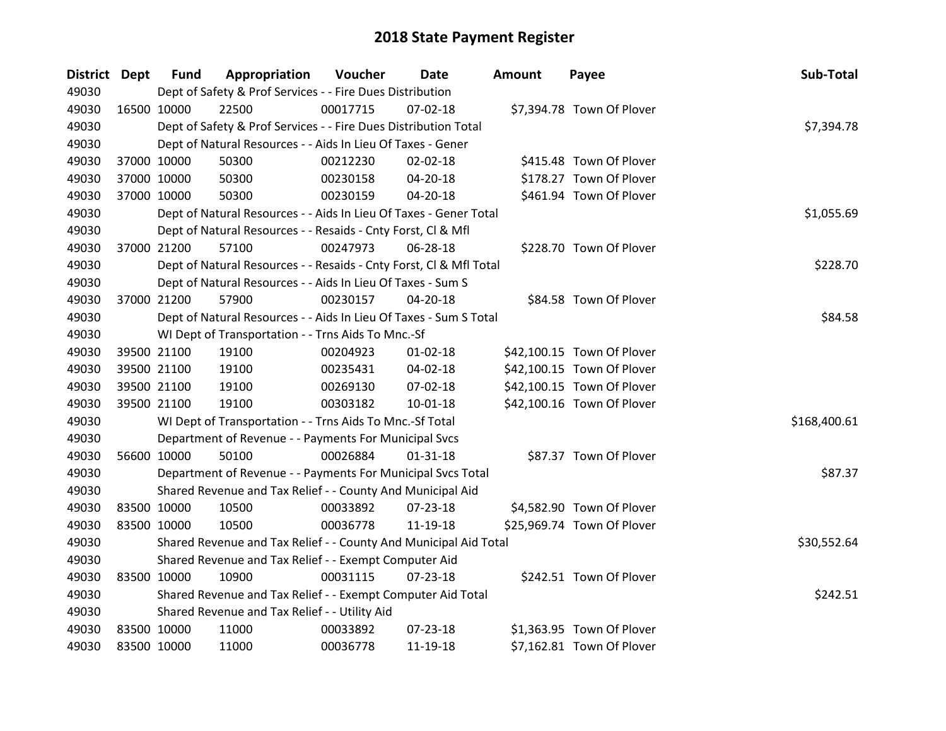| District Dept | <b>Fund</b> | Appropriation                                                      | Voucher  | <b>Date</b>    | <b>Amount</b> | Payee                      | Sub-Total    |
|---------------|-------------|--------------------------------------------------------------------|----------|----------------|---------------|----------------------------|--------------|
| 49030         |             | Dept of Safety & Prof Services - - Fire Dues Distribution          |          |                |               |                            |              |
| 49030         | 16500 10000 | 22500                                                              | 00017715 | $07 - 02 - 18$ |               | \$7,394.78 Town Of Plover  |              |
| 49030         |             | Dept of Safety & Prof Services - - Fire Dues Distribution Total    |          |                |               |                            | \$7,394.78   |
| 49030         |             | Dept of Natural Resources - - Aids In Lieu Of Taxes - Gener        |          |                |               |                            |              |
| 49030         | 37000 10000 | 50300                                                              | 00212230 | 02-02-18       |               | \$415.48 Town Of Plover    |              |
| 49030         | 37000 10000 | 50300                                                              | 00230158 | 04-20-18       |               | \$178.27 Town Of Plover    |              |
| 49030         | 37000 10000 | 50300                                                              | 00230159 | 04-20-18       |               | \$461.94 Town Of Plover    |              |
| 49030         |             | Dept of Natural Resources - - Aids In Lieu Of Taxes - Gener Total  |          |                |               |                            | \$1,055.69   |
| 49030         |             | Dept of Natural Resources - - Resaids - Cnty Forst, CI & Mfl       |          |                |               |                            |              |
| 49030         | 37000 21200 | 57100                                                              | 00247973 | 06-28-18       |               | \$228.70 Town Of Plover    |              |
| 49030         |             | Dept of Natural Resources - - Resaids - Cnty Forst, Cl & Mfl Total |          |                |               |                            | \$228.70     |
| 49030         |             | Dept of Natural Resources - - Aids In Lieu Of Taxes - Sum S        |          |                |               |                            |              |
| 49030         | 37000 21200 | 57900                                                              | 00230157 | 04-20-18       |               | \$84.58 Town Of Plover     |              |
| 49030         |             | Dept of Natural Resources - - Aids In Lieu Of Taxes - Sum S Total  |          |                |               |                            | \$84.58      |
| 49030         |             | WI Dept of Transportation - - Trns Aids To Mnc.-Sf                 |          |                |               |                            |              |
| 49030         | 39500 21100 | 19100                                                              | 00204923 | $01 - 02 - 18$ |               | \$42,100.15 Town Of Plover |              |
| 49030         | 39500 21100 | 19100                                                              | 00235431 | 04-02-18       |               | \$42,100.15 Town Of Plover |              |
| 49030         | 39500 21100 | 19100                                                              | 00269130 | 07-02-18       |               | \$42,100.15 Town Of Plover |              |
| 49030         | 39500 21100 | 19100                                                              | 00303182 | 10-01-18       |               | \$42,100.16 Town Of Plover |              |
| 49030         |             | WI Dept of Transportation - - Trns Aids To Mnc.-Sf Total           |          |                |               |                            | \$168,400.61 |
| 49030         |             | Department of Revenue - - Payments For Municipal Svcs              |          |                |               |                            |              |
| 49030         | 56600 10000 | 50100                                                              | 00026884 | $01 - 31 - 18$ |               | \$87.37 Town Of Plover     |              |
| 49030         |             | Department of Revenue - - Payments For Municipal Svcs Total        |          |                |               |                            | \$87.37      |
| 49030         |             | Shared Revenue and Tax Relief - - County And Municipal Aid         |          |                |               |                            |              |
| 49030         | 83500 10000 | 10500                                                              | 00033892 | 07-23-18       |               | \$4,582.90 Town Of Plover  |              |
| 49030         | 83500 10000 | 10500                                                              | 00036778 | 11-19-18       |               | \$25,969.74 Town Of Plover |              |
| 49030         |             | Shared Revenue and Tax Relief - - County And Municipal Aid Total   |          |                |               |                            | \$30,552.64  |
| 49030         |             | Shared Revenue and Tax Relief - - Exempt Computer Aid              |          |                |               |                            |              |
| 49030         | 83500 10000 | 10900                                                              | 00031115 | $07 - 23 - 18$ |               | \$242.51 Town Of Plover    |              |
| 49030         |             | Shared Revenue and Tax Relief - - Exempt Computer Aid Total        |          |                |               |                            | \$242.51     |
| 49030         |             | Shared Revenue and Tax Relief - - Utility Aid                      |          |                |               |                            |              |
| 49030         | 83500 10000 | 11000                                                              | 00033892 | 07-23-18       |               | \$1,363.95 Town Of Plover  |              |
| 49030         | 83500 10000 | 11000                                                              | 00036778 | 11-19-18       |               | \$7,162.81 Town Of Plover  |              |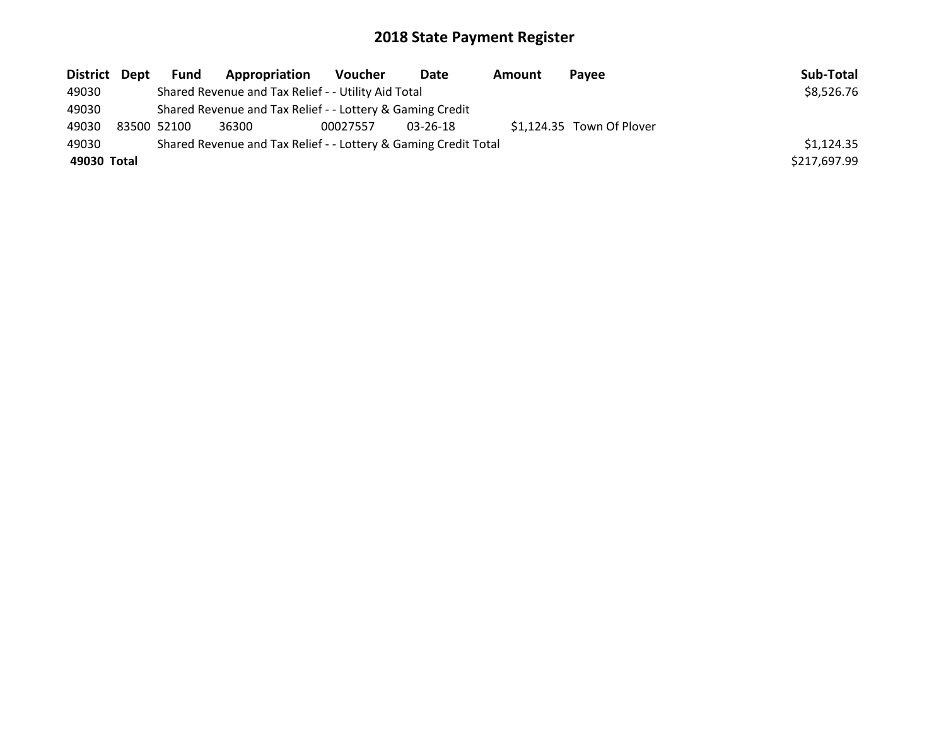| District Dept |                                                                 | Fund        | Appropriation                                             | <b>Voucher</b> | Date           | Amount | <b>Pavee</b>              | Sub-Total    |
|---------------|-----------------------------------------------------------------|-------------|-----------------------------------------------------------|----------------|----------------|--------|---------------------------|--------------|
| 49030         |                                                                 |             | Shared Revenue and Tax Relief - - Utility Aid Total       |                |                |        |                           | \$8,526.76   |
| 49030         |                                                                 |             | Shared Revenue and Tax Relief - - Lottery & Gaming Credit |                |                |        |                           |              |
| 49030         |                                                                 | 83500 52100 | 36300                                                     | 00027557       | $03 - 26 - 18$ |        | \$1,124.35 Town Of Plover |              |
| 49030         | Shared Revenue and Tax Relief - - Lottery & Gaming Credit Total |             |                                                           |                |                |        | \$1,124.35                |              |
| 49030 Total   |                                                                 |             |                                                           |                |                |        |                           | \$217,697.99 |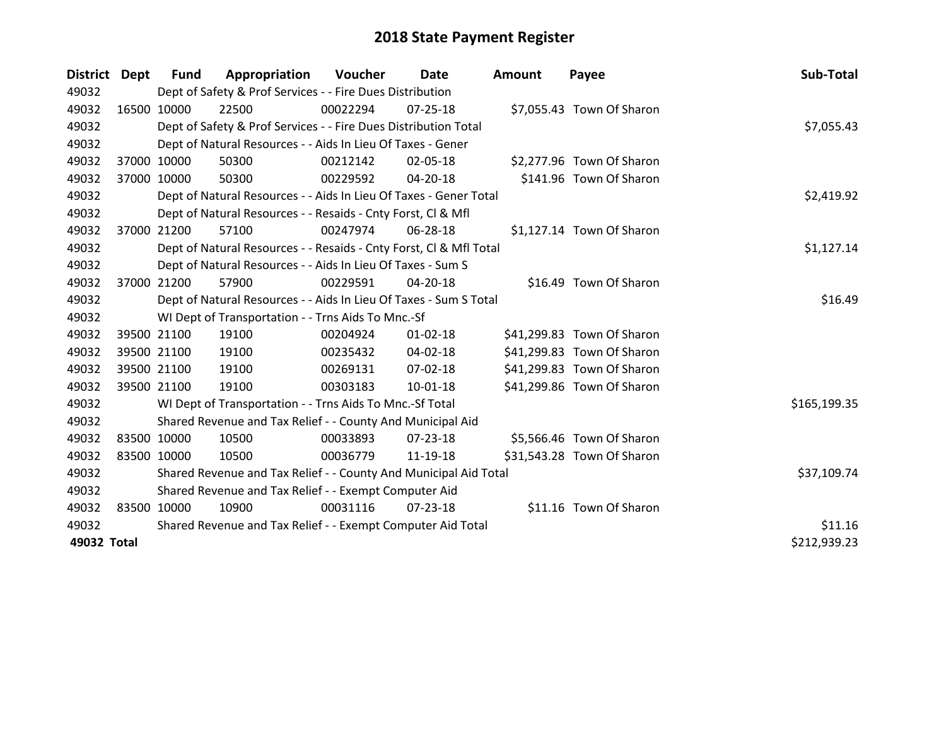| District Dept | Fund                                                  | Appropriation                                                      | <b>Voucher</b> | Date           | <b>Amount</b> | Payee                      | Sub-Total    |
|---------------|-------------------------------------------------------|--------------------------------------------------------------------|----------------|----------------|---------------|----------------------------|--------------|
| 49032         |                                                       | Dept of Safety & Prof Services - - Fire Dues Distribution          |                |                |               |                            |              |
| 49032         | 16500 10000                                           | 22500                                                              | 00022294       | $07 - 25 - 18$ |               | \$7,055.43 Town Of Sharon  |              |
| 49032         |                                                       | Dept of Safety & Prof Services - - Fire Dues Distribution Total    |                |                |               |                            | \$7,055.43   |
| 49032         |                                                       | Dept of Natural Resources - - Aids In Lieu Of Taxes - Gener        |                |                |               |                            |              |
| 49032         | 37000 10000                                           | 50300                                                              | 00212142       | 02-05-18       |               | \$2,277.96 Town Of Sharon  |              |
| 49032         | 37000 10000                                           | 50300                                                              | 00229592       | 04-20-18       |               | \$141.96 Town Of Sharon    |              |
| 49032         |                                                       | Dept of Natural Resources - - Aids In Lieu Of Taxes - Gener Total  |                | \$2,419.92     |               |                            |              |
| 49032         |                                                       | Dept of Natural Resources - - Resaids - Cnty Forst, CI & Mfl       |                |                |               |                            |              |
| 49032         | 37000 21200                                           | 57100                                                              | 00247974       | 06-28-18       |               | \$1,127.14 Town Of Sharon  |              |
| 49032         |                                                       | Dept of Natural Resources - - Resaids - Cnty Forst, Cl & Mfl Total |                |                |               |                            | \$1,127.14   |
| 49032         |                                                       | Dept of Natural Resources - - Aids In Lieu Of Taxes - Sum S        |                |                |               |                            |              |
| 49032         | 37000 21200                                           | 57900                                                              | 00229591       | 04-20-18       |               | \$16.49 Town Of Sharon     |              |
| 49032         |                                                       | Dept of Natural Resources - - Aids In Lieu Of Taxes - Sum S Total  |                |                |               |                            | \$16.49      |
| 49032         |                                                       | WI Dept of Transportation - - Trns Aids To Mnc.-Sf                 |                |                |               |                            |              |
| 49032         | 39500 21100                                           | 19100                                                              | 00204924       | $01 - 02 - 18$ |               | \$41,299.83 Town Of Sharon |              |
| 49032         | 39500 21100                                           | 19100                                                              | 00235432       | 04-02-18       |               | \$41,299.83 Town Of Sharon |              |
| 49032         | 39500 21100                                           | 19100                                                              | 00269131       | $07 - 02 - 18$ |               | \$41,299.83 Town Of Sharon |              |
| 49032         | 39500 21100                                           | 19100                                                              | 00303183       | $10 - 01 - 18$ |               | \$41,299.86 Town Of Sharon |              |
| 49032         |                                                       | WI Dept of Transportation - - Trns Aids To Mnc.-Sf Total           |                |                |               |                            | \$165,199.35 |
| 49032         |                                                       | Shared Revenue and Tax Relief - - County And Municipal Aid         |                |                |               |                            |              |
| 49032         | 83500 10000                                           | 10500                                                              | 00033893       | 07-23-18       |               | \$5,566.46 Town Of Sharon  |              |
| 49032         | 83500 10000                                           | 10500                                                              | 00036779       | 11-19-18       |               | \$31,543.28 Town Of Sharon |              |
| 49032         |                                                       | Shared Revenue and Tax Relief - - County And Municipal Aid Total   |                |                |               |                            | \$37,109.74  |
| 49032         | Shared Revenue and Tax Relief - - Exempt Computer Aid |                                                                    |                |                |               |                            |              |
| 49032         | 83500 10000                                           | 10900                                                              | 00031116       | $07 - 23 - 18$ |               | \$11.16 Town Of Sharon     |              |
| 49032         |                                                       | Shared Revenue and Tax Relief - - Exempt Computer Aid Total        |                | \$11.16        |               |                            |              |
| 49032 Total   |                                                       |                                                                    |                |                |               |                            | \$212,939.23 |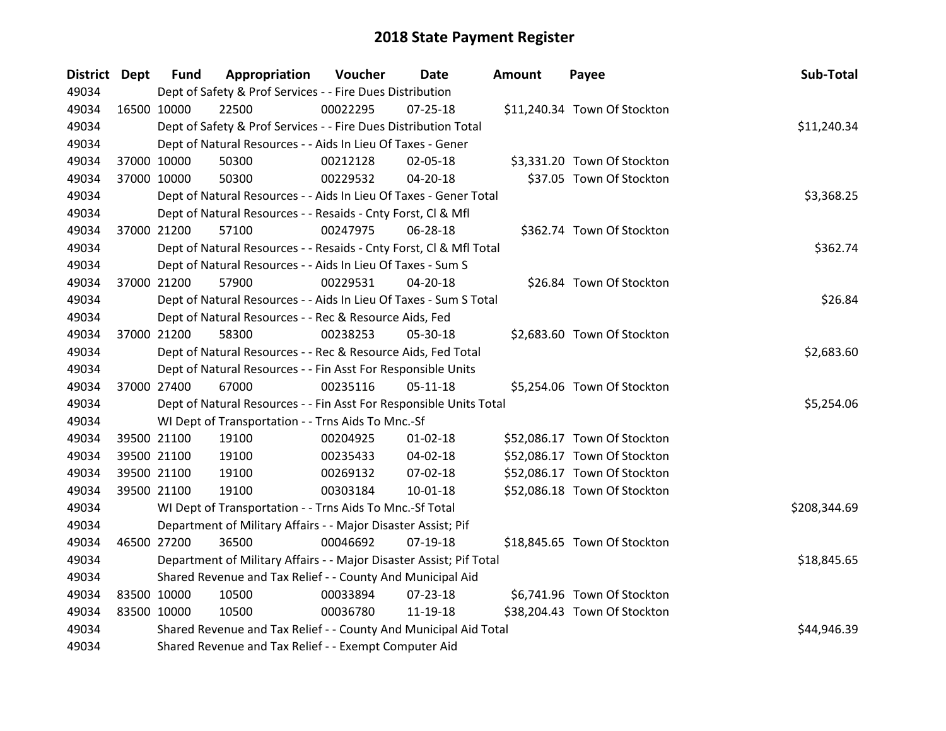| District Dept | <b>Fund</b>                                                | Appropriation                                                       | Voucher  | Date           | <b>Amount</b> | Payee                        | Sub-Total    |
|---------------|------------------------------------------------------------|---------------------------------------------------------------------|----------|----------------|---------------|------------------------------|--------------|
| 49034         |                                                            | Dept of Safety & Prof Services - - Fire Dues Distribution           |          |                |               |                              |              |
| 49034         | 16500 10000                                                | 22500                                                               | 00022295 | $07 - 25 - 18$ |               | \$11,240.34 Town Of Stockton |              |
| 49034         |                                                            | Dept of Safety & Prof Services - - Fire Dues Distribution Total     |          |                |               |                              | \$11,240.34  |
| 49034         |                                                            | Dept of Natural Resources - - Aids In Lieu Of Taxes - Gener         |          |                |               |                              |              |
| 49034         | 37000 10000                                                | 50300                                                               | 00212128 | 02-05-18       |               | \$3,331.20 Town Of Stockton  |              |
| 49034         | 37000 10000                                                | 50300                                                               | 00229532 | 04-20-18       |               | \$37.05 Town Of Stockton     |              |
| 49034         |                                                            | Dept of Natural Resources - - Aids In Lieu Of Taxes - Gener Total   |          |                |               |                              | \$3,368.25   |
| 49034         |                                                            | Dept of Natural Resources - - Resaids - Cnty Forst, Cl & Mfl        |          |                |               |                              |              |
| 49034         | 37000 21200                                                | 57100                                                               | 00247975 | 06-28-18       |               | \$362.74 Town Of Stockton    |              |
| 49034         |                                                            | Dept of Natural Resources - - Resaids - Cnty Forst, Cl & Mfl Total  |          |                |               |                              | \$362.74     |
| 49034         |                                                            | Dept of Natural Resources - - Aids In Lieu Of Taxes - Sum S         |          |                |               |                              |              |
| 49034         | 37000 21200                                                | 57900                                                               | 00229531 | 04-20-18       |               | \$26.84 Town Of Stockton     |              |
| 49034         |                                                            | Dept of Natural Resources - - Aids In Lieu Of Taxes - Sum S Total   |          |                |               |                              | \$26.84      |
| 49034         |                                                            | Dept of Natural Resources - - Rec & Resource Aids, Fed              |          |                |               |                              |              |
| 49034         | 37000 21200                                                | 58300                                                               | 00238253 | 05-30-18       |               | \$2,683.60 Town Of Stockton  |              |
| 49034         |                                                            | Dept of Natural Resources - - Rec & Resource Aids, Fed Total        |          |                |               |                              | \$2,683.60   |
| 49034         |                                                            | Dept of Natural Resources - - Fin Asst For Responsible Units        |          |                |               |                              |              |
| 49034         | 37000 27400                                                | 67000                                                               | 00235116 | 05-11-18       |               | \$5,254.06 Town Of Stockton  |              |
| 49034         |                                                            | Dept of Natural Resources - - Fin Asst For Responsible Units Total  |          |                |               |                              | \$5,254.06   |
| 49034         |                                                            | WI Dept of Transportation - - Trns Aids To Mnc.-Sf                  |          |                |               |                              |              |
| 49034         | 39500 21100                                                | 19100                                                               | 00204925 | $01 - 02 - 18$ |               | \$52,086.17 Town Of Stockton |              |
| 49034         | 39500 21100                                                | 19100                                                               | 00235433 | 04-02-18       |               | \$52,086.17 Town Of Stockton |              |
| 49034         | 39500 21100                                                | 19100                                                               | 00269132 | 07-02-18       |               | \$52,086.17 Town Of Stockton |              |
| 49034         | 39500 21100                                                | 19100                                                               | 00303184 | 10-01-18       |               | \$52,086.18 Town Of Stockton |              |
| 49034         |                                                            | WI Dept of Transportation - - Trns Aids To Mnc.-Sf Total            |          |                |               |                              | \$208,344.69 |
| 49034         |                                                            | Department of Military Affairs - - Major Disaster Assist; Pif       |          |                |               |                              |              |
| 49034         | 46500 27200                                                | 36500                                                               | 00046692 | 07-19-18       |               | \$18,845.65 Town Of Stockton |              |
| 49034         |                                                            | Department of Military Affairs - - Major Disaster Assist; Pif Total |          |                |               |                              | \$18,845.65  |
| 49034         | Shared Revenue and Tax Relief - - County And Municipal Aid |                                                                     |          |                |               |                              |              |
| 49034         | 83500 10000                                                | 10500                                                               | 00033894 | $07 - 23 - 18$ |               | \$6,741.96 Town Of Stockton  |              |
| 49034         | 83500 10000                                                | 10500                                                               | 00036780 | 11-19-18       |               | \$38,204.43 Town Of Stockton |              |
| 49034         |                                                            | Shared Revenue and Tax Relief - - County And Municipal Aid Total    |          |                |               |                              | \$44,946.39  |
| 49034         |                                                            | Shared Revenue and Tax Relief - - Exempt Computer Aid               |          |                |               |                              |              |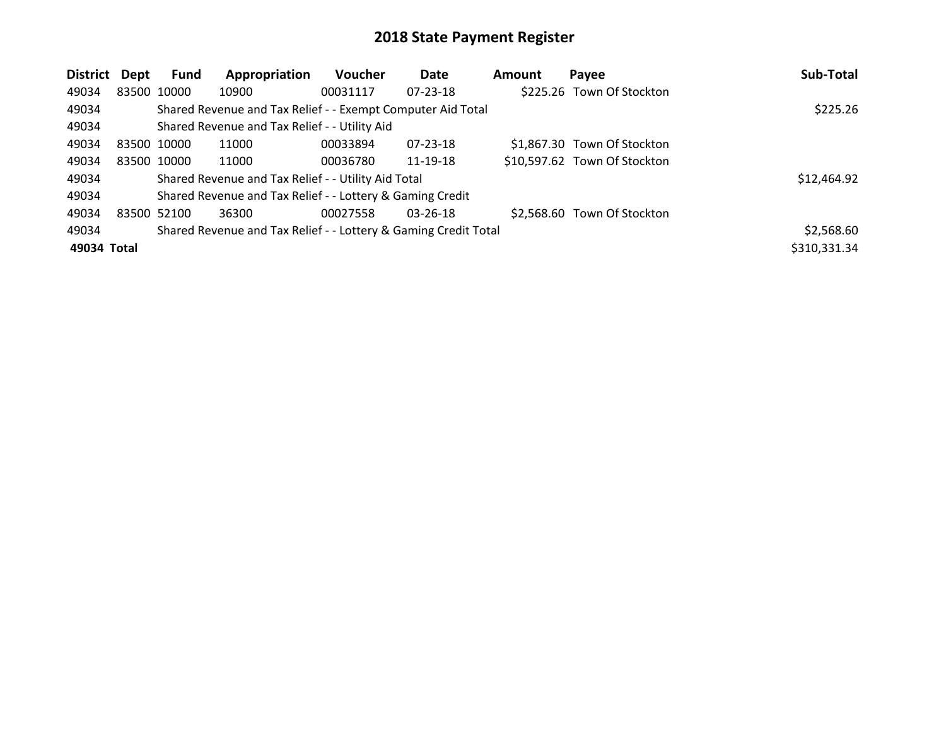| District    | <b>Dept</b> | Fund        | Appropriation                                                   | <b>Voucher</b> | Date           | <b>Amount</b> | Payee                        | Sub-Total    |
|-------------|-------------|-------------|-----------------------------------------------------------------|----------------|----------------|---------------|------------------------------|--------------|
| 49034       | 83500 10000 |             | 10900                                                           | 00031117       | 07-23-18       |               | \$225.26 Town Of Stockton    |              |
| 49034       |             |             | Shared Revenue and Tax Relief - - Exempt Computer Aid Total     |                |                |               |                              | \$225.26     |
| 49034       |             |             | Shared Revenue and Tax Relief - - Utility Aid                   |                |                |               |                              |              |
| 49034       | 83500 10000 |             | 11000                                                           | 00033894       | 07-23-18       |               | \$1,867.30 Town Of Stockton  |              |
| 49034       |             | 83500 10000 | 11000                                                           | 00036780       | 11-19-18       |               | \$10,597.62 Town Of Stockton |              |
| 49034       |             |             | Shared Revenue and Tax Relief - - Utility Aid Total             |                |                |               |                              | \$12,464.92  |
| 49034       |             |             | Shared Revenue and Tax Relief - - Lottery & Gaming Credit       |                |                |               |                              |              |
| 49034       | 83500 52100 |             | 36300                                                           | 00027558       | $03 - 26 - 18$ |               | \$2,568.60 Town Of Stockton  |              |
| 49034       |             |             | Shared Revenue and Tax Relief - - Lottery & Gaming Credit Total |                |                |               |                              | \$2,568.60   |
| 49034 Total |             |             |                                                                 |                |                |               |                              | \$310,331.34 |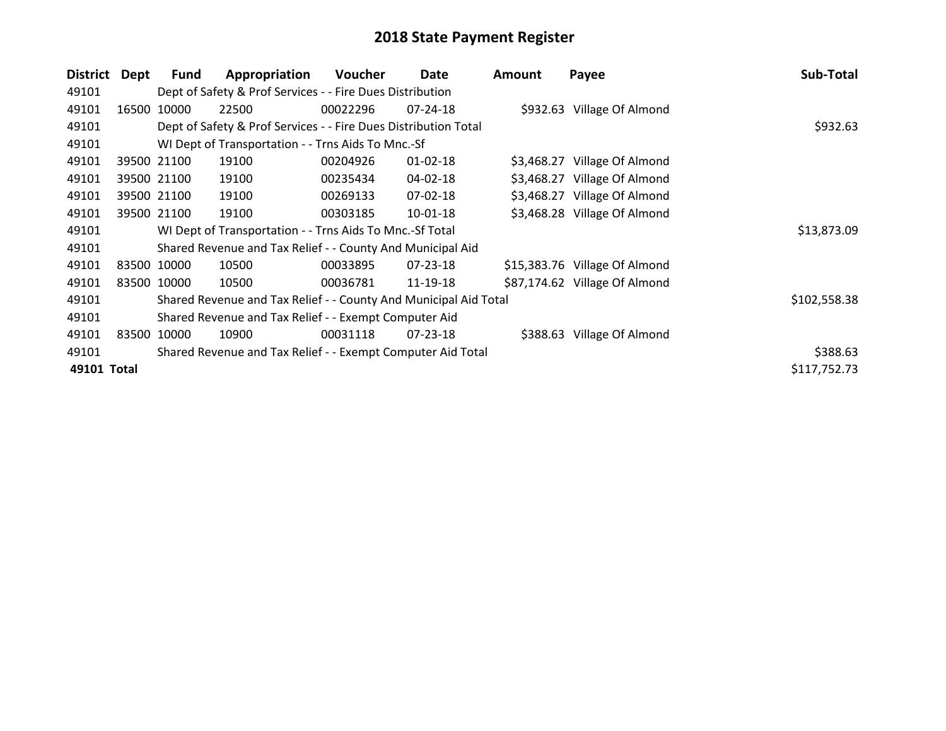| <b>District</b> | Dept  | <b>Fund</b> | Appropriation                                                    | Voucher  | Date           | <b>Amount</b> | Payee                         | Sub-Total    |
|-----------------|-------|-------------|------------------------------------------------------------------|----------|----------------|---------------|-------------------------------|--------------|
| 49101           |       |             | Dept of Safety & Prof Services - - Fire Dues Distribution        |          |                |               |                               |              |
| 49101           | 16500 | 10000       | 22500                                                            | 00022296 | $07 - 24 - 18$ |               | \$932.63 Village Of Almond    |              |
| 49101           |       |             | Dept of Safety & Prof Services - - Fire Dues Distribution Total  |          |                |               |                               | \$932.63     |
| 49101           |       |             | WI Dept of Transportation - - Trns Aids To Mnc.-Sf               |          |                |               |                               |              |
| 49101           |       | 39500 21100 | 19100                                                            | 00204926 | $01 - 02 - 18$ |               | \$3,468.27 Village Of Almond  |              |
| 49101           |       | 39500 21100 | 19100                                                            | 00235434 | 04-02-18       |               | \$3,468.27 Village Of Almond  |              |
| 49101           |       | 39500 21100 | 19100                                                            | 00269133 | 07-02-18       |               | \$3,468.27 Village Of Almond  |              |
| 49101           |       | 39500 21100 | 19100                                                            | 00303185 | 10-01-18       |               | \$3,468.28 Village Of Almond  |              |
| 49101           |       |             | WI Dept of Transportation - - Trns Aids To Mnc.-Sf Total         |          |                |               |                               | \$13,873.09  |
| 49101           |       |             | Shared Revenue and Tax Relief - - County And Municipal Aid       |          |                |               |                               |              |
| 49101           |       | 83500 10000 | 10500                                                            | 00033895 | 07-23-18       |               | \$15,383.76 Village Of Almond |              |
| 49101           |       | 83500 10000 | 10500                                                            | 00036781 | 11-19-18       |               | \$87,174.62 Village Of Almond |              |
| 49101           |       |             | Shared Revenue and Tax Relief - - County And Municipal Aid Total |          |                |               |                               | \$102,558.38 |
| 49101           |       |             | Shared Revenue and Tax Relief - - Exempt Computer Aid            |          |                |               |                               |              |
| 49101           | 83500 | 10000       | 10900                                                            | 00031118 | 07-23-18       |               | \$388.63 Village Of Almond    |              |
| 49101           |       |             | Shared Revenue and Tax Relief - - Exempt Computer Aid Total      |          |                |               |                               | \$388.63     |
| 49101 Total     |       |             |                                                                  |          |                |               |                               | \$117,752.73 |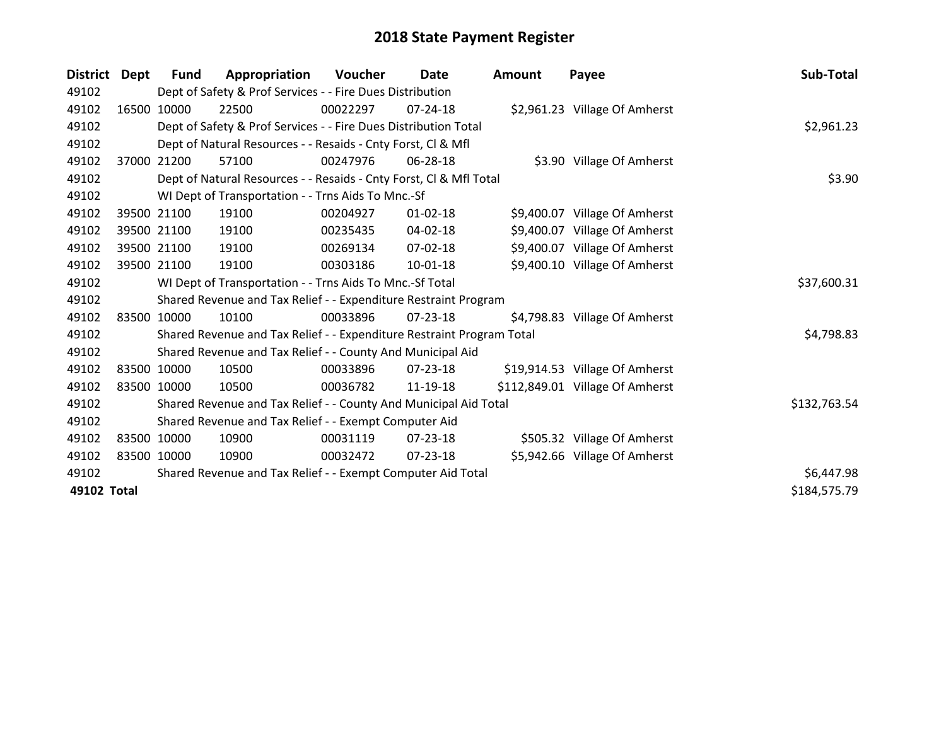| <b>District</b> | Dept  | <b>Fund</b> | Appropriation                                                         | <b>Voucher</b> | <b>Date</b>    | <b>Amount</b> | Payee                           | Sub-Total    |
|-----------------|-------|-------------|-----------------------------------------------------------------------|----------------|----------------|---------------|---------------------------------|--------------|
| 49102           |       |             | Dept of Safety & Prof Services - - Fire Dues Distribution             |                |                |               |                                 |              |
| 49102           | 16500 | 10000       | 22500                                                                 | 00022297       | $07 - 24 - 18$ |               | \$2,961.23 Village Of Amherst   |              |
| 49102           |       |             | Dept of Safety & Prof Services - - Fire Dues Distribution Total       |                |                |               |                                 | \$2,961.23   |
| 49102           |       |             | Dept of Natural Resources - - Resaids - Cnty Forst, CI & Mfl          |                |                |               |                                 |              |
| 49102           | 37000 | 21200       | 57100                                                                 | 00247976       | 06-28-18       |               | \$3.90 Village Of Amherst       |              |
| 49102           |       |             | Dept of Natural Resources - - Resaids - Cnty Forst, Cl & Mfl Total    |                |                |               |                                 | \$3.90       |
| 49102           |       |             | WI Dept of Transportation - - Trns Aids To Mnc.-Sf                    |                |                |               |                                 |              |
| 49102           |       | 39500 21100 | 19100                                                                 | 00204927       | $01 - 02 - 18$ |               | \$9,400.07 Village Of Amherst   |              |
| 49102           |       | 39500 21100 | 19100                                                                 | 00235435       | 04-02-18       |               | \$9,400.07 Village Of Amherst   |              |
| 49102           |       | 39500 21100 | 19100                                                                 | 00269134       | $07 - 02 - 18$ |               | \$9,400.07 Village Of Amherst   |              |
| 49102           |       | 39500 21100 | 19100                                                                 | 00303186       | $10-01-18$     |               | \$9,400.10 Village Of Amherst   |              |
| 49102           |       |             | WI Dept of Transportation - - Trns Aids To Mnc.-Sf Total              |                |                |               |                                 | \$37,600.31  |
| 49102           |       |             | Shared Revenue and Tax Relief - - Expenditure Restraint Program       |                |                |               |                                 |              |
| 49102           |       | 83500 10000 | 10100                                                                 | 00033896       | $07 - 23 - 18$ |               | \$4,798.83 Village Of Amherst   |              |
| 49102           |       |             | Shared Revenue and Tax Relief - - Expenditure Restraint Program Total |                |                |               |                                 | \$4,798.83   |
| 49102           |       |             | Shared Revenue and Tax Relief - - County And Municipal Aid            |                |                |               |                                 |              |
| 49102           |       | 83500 10000 | 10500                                                                 | 00033896       | 07-23-18       |               | \$19,914.53 Village Of Amherst  |              |
| 49102           |       | 83500 10000 | 10500                                                                 | 00036782       | 11-19-18       |               | \$112,849.01 Village Of Amherst |              |
| 49102           |       |             | Shared Revenue and Tax Relief - - County And Municipal Aid Total      |                |                |               |                                 | \$132,763.54 |
| 49102           |       |             | Shared Revenue and Tax Relief - - Exempt Computer Aid                 |                |                |               |                                 |              |
| 49102           |       | 83500 10000 | 10900                                                                 | 00031119       | 07-23-18       |               | \$505.32 Village Of Amherst     |              |
| 49102           |       | 83500 10000 | 10900                                                                 | 00032472       | $07 - 23 - 18$ |               | \$5,942.66 Village Of Amherst   |              |
| 49102           |       |             | Shared Revenue and Tax Relief - - Exempt Computer Aid Total           |                |                |               |                                 | \$6,447.98   |
| 49102 Total     |       |             |                                                                       |                |                |               |                                 | \$184,575.79 |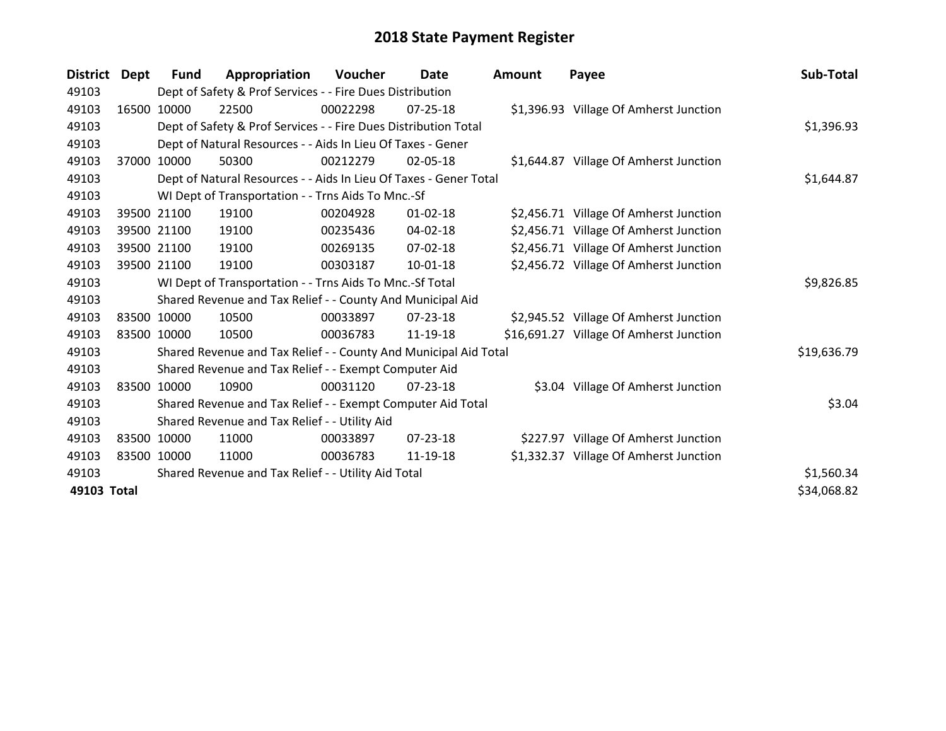| <b>District</b> | Dept  | <b>Fund</b>                                   | Appropriation                                                     | Voucher  | <b>Date</b>    | <b>Amount</b> | Payee                                   | Sub-Total   |
|-----------------|-------|-----------------------------------------------|-------------------------------------------------------------------|----------|----------------|---------------|-----------------------------------------|-------------|
| 49103           |       |                                               | Dept of Safety & Prof Services - - Fire Dues Distribution         |          |                |               |                                         |             |
| 49103           |       | 16500 10000                                   | 22500                                                             | 00022298 | 07-25-18       |               | \$1,396.93 Village Of Amherst Junction  |             |
| 49103           |       |                                               | Dept of Safety & Prof Services - - Fire Dues Distribution Total   |          |                |               |                                         | \$1,396.93  |
| 49103           |       |                                               | Dept of Natural Resources - - Aids In Lieu Of Taxes - Gener       |          |                |               |                                         |             |
| 49103           | 37000 | 10000                                         | 50300                                                             | 00212279 | $02 - 05 - 18$ |               | \$1,644.87 Village Of Amherst Junction  |             |
| 49103           |       |                                               | Dept of Natural Resources - - Aids In Lieu Of Taxes - Gener Total |          |                |               |                                         | \$1,644.87  |
| 49103           |       |                                               | WI Dept of Transportation - - Trns Aids To Mnc.-Sf                |          |                |               |                                         |             |
| 49103           |       | 39500 21100                                   | 19100                                                             | 00204928 | $01 - 02 - 18$ |               | \$2,456.71 Village Of Amherst Junction  |             |
| 49103           |       | 39500 21100                                   | 19100                                                             | 00235436 | 04-02-18       |               | \$2,456.71 Village Of Amherst Junction  |             |
| 49103           |       | 39500 21100                                   | 19100                                                             | 00269135 | $07 - 02 - 18$ |               | \$2,456.71 Village Of Amherst Junction  |             |
| 49103           |       | 39500 21100                                   | 19100                                                             | 00303187 | 10-01-18       |               | \$2,456.72 Village Of Amherst Junction  |             |
| 49103           |       |                                               | WI Dept of Transportation - - Trns Aids To Mnc.-Sf Total          |          |                |               |                                         | \$9,826.85  |
| 49103           |       |                                               | Shared Revenue and Tax Relief - - County And Municipal Aid        |          |                |               |                                         |             |
| 49103           |       | 83500 10000                                   | 10500                                                             | 00033897 | $07 - 23 - 18$ |               | \$2,945.52 Village Of Amherst Junction  |             |
| 49103           |       | 83500 10000                                   | 10500                                                             | 00036783 | 11-19-18       |               | \$16,691.27 Village Of Amherst Junction |             |
| 49103           |       |                                               | Shared Revenue and Tax Relief - - County And Municipal Aid Total  |          |                |               |                                         | \$19,636.79 |
| 49103           |       |                                               | Shared Revenue and Tax Relief - - Exempt Computer Aid             |          |                |               |                                         |             |
| 49103           |       | 83500 10000                                   | 10900                                                             | 00031120 | $07 - 23 - 18$ |               | \$3.04 Village Of Amherst Junction      |             |
| 49103           |       |                                               | Shared Revenue and Tax Relief - - Exempt Computer Aid Total       |          |                |               |                                         | \$3.04      |
| 49103           |       | Shared Revenue and Tax Relief - - Utility Aid |                                                                   |          |                |               |                                         |             |
| 49103           | 83500 | 10000                                         | 11000                                                             | 00033897 | $07 - 23 - 18$ |               | \$227.97 Village Of Amherst Junction    |             |
| 49103           |       | 83500 10000                                   | 11000                                                             | 00036783 | 11-19-18       |               | \$1,332.37 Village Of Amherst Junction  |             |
| 49103           |       |                                               | Shared Revenue and Tax Relief - - Utility Aid Total               |          |                |               |                                         | \$1,560.34  |
| 49103 Total     |       |                                               |                                                                   |          |                |               |                                         | \$34,068.82 |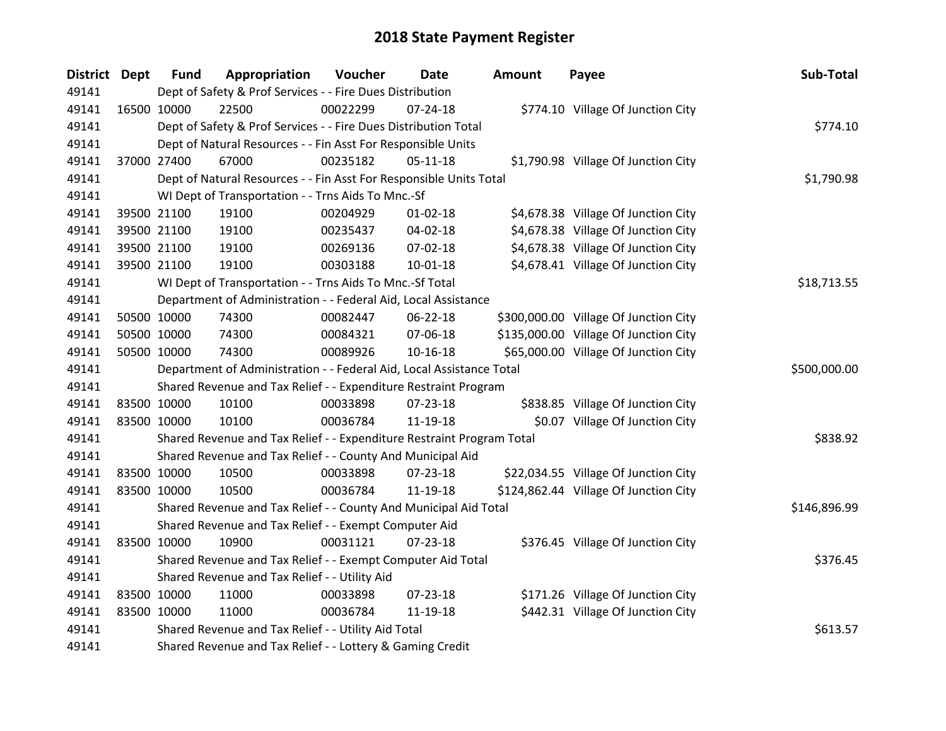| District Dept | <b>Fund</b>                                   | Appropriation                                                         | Voucher  | <b>Date</b>    | <b>Amount</b> | Payee                                 | Sub-Total    |
|---------------|-----------------------------------------------|-----------------------------------------------------------------------|----------|----------------|---------------|---------------------------------------|--------------|
| 49141         |                                               | Dept of Safety & Prof Services - - Fire Dues Distribution             |          |                |               |                                       |              |
| 49141         | 16500 10000                                   | 22500                                                                 | 00022299 | $07 - 24 - 18$ |               | \$774.10 Village Of Junction City     |              |
| 49141         |                                               | Dept of Safety & Prof Services - - Fire Dues Distribution Total       |          |                |               |                                       | \$774.10     |
| 49141         |                                               | Dept of Natural Resources - - Fin Asst For Responsible Units          |          |                |               |                                       |              |
| 49141         | 37000 27400                                   | 67000                                                                 | 00235182 | $05 - 11 - 18$ |               | \$1,790.98 Village Of Junction City   |              |
| 49141         |                                               | Dept of Natural Resources - - Fin Asst For Responsible Units Total    |          |                |               |                                       | \$1,790.98   |
| 49141         |                                               | WI Dept of Transportation - - Trns Aids To Mnc.-Sf                    |          |                |               |                                       |              |
| 49141         | 39500 21100                                   | 19100                                                                 | 00204929 | $01 - 02 - 18$ |               | \$4,678.38 Village Of Junction City   |              |
| 49141         | 39500 21100                                   | 19100                                                                 | 00235437 | 04-02-18       |               | \$4,678.38 Village Of Junction City   |              |
| 49141         | 39500 21100                                   | 19100                                                                 | 00269136 | 07-02-18       |               | \$4,678.38 Village Of Junction City   |              |
| 49141         | 39500 21100                                   | 19100                                                                 | 00303188 | 10-01-18       |               | \$4,678.41 Village Of Junction City   |              |
| 49141         |                                               | WI Dept of Transportation - - Trns Aids To Mnc.-Sf Total              |          |                |               |                                       | \$18,713.55  |
| 49141         |                                               | Department of Administration - - Federal Aid, Local Assistance        |          |                |               |                                       |              |
| 49141         | 50500 10000                                   | 74300                                                                 | 00082447 | 06-22-18       |               | \$300,000.00 Village Of Junction City |              |
| 49141         | 50500 10000                                   | 74300                                                                 | 00084321 | 07-06-18       |               | \$135,000.00 Village Of Junction City |              |
| 49141         | 50500 10000                                   | 74300                                                                 | 00089926 | 10-16-18       |               | \$65,000.00 Village Of Junction City  |              |
| 49141         |                                               | Department of Administration - - Federal Aid, Local Assistance Total  |          |                |               |                                       | \$500,000.00 |
| 49141         |                                               | Shared Revenue and Tax Relief - - Expenditure Restraint Program       |          |                |               |                                       |              |
| 49141         | 83500 10000                                   | 10100                                                                 | 00033898 | 07-23-18       |               | \$838.85 Village Of Junction City     |              |
| 49141         | 83500 10000                                   | 10100                                                                 | 00036784 | 11-19-18       |               | \$0.07 Village Of Junction City       |              |
| 49141         |                                               | Shared Revenue and Tax Relief - - Expenditure Restraint Program Total |          |                |               |                                       | \$838.92     |
| 49141         |                                               | Shared Revenue and Tax Relief - - County And Municipal Aid            |          |                |               |                                       |              |
| 49141         | 83500 10000                                   | 10500                                                                 | 00033898 | $07 - 23 - 18$ |               | \$22,034.55 Village Of Junction City  |              |
| 49141         | 83500 10000                                   | 10500                                                                 | 00036784 | 11-19-18       |               | \$124,862.44 Village Of Junction City |              |
| 49141         |                                               | Shared Revenue and Tax Relief - - County And Municipal Aid Total      |          |                |               |                                       | \$146,896.99 |
| 49141         |                                               | Shared Revenue and Tax Relief - - Exempt Computer Aid                 |          |                |               |                                       |              |
| 49141         | 83500 10000                                   | 10900                                                                 | 00031121 | $07 - 23 - 18$ |               | \$376.45 Village Of Junction City     |              |
| 49141         |                                               | Shared Revenue and Tax Relief - - Exempt Computer Aid Total           |          |                |               |                                       | \$376.45     |
| 49141         | Shared Revenue and Tax Relief - - Utility Aid |                                                                       |          |                |               |                                       |              |
| 49141         | 83500 10000                                   | 11000                                                                 | 00033898 | $07 - 23 - 18$ |               | \$171.26 Village Of Junction City     |              |
| 49141         | 83500 10000                                   | 11000                                                                 | 00036784 | 11-19-18       |               | \$442.31 Village Of Junction City     |              |
| 49141         |                                               | Shared Revenue and Tax Relief - - Utility Aid Total                   |          |                |               |                                       | \$613.57     |
| 49141         |                                               | Shared Revenue and Tax Relief - - Lottery & Gaming Credit             |          |                |               |                                       |              |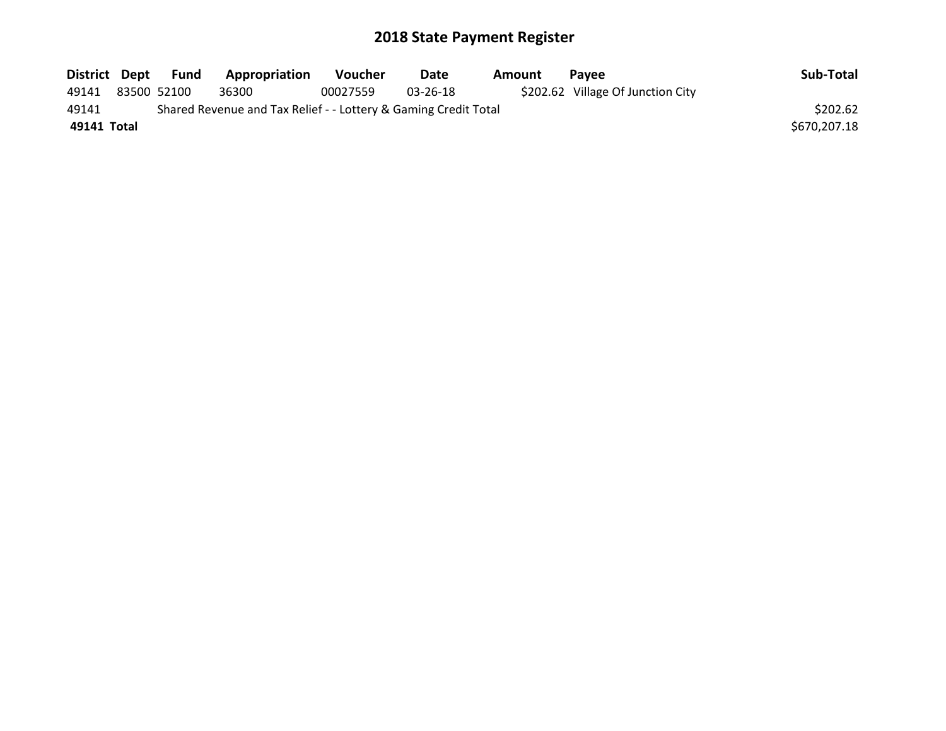| District Dept | <b>Fund</b> | Appropriation                                                   | <b>Voucher</b> | Date     | Amount | <b>Pavee</b>                      | Sub-Total    |
|---------------|-------------|-----------------------------------------------------------------|----------------|----------|--------|-----------------------------------|--------------|
| 49141         | 83500 52100 | 36300                                                           | 00027559       | 03-26-18 |        | \$202.62 Village Of Junction City |              |
| 49141         |             | Shared Revenue and Tax Relief - - Lottery & Gaming Credit Total |                |          |        |                                   | \$202.62     |
| 49141 Total   |             |                                                                 |                |          |        |                                   | \$670,207.18 |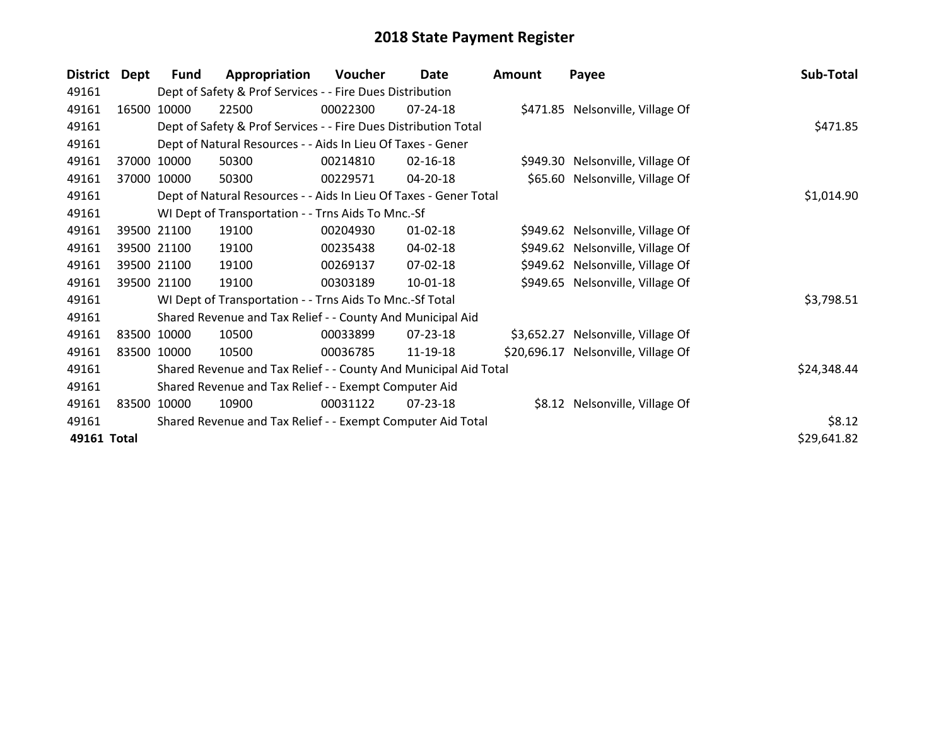| <b>District</b> | Dept  | <b>Fund</b> | Appropriation                                                     | Voucher  | Date           | <b>Amount</b> | Payee                               | Sub-Total   |
|-----------------|-------|-------------|-------------------------------------------------------------------|----------|----------------|---------------|-------------------------------------|-------------|
| 49161           |       |             | Dept of Safety & Prof Services - - Fire Dues Distribution         |          |                |               |                                     |             |
| 49161           | 16500 | 10000       | 22500                                                             | 00022300 | $07 - 24 - 18$ |               | \$471.85 Nelsonville, Village Of    |             |
| 49161           |       |             | Dept of Safety & Prof Services - - Fire Dues Distribution Total   |          |                |               |                                     | \$471.85    |
| 49161           |       |             | Dept of Natural Resources - - Aids In Lieu Of Taxes - Gener       |          |                |               |                                     |             |
| 49161           |       | 37000 10000 | 50300                                                             | 00214810 | $02 - 16 - 18$ |               | \$949.30 Nelsonville, Village Of    |             |
| 49161           | 37000 | 10000       | 50300                                                             | 00229571 | 04-20-18       |               | \$65.60 Nelsonville, Village Of     |             |
| 49161           |       |             | Dept of Natural Resources - - Aids In Lieu Of Taxes - Gener Total |          | \$1,014.90     |               |                                     |             |
| 49161           |       |             | WI Dept of Transportation - - Trns Aids To Mnc.-Sf                |          |                |               |                                     |             |
| 49161           |       | 39500 21100 | 19100                                                             | 00204930 | $01 - 02 - 18$ |               | \$949.62 Nelsonville, Village Of    |             |
| 49161           |       | 39500 21100 | 19100                                                             | 00235438 | 04-02-18       |               | \$949.62 Nelsonville, Village Of    |             |
| 49161           |       | 39500 21100 | 19100                                                             | 00269137 | 07-02-18       |               | \$949.62 Nelsonville, Village Of    |             |
| 49161           |       | 39500 21100 | 19100                                                             | 00303189 | $10 - 01 - 18$ |               | \$949.65 Nelsonville, Village Of    |             |
| 49161           |       |             | WI Dept of Transportation - - Trns Aids To Mnc.-Sf Total          |          |                |               |                                     | \$3,798.51  |
| 49161           |       |             | Shared Revenue and Tax Relief - - County And Municipal Aid        |          |                |               |                                     |             |
| 49161           |       | 83500 10000 | 10500                                                             | 00033899 | 07-23-18       |               | \$3,652.27 Nelsonville, Village Of  |             |
| 49161           |       | 83500 10000 | 10500                                                             | 00036785 | 11-19-18       |               | \$20,696.17 Nelsonville, Village Of |             |
| 49161           |       |             | Shared Revenue and Tax Relief - - County And Municipal Aid Total  |          |                |               |                                     | \$24,348.44 |
| 49161           |       |             | Shared Revenue and Tax Relief - - Exempt Computer Aid             |          |                |               |                                     |             |
| 49161           | 83500 | 10000       | 10900                                                             | 00031122 | $07 - 23 - 18$ |               | \$8.12 Nelsonville, Village Of      |             |
| 49161           |       |             | Shared Revenue and Tax Relief - - Exempt Computer Aid Total       |          |                |               |                                     | \$8.12      |
| 49161 Total     |       |             |                                                                   |          |                |               |                                     | \$29,641.82 |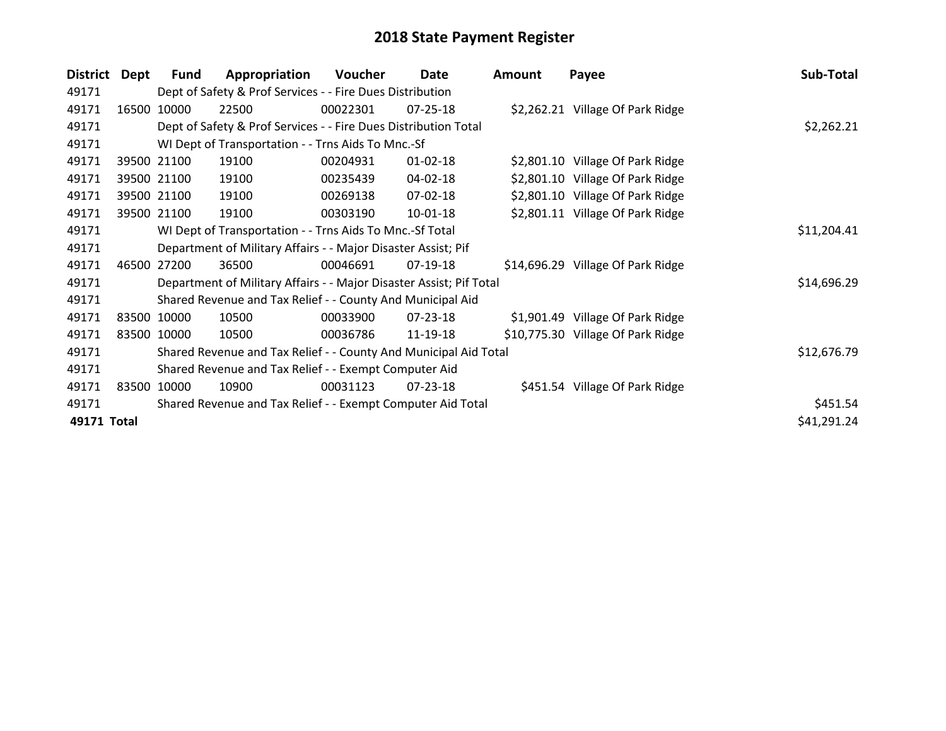| <b>District</b> | Dept        | Fund        | Appropriation                                                       | Voucher  | Date           | Amount | Payee                             | Sub-Total   |
|-----------------|-------------|-------------|---------------------------------------------------------------------|----------|----------------|--------|-----------------------------------|-------------|
| 49171           |             |             | Dept of Safety & Prof Services - - Fire Dues Distribution           |          |                |        |                                   |             |
| 49171           | 16500       | 10000       | 22500                                                               | 00022301 | $07 - 25 - 18$ |        | \$2,262.21 Village Of Park Ridge  |             |
| 49171           |             |             | Dept of Safety & Prof Services - - Fire Dues Distribution Total     |          |                |        |                                   | \$2,262.21  |
| 49171           |             |             | WI Dept of Transportation - - Trns Aids To Mnc.-Sf                  |          |                |        |                                   |             |
| 49171           |             | 39500 21100 | 19100                                                               | 00204931 | $01 - 02 - 18$ |        | \$2,801.10 Village Of Park Ridge  |             |
| 49171           |             | 39500 21100 | 19100                                                               | 00235439 | 04-02-18       |        | \$2,801.10 Village Of Park Ridge  |             |
| 49171           |             | 39500 21100 | 19100                                                               | 00269138 | 07-02-18       |        | \$2,801.10 Village Of Park Ridge  |             |
| 49171           |             | 39500 21100 | 19100                                                               | 00303190 | 10-01-18       |        | \$2,801.11 Village Of Park Ridge  |             |
| 49171           |             |             | WI Dept of Transportation - - Trns Aids To Mnc.-Sf Total            |          |                |        |                                   | \$11,204.41 |
| 49171           |             |             | Department of Military Affairs - - Major Disaster Assist; Pif       |          |                |        |                                   |             |
| 49171           | 46500       | 27200       | 36500                                                               | 00046691 | $07-19-18$     |        | \$14,696.29 Village Of Park Ridge |             |
| 49171           |             |             | Department of Military Affairs - - Major Disaster Assist; Pif Total |          |                |        |                                   | \$14,696.29 |
| 49171           |             |             | Shared Revenue and Tax Relief - - County And Municipal Aid          |          |                |        |                                   |             |
| 49171           |             | 83500 10000 | 10500                                                               | 00033900 | 07-23-18       |        | \$1,901.49 Village Of Park Ridge  |             |
| 49171           | 83500 10000 |             | 10500                                                               | 00036786 | 11-19-18       |        | \$10,775.30 Village Of Park Ridge |             |
| 49171           |             |             | Shared Revenue and Tax Relief - - County And Municipal Aid Total    |          |                |        |                                   | \$12,676.79 |
| 49171           |             |             | Shared Revenue and Tax Relief - - Exempt Computer Aid               |          |                |        |                                   |             |
| 49171           |             | 83500 10000 | 10900                                                               | 00031123 | 07-23-18       |        | \$451.54 Village Of Park Ridge    |             |
| 49171           |             |             | Shared Revenue and Tax Relief - - Exempt Computer Aid Total         |          |                |        |                                   | \$451.54    |
| 49171 Total     |             |             |                                                                     |          |                |        |                                   | \$41,291.24 |
|                 |             |             |                                                                     |          |                |        |                                   |             |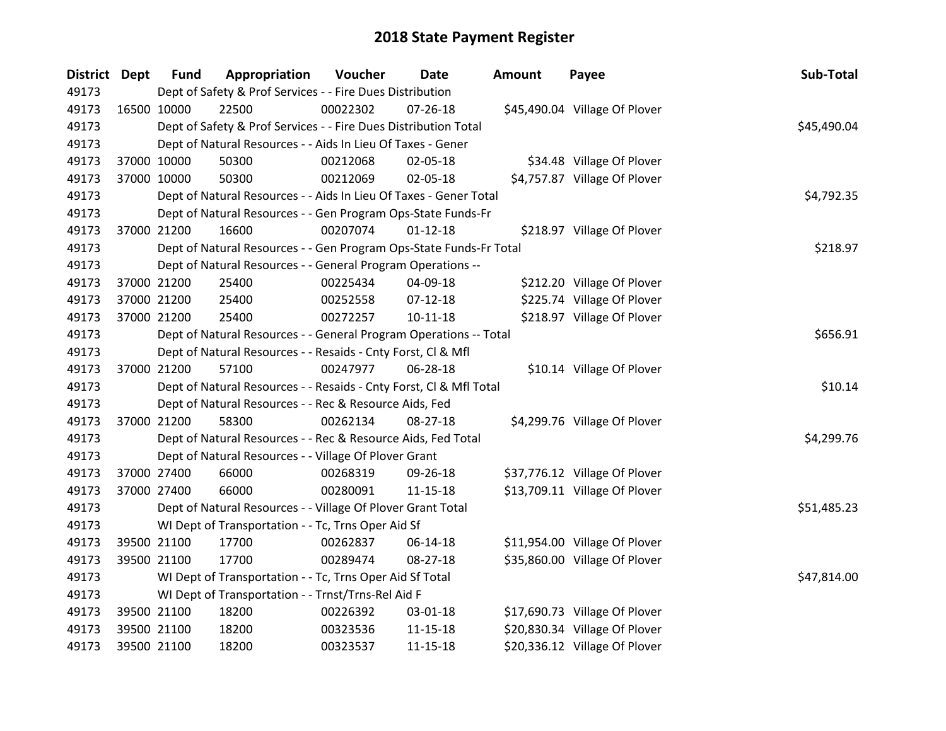| District Dept |             | <b>Fund</b> | Appropriation                                                      | Voucher  | <b>Date</b>    | Amount | Payee                         | Sub-Total   |
|---------------|-------------|-------------|--------------------------------------------------------------------|----------|----------------|--------|-------------------------------|-------------|
| 49173         |             |             | Dept of Safety & Prof Services - - Fire Dues Distribution          |          |                |        |                               |             |
| 49173         | 16500 10000 |             | 22500                                                              | 00022302 | 07-26-18       |        | \$45,490.04 Village Of Plover |             |
| 49173         |             |             | Dept of Safety & Prof Services - - Fire Dues Distribution Total    |          |                |        |                               | \$45,490.04 |
| 49173         |             |             | Dept of Natural Resources - - Aids In Lieu Of Taxes - Gener        |          |                |        |                               |             |
| 49173         |             | 37000 10000 | 50300                                                              | 00212068 | 02-05-18       |        | \$34.48 Village Of Plover     |             |
| 49173         |             | 37000 10000 | 50300                                                              | 00212069 | $02 - 05 - 18$ |        | \$4,757.87 Village Of Plover  |             |
| 49173         |             |             | Dept of Natural Resources - - Aids In Lieu Of Taxes - Gener Total  |          |                |        |                               | \$4,792.35  |
| 49173         |             |             | Dept of Natural Resources - - Gen Program Ops-State Funds-Fr       |          |                |        |                               |             |
| 49173         | 37000 21200 |             | 16600                                                              | 00207074 | $01 - 12 - 18$ |        | \$218.97 Village Of Plover    |             |
| 49173         |             |             | Dept of Natural Resources - - Gen Program Ops-State Funds-Fr Total |          |                |        |                               | \$218.97    |
| 49173         |             |             | Dept of Natural Resources - - General Program Operations --        |          |                |        |                               |             |
| 49173         |             | 37000 21200 | 25400                                                              | 00225434 | 04-09-18       |        | \$212.20 Village Of Plover    |             |
| 49173         |             | 37000 21200 | 25400                                                              | 00252558 | $07-12-18$     |        | \$225.74 Village Of Plover    |             |
| 49173         | 37000 21200 |             | 25400                                                              | 00272257 | $10 - 11 - 18$ |        | \$218.97 Village Of Plover    |             |
| 49173         |             |             | Dept of Natural Resources - - General Program Operations -- Total  |          |                |        |                               | \$656.91    |
| 49173         |             |             | Dept of Natural Resources - - Resaids - Cnty Forst, Cl & Mfl       |          |                |        |                               |             |
| 49173         | 37000 21200 |             | 57100                                                              | 00247977 | 06-28-18       |        | \$10.14 Village Of Plover     |             |
| 49173         |             |             | Dept of Natural Resources - - Resaids - Cnty Forst, Cl & Mfl Total |          |                |        |                               | \$10.14     |
| 49173         |             |             | Dept of Natural Resources - - Rec & Resource Aids, Fed             |          |                |        |                               |             |
| 49173         | 37000 21200 |             | 58300                                                              | 00262134 | 08-27-18       |        | \$4,299.76 Village Of Plover  |             |
| 49173         |             |             | Dept of Natural Resources - - Rec & Resource Aids, Fed Total       |          |                |        |                               | \$4,299.76  |
| 49173         |             |             | Dept of Natural Resources - - Village Of Plover Grant              |          |                |        |                               |             |
| 49173         | 37000 27400 |             | 66000                                                              | 00268319 | 09-26-18       |        | \$37,776.12 Village Of Plover |             |
| 49173         | 37000 27400 |             | 66000                                                              | 00280091 | 11-15-18       |        | \$13,709.11 Village Of Plover |             |
| 49173         |             |             | Dept of Natural Resources - - Village Of Plover Grant Total        |          |                |        |                               | \$51,485.23 |
| 49173         |             |             | WI Dept of Transportation - - Tc, Trns Oper Aid Sf                 |          |                |        |                               |             |
| 49173         |             | 39500 21100 | 17700                                                              | 00262837 | 06-14-18       |        | \$11,954.00 Village Of Plover |             |
| 49173         | 39500 21100 |             | 17700                                                              | 00289474 | 08-27-18       |        | \$35,860.00 Village Of Plover |             |
| 49173         |             |             | WI Dept of Transportation - - Tc, Trns Oper Aid Sf Total           |          |                |        |                               | \$47,814.00 |
| 49173         |             |             | WI Dept of Transportation - - Trnst/Trns-Rel Aid F                 |          |                |        |                               |             |
| 49173         |             | 39500 21100 | 18200                                                              | 00226392 | 03-01-18       |        | \$17,690.73 Village Of Plover |             |
| 49173         |             | 39500 21100 | 18200                                                              | 00323536 | $11 - 15 - 18$ |        | \$20,830.34 Village Of Plover |             |
| 49173         | 39500 21100 |             | 18200                                                              | 00323537 | $11 - 15 - 18$ |        | \$20,336.12 Village Of Plover |             |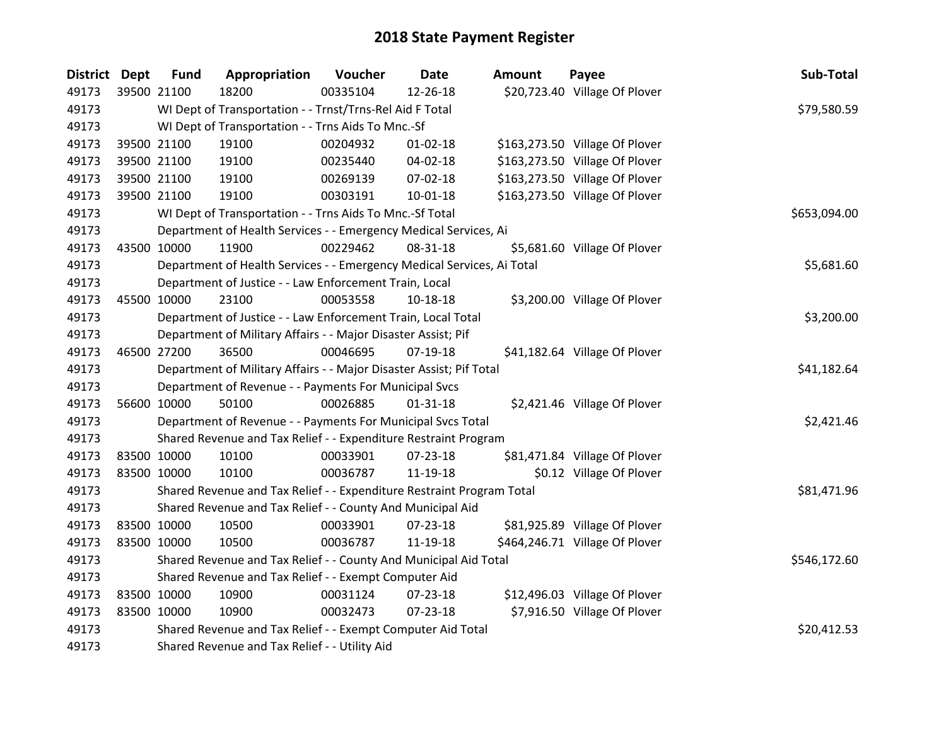| District Dept | <b>Fund</b> | Appropriation                                                          | Voucher     | <b>Date</b>    | <b>Amount</b> | Payee                          | Sub-Total    |
|---------------|-------------|------------------------------------------------------------------------|-------------|----------------|---------------|--------------------------------|--------------|
| 49173         | 39500 21100 | 18200                                                                  | 00335104    | 12-26-18       |               | \$20,723.40 Village Of Plover  |              |
| 49173         |             | WI Dept of Transportation - - Trnst/Trns-Rel Aid F Total               |             |                |               |                                | \$79,580.59  |
| 49173         |             | WI Dept of Transportation - - Trns Aids To Mnc.-Sf                     |             |                |               |                                |              |
| 49173         | 39500 21100 | 19100                                                                  | 00204932    | $01 - 02 - 18$ |               | \$163,273.50 Village Of Plover |              |
| 49173         | 39500 21100 | 19100                                                                  | 00235440    | 04-02-18       |               | \$163,273.50 Village Of Plover |              |
| 49173         | 39500 21100 | 19100                                                                  | 00269139    | 07-02-18       |               | \$163,273.50 Village Of Plover |              |
| 49173         | 39500 21100 | 19100                                                                  | 00303191    | $10 - 01 - 18$ |               | \$163,273.50 Village Of Plover |              |
| 49173         |             | WI Dept of Transportation - - Trns Aids To Mnc.-Sf Total               |             |                |               |                                | \$653,094.00 |
| 49173         |             | Department of Health Services - - Emergency Medical Services, Ai       |             |                |               |                                |              |
| 49173         | 43500 10000 | 11900                                                                  | 00229462    | 08-31-18       |               | \$5,681.60 Village Of Plover   |              |
| 49173         |             | Department of Health Services - - Emergency Medical Services, Ai Total |             |                |               |                                | \$5,681.60   |
| 49173         |             | Department of Justice - - Law Enforcement Train, Local                 |             |                |               |                                |              |
| 49173         | 45500 10000 | 23100                                                                  | 00053558    | 10-18-18       |               | \$3,200.00 Village Of Plover   |              |
| 49173         |             | Department of Justice - - Law Enforcement Train, Local Total           |             |                |               |                                | \$3,200.00   |
| 49173         |             | Department of Military Affairs - - Major Disaster Assist; Pif          |             |                |               |                                |              |
| 49173         | 46500 27200 | 36500                                                                  | 00046695    | $07-19-18$     |               | \$41,182.64 Village Of Plover  |              |
| 49173         |             | Department of Military Affairs - - Major Disaster Assist; Pif Total    |             |                |               |                                | \$41,182.64  |
| 49173         |             | Department of Revenue - - Payments For Municipal Svcs                  |             |                |               |                                |              |
| 49173         | 56600 10000 | 50100                                                                  | 00026885    | $01 - 31 - 18$ |               | \$2,421.46 Village Of Plover   |              |
| 49173         |             | Department of Revenue - - Payments For Municipal Svcs Total            |             |                |               |                                | \$2,421.46   |
| 49173         |             | Shared Revenue and Tax Relief - - Expenditure Restraint Program        |             |                |               |                                |              |
| 49173         | 83500 10000 | 10100                                                                  | 00033901    | 07-23-18       |               | \$81,471.84 Village Of Plover  |              |
| 49173         | 83500 10000 | 10100                                                                  | 00036787    | 11-19-18       |               | \$0.12 Village Of Plover       |              |
| 49173         |             | Shared Revenue and Tax Relief - - Expenditure Restraint Program Total  |             |                |               |                                | \$81,471.96  |
| 49173         |             | Shared Revenue and Tax Relief - - County And Municipal Aid             |             |                |               |                                |              |
| 49173         | 83500 10000 | 10500                                                                  | 00033901    | $07 - 23 - 18$ |               | \$81,925.89 Village Of Plover  |              |
| 49173         | 83500 10000 | 10500                                                                  | 00036787    | 11-19-18       |               | \$464,246.71 Village Of Plover |              |
| 49173         |             | Shared Revenue and Tax Relief - - County And Municipal Aid Total       |             |                |               |                                | \$546,172.60 |
| 49173         |             | Shared Revenue and Tax Relief - - Exempt Computer Aid                  |             |                |               |                                |              |
| 49173         | 83500 10000 | 10900                                                                  | 00031124    | 07-23-18       |               | \$12,496.03 Village Of Plover  |              |
| 49173         | 83500 10000 | 10900                                                                  | 00032473    | 07-23-18       |               | \$7,916.50 Village Of Plover   |              |
| 49173         |             | Shared Revenue and Tax Relief - - Exempt Computer Aid Total            | \$20,412.53 |                |               |                                |              |
| 49173         |             | Shared Revenue and Tax Relief - - Utility Aid                          |             |                |               |                                |              |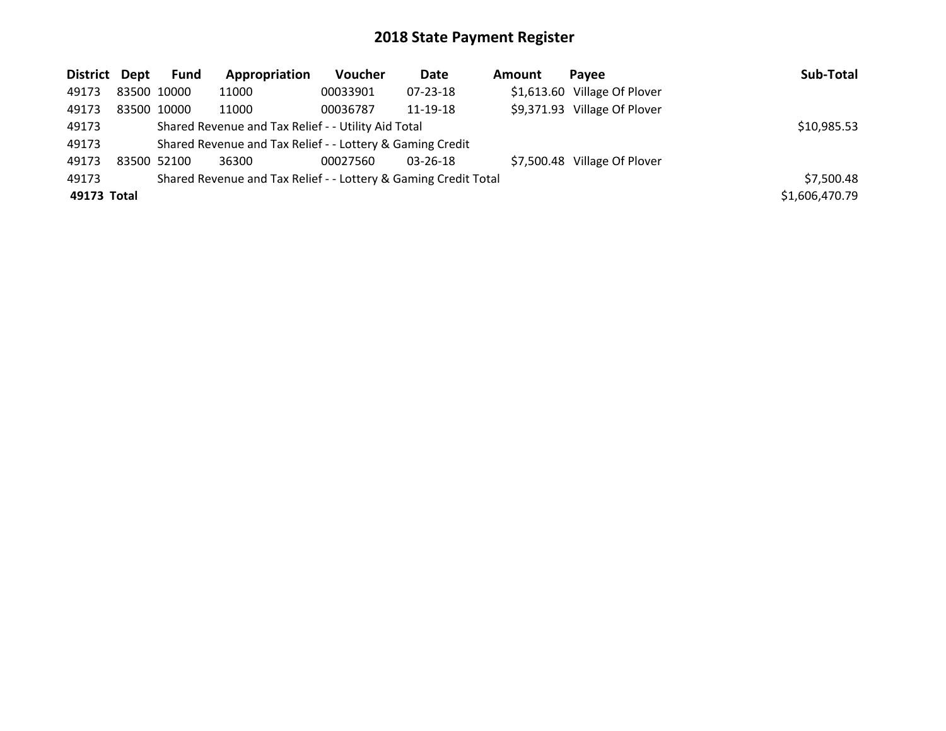| District Dept | Fund        | Appropriation                                                   | Voucher  | Date           | <b>Amount</b> | Pavee                        | Sub-Total      |
|---------------|-------------|-----------------------------------------------------------------|----------|----------------|---------------|------------------------------|----------------|
| 49173         | 83500 10000 | 11000                                                           | 00033901 | $07 - 23 - 18$ |               | \$1,613.60 Village Of Plover |                |
| 49173         | 83500 10000 | 11000                                                           | 00036787 | 11-19-18       |               | \$9,371.93 Village Of Plover |                |
| 49173         |             | Shared Revenue and Tax Relief - - Utility Aid Total             |          |                |               |                              | \$10,985.53    |
| 49173         |             | Shared Revenue and Tax Relief - - Lottery & Gaming Credit       |          |                |               |                              |                |
| 49173         | 83500 52100 | 36300                                                           | 00027560 | $03 - 26 - 18$ |               | \$7,500.48 Village Of Plover |                |
| 49173         |             | Shared Revenue and Tax Relief - - Lottery & Gaming Credit Total |          |                |               |                              | \$7,500.48     |
| 49173 Total   |             |                                                                 |          |                |               |                              | \$1,606,470.79 |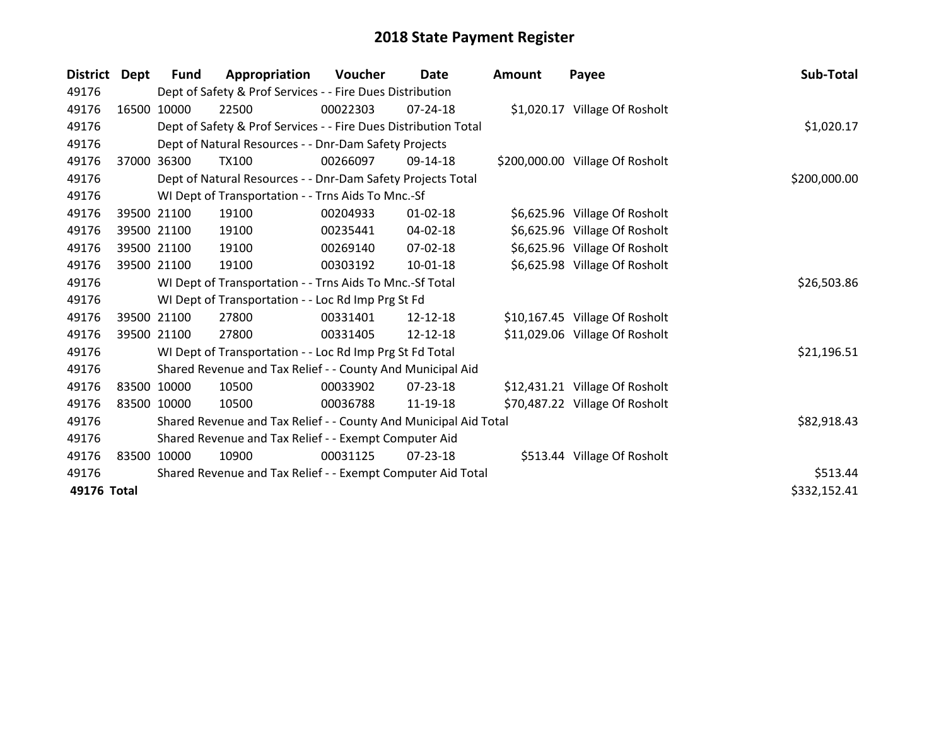| <b>District</b> | Dept  | Fund                                                             | Appropriation                                                   | Voucher    | Date           | <b>Amount</b> | Payee                           | Sub-Total    |
|-----------------|-------|------------------------------------------------------------------|-----------------------------------------------------------------|------------|----------------|---------------|---------------------------------|--------------|
| 49176           |       |                                                                  | Dept of Safety & Prof Services - - Fire Dues Distribution       |            |                |               |                                 |              |
| 49176           |       | 16500 10000                                                      | 22500                                                           | 00022303   | $07 - 24 - 18$ |               | \$1,020.17 Village Of Rosholt   |              |
| 49176           |       |                                                                  | Dept of Safety & Prof Services - - Fire Dues Distribution Total | \$1,020.17 |                |               |                                 |              |
| 49176           |       |                                                                  | Dept of Natural Resources - - Dnr-Dam Safety Projects           |            |                |               |                                 |              |
| 49176           | 37000 | 36300                                                            | <b>TX100</b>                                                    | 00266097   | 09-14-18       |               | \$200,000.00 Village Of Rosholt |              |
| 49176           |       |                                                                  | Dept of Natural Resources - - Dnr-Dam Safety Projects Total     |            |                |               |                                 | \$200,000.00 |
| 49176           |       |                                                                  | WI Dept of Transportation - - Trns Aids To Mnc.-Sf              |            |                |               |                                 |              |
| 49176           |       | 39500 21100                                                      | 19100                                                           | 00204933   | $01 - 02 - 18$ |               | \$6,625.96 Village Of Rosholt   |              |
| 49176           |       | 39500 21100                                                      | 19100                                                           | 00235441   | 04-02-18       |               | \$6,625.96 Village Of Rosholt   |              |
| 49176           |       | 39500 21100                                                      | 19100                                                           | 00269140   | $07 - 02 - 18$ |               | \$6,625.96 Village Of Rosholt   |              |
| 49176           |       | 39500 21100                                                      | 19100                                                           | 00303192   | $10 - 01 - 18$ |               | \$6,625.98 Village Of Rosholt   |              |
| 49176           |       |                                                                  | WI Dept of Transportation - - Trns Aids To Mnc.-Sf Total        |            |                |               |                                 | \$26,503.86  |
| 49176           |       |                                                                  | WI Dept of Transportation - - Loc Rd Imp Prg St Fd              |            |                |               |                                 |              |
| 49176           |       | 39500 21100                                                      | 27800                                                           | 00331401   | 12-12-18       |               | \$10,167.45 Village Of Rosholt  |              |
| 49176           |       | 39500 21100                                                      | 27800                                                           | 00331405   | 12-12-18       |               | \$11,029.06 Village Of Rosholt  |              |
| 49176           |       |                                                                  | WI Dept of Transportation - - Loc Rd Imp Prg St Fd Total        |            |                |               |                                 | \$21,196.51  |
| 49176           |       |                                                                  | Shared Revenue and Tax Relief - - County And Municipal Aid      |            |                |               |                                 |              |
| 49176           |       | 83500 10000                                                      | 10500                                                           | 00033902   | 07-23-18       |               | \$12,431.21 Village Of Rosholt  |              |
| 49176           |       | 83500 10000                                                      | 10500                                                           | 00036788   | 11-19-18       |               | \$70,487.22 Village Of Rosholt  |              |
| 49176           |       | Shared Revenue and Tax Relief - - County And Municipal Aid Total | \$82,918.43                                                     |            |                |               |                                 |              |
| 49176           |       | Shared Revenue and Tax Relief - - Exempt Computer Aid            |                                                                 |            |                |               |                                 |              |
| 49176           |       | 83500 10000                                                      | 10900                                                           | 00031125   | $07 - 23 - 18$ |               | \$513.44 Village Of Rosholt     |              |
| 49176           |       |                                                                  | Shared Revenue and Tax Relief - - Exempt Computer Aid Total     |            |                |               |                                 | \$513.44     |
| 49176 Total     |       |                                                                  |                                                                 |            |                |               |                                 | \$332,152.41 |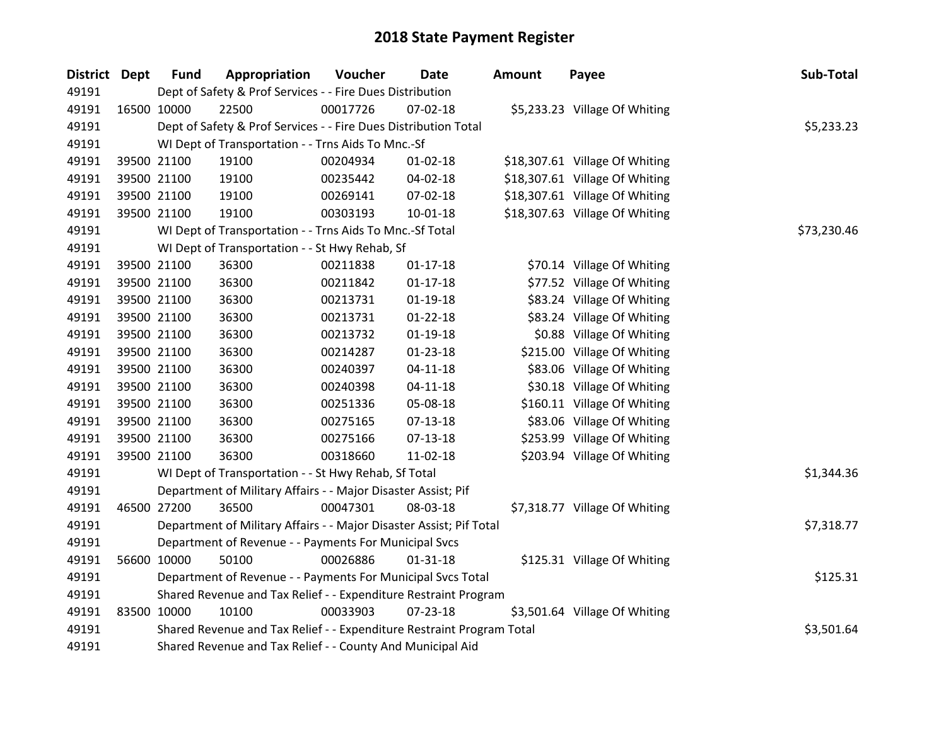| <b>District</b> | <b>Dept</b> | <b>Fund</b>                                                     | Appropriation                                                         | Voucher  | <b>Date</b>    | <b>Amount</b> | Payee                          | Sub-Total   |  |
|-----------------|-------------|-----------------------------------------------------------------|-----------------------------------------------------------------------|----------|----------------|---------------|--------------------------------|-------------|--|
| 49191           |             |                                                                 | Dept of Safety & Prof Services - - Fire Dues Distribution             |          |                |               |                                |             |  |
| 49191           |             | 16500 10000                                                     | 22500                                                                 | 00017726 | 07-02-18       |               | \$5,233.23 Village Of Whiting  |             |  |
| 49191           |             |                                                                 | Dept of Safety & Prof Services - - Fire Dues Distribution Total       |          |                |               |                                | \$5,233.23  |  |
| 49191           |             |                                                                 | WI Dept of Transportation - - Trns Aids To Mnc.-Sf                    |          |                |               |                                |             |  |
| 49191           |             | 39500 21100                                                     | 19100                                                                 | 00204934 | $01 - 02 - 18$ |               | \$18,307.61 Village Of Whiting |             |  |
| 49191           |             | 39500 21100                                                     | 19100                                                                 | 00235442 | 04-02-18       |               | \$18,307.61 Village Of Whiting |             |  |
| 49191           |             | 39500 21100                                                     | 19100                                                                 | 00269141 | 07-02-18       |               | \$18,307.61 Village Of Whiting |             |  |
| 49191           |             | 39500 21100                                                     | 19100                                                                 | 00303193 | 10-01-18       |               | \$18,307.63 Village Of Whiting |             |  |
| 49191           |             |                                                                 | WI Dept of Transportation - - Trns Aids To Mnc.-Sf Total              |          |                |               |                                | \$73,230.46 |  |
| 49191           |             |                                                                 | WI Dept of Transportation - - St Hwy Rehab, Sf                        |          |                |               |                                |             |  |
| 49191           |             | 39500 21100                                                     | 36300                                                                 | 00211838 | $01 - 17 - 18$ |               | \$70.14 Village Of Whiting     |             |  |
| 49191           |             | 39500 21100                                                     | 36300                                                                 | 00211842 | $01 - 17 - 18$ |               | \$77.52 Village Of Whiting     |             |  |
| 49191           |             | 39500 21100                                                     | 36300                                                                 | 00213731 | $01-19-18$     |               | \$83.24 Village Of Whiting     |             |  |
| 49191           |             | 39500 21100                                                     | 36300                                                                 | 00213731 | $01 - 22 - 18$ |               | \$83.24 Village Of Whiting     |             |  |
| 49191           |             | 39500 21100                                                     | 36300                                                                 | 00213732 | $01-19-18$     |               | \$0.88 Village Of Whiting      |             |  |
| 49191           |             | 39500 21100                                                     | 36300                                                                 | 00214287 | $01 - 23 - 18$ |               | \$215.00 Village Of Whiting    |             |  |
| 49191           |             | 39500 21100                                                     | 36300                                                                 | 00240397 | $04 - 11 - 18$ |               | \$83.06 Village Of Whiting     |             |  |
| 49191           |             | 39500 21100                                                     | 36300                                                                 | 00240398 | $04 - 11 - 18$ |               | \$30.18 Village Of Whiting     |             |  |
| 49191           |             | 39500 21100                                                     | 36300                                                                 | 00251336 | 05-08-18       |               | \$160.11 Village Of Whiting    |             |  |
| 49191           |             | 39500 21100                                                     | 36300                                                                 | 00275165 | 07-13-18       |               | \$83.06 Village Of Whiting     |             |  |
| 49191           |             | 39500 21100                                                     | 36300                                                                 | 00275166 | $07-13-18$     |               | \$253.99 Village Of Whiting    |             |  |
| 49191           |             | 39500 21100                                                     | 36300                                                                 | 00318660 | 11-02-18       |               | \$203.94 Village Of Whiting    |             |  |
| 49191           |             |                                                                 | WI Dept of Transportation - - St Hwy Rehab, Sf Total                  |          |                |               |                                | \$1,344.36  |  |
| 49191           |             |                                                                 | Department of Military Affairs - - Major Disaster Assist; Pif         |          |                |               |                                |             |  |
| 49191           |             | 46500 27200                                                     | 36500                                                                 | 00047301 | 08-03-18       |               | \$7,318.77 Village Of Whiting  |             |  |
| 49191           |             |                                                                 | Department of Military Affairs - - Major Disaster Assist; Pif Total   |          |                |               |                                | \$7,318.77  |  |
| 49191           |             |                                                                 | Department of Revenue - - Payments For Municipal Svcs                 |          |                |               |                                |             |  |
| 49191           |             | 56600 10000                                                     | 50100                                                                 | 00026886 | $01 - 31 - 18$ |               | \$125.31 Village Of Whiting    |             |  |
| 49191           |             |                                                                 | Department of Revenue - - Payments For Municipal Svcs Total           |          |                |               |                                | \$125.31    |  |
| 49191           |             | Shared Revenue and Tax Relief - - Expenditure Restraint Program |                                                                       |          |                |               |                                |             |  |
| 49191           | 83500 10000 |                                                                 | 10100                                                                 | 00033903 | $07 - 23 - 18$ |               | \$3,501.64 Village Of Whiting  |             |  |
| 49191           |             |                                                                 | Shared Revenue and Tax Relief - - Expenditure Restraint Program Total |          |                |               |                                | \$3,501.64  |  |
| 49191           |             |                                                                 | Shared Revenue and Tax Relief - - County And Municipal Aid            |          |                |               |                                |             |  |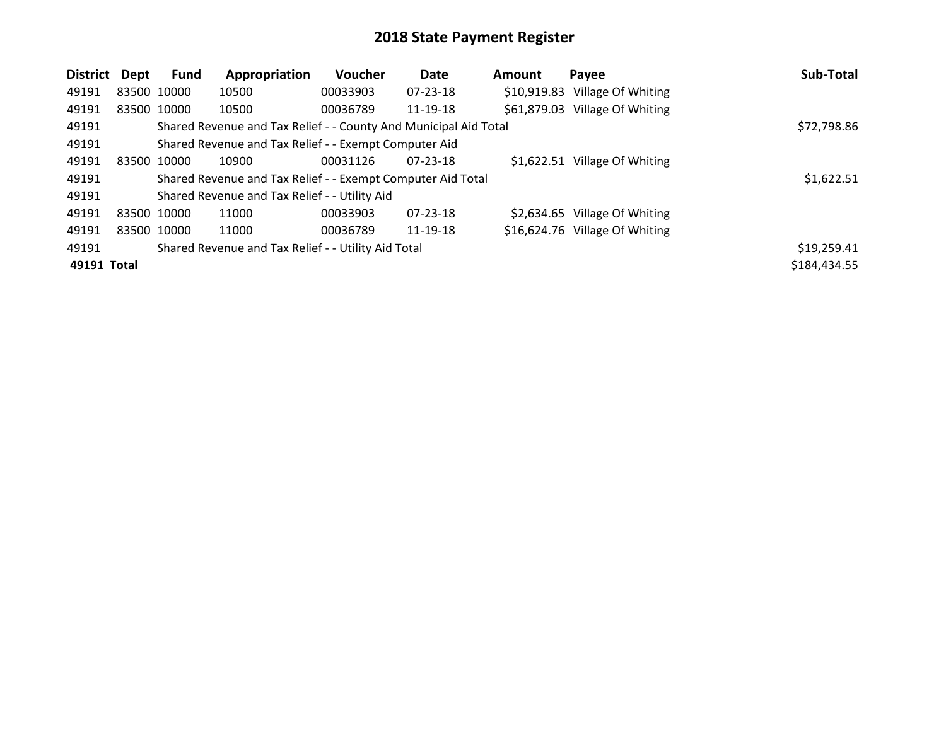| District Dept | Fund        | Appropriation                                                    | <b>Voucher</b> | Date           | <b>Amount</b> | Payee                          | Sub-Total    |
|---------------|-------------|------------------------------------------------------------------|----------------|----------------|---------------|--------------------------------|--------------|
| 49191         | 83500 10000 | 10500                                                            | 00033903       | $07 - 23 - 18$ |               | \$10,919.83 Village Of Whiting |              |
| 49191         | 83500 10000 | 10500                                                            | 00036789       | 11-19-18       |               | \$61,879.03 Village Of Whiting |              |
| 49191         |             | Shared Revenue and Tax Relief - - County And Municipal Aid Total |                |                |               |                                | \$72,798.86  |
| 49191         |             | Shared Revenue and Tax Relief - - Exempt Computer Aid            |                |                |               |                                |              |
| 49191         | 83500 10000 | 10900                                                            | 00031126       | 07-23-18       |               | \$1,622.51 Village Of Whiting  |              |
| 49191         |             | Shared Revenue and Tax Relief - - Exempt Computer Aid Total      |                |                |               |                                | \$1,622.51   |
| 49191         |             | Shared Revenue and Tax Relief - - Utility Aid                    |                |                |               |                                |              |
| 49191         | 83500 10000 | 11000                                                            | 00033903       | 07-23-18       |               | \$2,634.65 Village Of Whiting  |              |
| 49191         | 83500 10000 | 11000                                                            | 00036789       | 11-19-18       |               | \$16,624.76 Village Of Whiting |              |
| 49191         |             | Shared Revenue and Tax Relief - - Utility Aid Total              |                |                |               |                                | \$19,259.41  |
| 49191 Total   |             |                                                                  |                |                |               |                                | \$184,434.55 |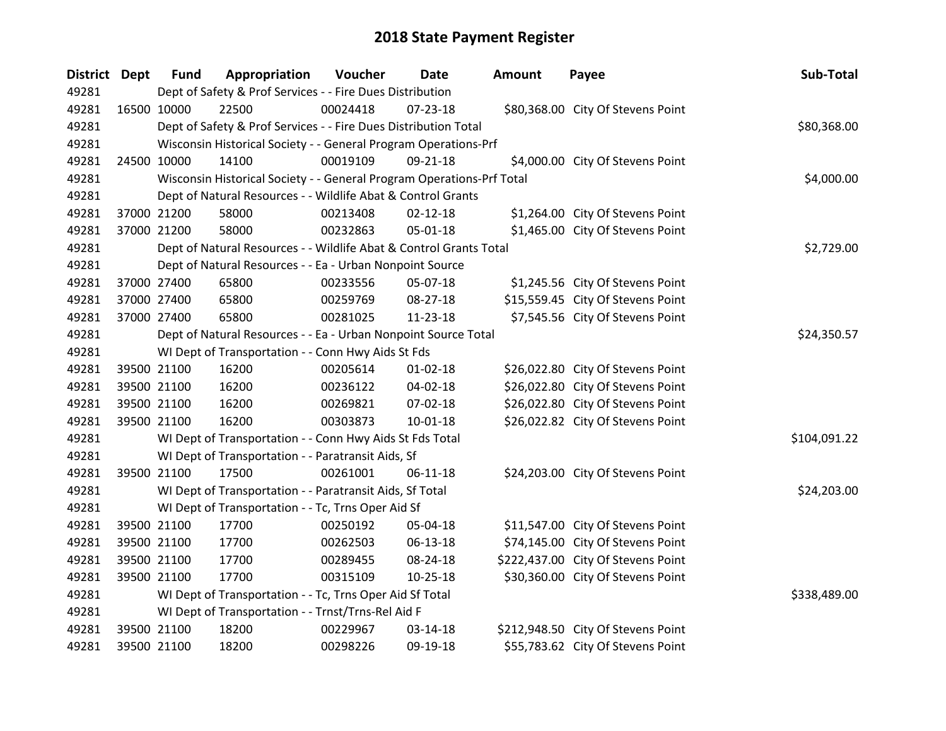| <b>District Dept</b> | <b>Fund</b>                                               | Appropriation                                                         | Voucher  | Date           | Amount | Payee                              | Sub-Total    |
|----------------------|-----------------------------------------------------------|-----------------------------------------------------------------------|----------|----------------|--------|------------------------------------|--------------|
| 49281                | Dept of Safety & Prof Services - - Fire Dues Distribution |                                                                       |          |                |        |                                    |              |
| 49281                | 16500 10000                                               | 22500                                                                 | 00024418 | 07-23-18       |        | \$80,368.00 City Of Stevens Point  |              |
| 49281                |                                                           | Dept of Safety & Prof Services - - Fire Dues Distribution Total       |          |                |        |                                    | \$80,368.00  |
| 49281                |                                                           | Wisconsin Historical Society - - General Program Operations-Prf       |          |                |        |                                    |              |
| 49281                | 24500 10000                                               | 14100                                                                 | 00019109 | 09-21-18       |        | \$4,000.00 City Of Stevens Point   |              |
| 49281                |                                                           | Wisconsin Historical Society - - General Program Operations-Prf Total |          |                |        |                                    | \$4,000.00   |
| 49281                |                                                           | Dept of Natural Resources - - Wildlife Abat & Control Grants          |          |                |        |                                    |              |
| 49281                | 37000 21200                                               | 58000                                                                 | 00213408 | $02 - 12 - 18$ |        | \$1,264.00 City Of Stevens Point   |              |
| 49281                | 37000 21200                                               | 58000                                                                 | 00232863 | 05-01-18       |        | \$1,465.00 City Of Stevens Point   |              |
| 49281                |                                                           | Dept of Natural Resources - - Wildlife Abat & Control Grants Total    |          |                |        |                                    | \$2,729.00   |
| 49281                |                                                           | Dept of Natural Resources - - Ea - Urban Nonpoint Source              |          |                |        |                                    |              |
| 49281                | 37000 27400                                               | 65800                                                                 | 00233556 | 05-07-18       |        | \$1,245.56 City Of Stevens Point   |              |
| 49281                | 37000 27400                                               | 65800                                                                 | 00259769 | 08-27-18       |        | \$15,559.45 City Of Stevens Point  |              |
| 49281                | 37000 27400                                               | 65800                                                                 | 00281025 | 11-23-18       |        | \$7,545.56 City Of Stevens Point   |              |
| 49281                |                                                           | Dept of Natural Resources - - Ea - Urban Nonpoint Source Total        |          |                |        |                                    | \$24,350.57  |
| 49281                |                                                           | WI Dept of Transportation - - Conn Hwy Aids St Fds                    |          |                |        |                                    |              |
| 49281                | 39500 21100                                               | 16200                                                                 | 00205614 | $01 - 02 - 18$ |        | \$26,022.80 City Of Stevens Point  |              |
| 49281                | 39500 21100                                               | 16200                                                                 | 00236122 | 04-02-18       |        | \$26,022.80 City Of Stevens Point  |              |
| 49281                | 39500 21100                                               | 16200                                                                 | 00269821 | 07-02-18       |        | \$26,022.80 City Of Stevens Point  |              |
| 49281                | 39500 21100                                               | 16200                                                                 | 00303873 | 10-01-18       |        | \$26,022.82 City Of Stevens Point  |              |
| 49281                |                                                           | WI Dept of Transportation - - Conn Hwy Aids St Fds Total              |          |                |        |                                    | \$104,091.22 |
| 49281                |                                                           | WI Dept of Transportation - - Paratransit Aids, Sf                    |          |                |        |                                    |              |
| 49281                | 39500 21100                                               | 17500                                                                 | 00261001 | $06-11-18$     |        | \$24,203.00 City Of Stevens Point  |              |
| 49281                |                                                           | WI Dept of Transportation - - Paratransit Aids, Sf Total              |          |                |        |                                    | \$24,203.00  |
| 49281                |                                                           | WI Dept of Transportation - - Tc, Trns Oper Aid Sf                    |          |                |        |                                    |              |
| 49281                | 39500 21100                                               | 17700                                                                 | 00250192 | 05-04-18       |        | \$11,547.00 City Of Stevens Point  |              |
| 49281                | 39500 21100                                               | 17700                                                                 | 00262503 | 06-13-18       |        | \$74,145.00 City Of Stevens Point  |              |
| 49281                | 39500 21100                                               | 17700                                                                 | 00289455 | 08-24-18       |        | \$222,437.00 City Of Stevens Point |              |
| 49281                | 39500 21100                                               | 17700                                                                 | 00315109 | $10 - 25 - 18$ |        | \$30,360.00 City Of Stevens Point  |              |
| 49281                |                                                           | WI Dept of Transportation - - Tc, Trns Oper Aid Sf Total              |          |                |        |                                    | \$338,489.00 |
| 49281                |                                                           | WI Dept of Transportation - - Trnst/Trns-Rel Aid F                    |          |                |        |                                    |              |
| 49281                | 39500 21100                                               | 18200                                                                 | 00229967 | 03-14-18       |        | \$212,948.50 City Of Stevens Point |              |
| 49281                | 39500 21100                                               | 18200                                                                 | 00298226 | 09-19-18       |        | \$55,783.62 City Of Stevens Point  |              |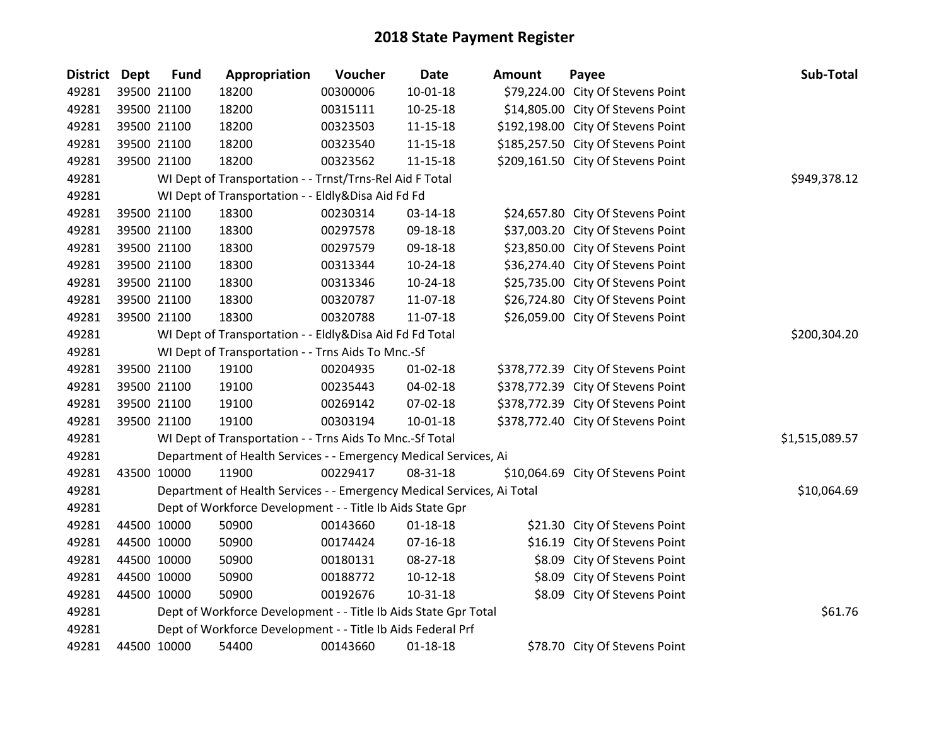| <b>District</b> | Dept | <b>Fund</b>                                              | Appropriation                                                          | Voucher  | <b>Date</b>    | Amount | Payee                              | Sub-Total      |
|-----------------|------|----------------------------------------------------------|------------------------------------------------------------------------|----------|----------------|--------|------------------------------------|----------------|
| 49281           |      | 39500 21100                                              | 18200                                                                  | 00300006 | $10 - 01 - 18$ |        | \$79,224.00 City Of Stevens Point  |                |
| 49281           |      | 39500 21100                                              | 18200                                                                  | 00315111 | 10-25-18       |        | \$14,805.00 City Of Stevens Point  |                |
| 49281           |      | 39500 21100                                              | 18200                                                                  | 00323503 | 11-15-18       |        | \$192,198.00 City Of Stevens Point |                |
| 49281           |      | 39500 21100                                              | 18200                                                                  | 00323540 | 11-15-18       |        | \$185,257.50 City Of Stevens Point |                |
| 49281           |      | 39500 21100                                              | 18200                                                                  | 00323562 | $11 - 15 - 18$ |        | \$209,161.50 City Of Stevens Point |                |
| 49281           |      |                                                          | WI Dept of Transportation - - Trnst/Trns-Rel Aid F Total               |          |                |        |                                    | \$949,378.12   |
| 49281           |      |                                                          | WI Dept of Transportation - - Eldly&Disa Aid Fd Fd                     |          |                |        |                                    |                |
| 49281           |      | 39500 21100                                              | 18300                                                                  | 00230314 | 03-14-18       |        | \$24,657.80 City Of Stevens Point  |                |
| 49281           |      | 39500 21100                                              | 18300                                                                  | 00297578 | 09-18-18       |        | \$37,003.20 City Of Stevens Point  |                |
| 49281           |      | 39500 21100                                              | 18300                                                                  | 00297579 | 09-18-18       |        | \$23,850.00 City Of Stevens Point  |                |
| 49281           |      | 39500 21100                                              | 18300                                                                  | 00313344 | $10-24-18$     |        | \$36,274.40 City Of Stevens Point  |                |
| 49281           |      | 39500 21100                                              | 18300                                                                  | 00313346 | 10-24-18       |        | \$25,735.00 City Of Stevens Point  |                |
| 49281           |      | 39500 21100                                              | 18300                                                                  | 00320787 | 11-07-18       |        | \$26,724.80 City Of Stevens Point  |                |
| 49281           |      | 39500 21100                                              | 18300                                                                  | 00320788 | 11-07-18       |        | \$26,059.00 City Of Stevens Point  |                |
| 49281           |      | WI Dept of Transportation - - Eldly&Disa Aid Fd Fd Total | \$200,304.20                                                           |          |                |        |                                    |                |
| 49281           |      |                                                          | WI Dept of Transportation - - Trns Aids To Mnc.-Sf                     |          |                |        |                                    |                |
| 49281           |      | 39500 21100                                              | 19100                                                                  | 00204935 | $01 - 02 - 18$ |        | \$378,772.39 City Of Stevens Point |                |
| 49281           |      | 39500 21100                                              | 19100                                                                  | 00235443 | 04-02-18       |        | \$378,772.39 City Of Stevens Point |                |
| 49281           |      | 39500 21100                                              | 19100                                                                  | 00269142 | 07-02-18       |        | \$378,772.39 City Of Stevens Point |                |
| 49281           |      | 39500 21100                                              | 19100                                                                  | 00303194 | $10 - 01 - 18$ |        | \$378,772.40 City Of Stevens Point |                |
| 49281           |      |                                                          | WI Dept of Transportation - - Trns Aids To Mnc.-Sf Total               |          |                |        |                                    | \$1,515,089.57 |
| 49281           |      |                                                          | Department of Health Services - - Emergency Medical Services, Ai       |          |                |        |                                    |                |
| 49281           |      | 43500 10000                                              | 11900                                                                  | 00229417 | 08-31-18       |        | \$10,064.69 City Of Stevens Point  |                |
| 49281           |      |                                                          | Department of Health Services - - Emergency Medical Services, Ai Total |          |                |        |                                    | \$10,064.69    |
| 49281           |      |                                                          | Dept of Workforce Development - - Title Ib Aids State Gpr              |          |                |        |                                    |                |
| 49281           |      | 44500 10000                                              | 50900                                                                  | 00143660 | $01 - 18 - 18$ |        | \$21.30 City Of Stevens Point      |                |
| 49281           |      | 44500 10000                                              | 50900                                                                  | 00174424 | $07 - 16 - 18$ |        | \$16.19 City Of Stevens Point      |                |
| 49281           |      | 44500 10000                                              | 50900                                                                  | 00180131 | 08-27-18       |        | \$8.09 City Of Stevens Point       |                |
| 49281           |      | 44500 10000                                              | 50900                                                                  | 00188772 | $10-12-18$     |        | \$8.09 City Of Stevens Point       |                |
| 49281           |      | 44500 10000                                              | 50900                                                                  | 00192676 | 10-31-18       |        | \$8.09 City Of Stevens Point       |                |
| 49281           |      |                                                          | Dept of Workforce Development - - Title Ib Aids State Gpr Total        |          |                |        |                                    | \$61.76        |
| 49281           |      |                                                          | Dept of Workforce Development - - Title Ib Aids Federal Prf            |          |                |        |                                    |                |
| 49281           |      | 44500 10000                                              | 54400                                                                  | 00143660 | $01 - 18 - 18$ |        | \$78.70 City Of Stevens Point      |                |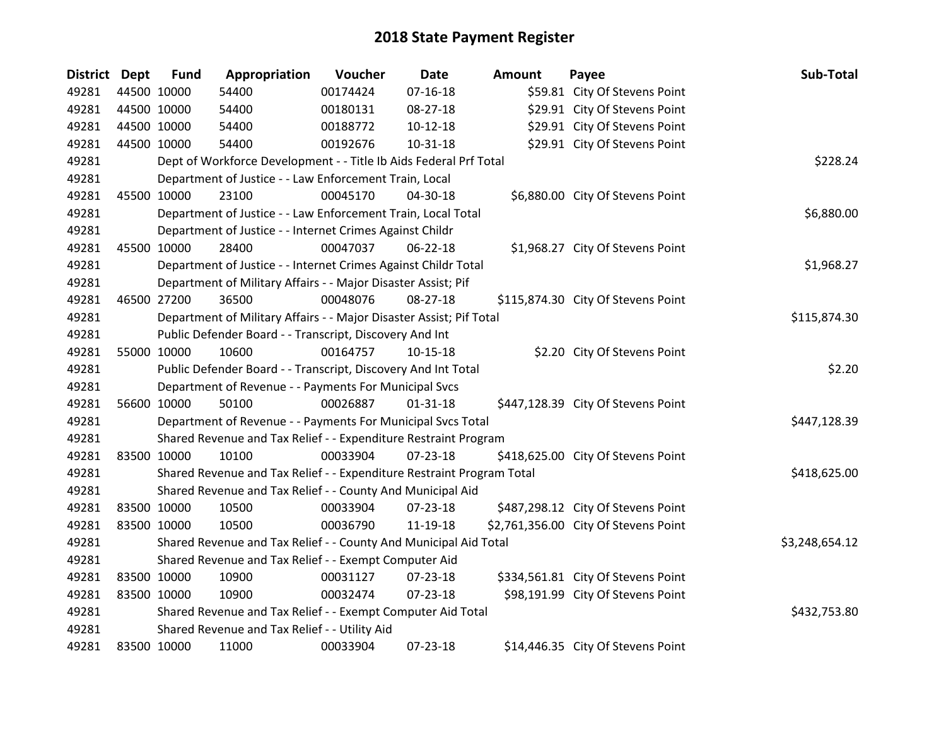| <b>District Dept</b> | <b>Fund</b> | Appropriation                                                         | Voucher  | <b>Date</b>    | <b>Amount</b> | Payee                                | Sub-Total      |
|----------------------|-------------|-----------------------------------------------------------------------|----------|----------------|---------------|--------------------------------------|----------------|
| 49281                | 44500 10000 | 54400                                                                 | 00174424 | $07 - 16 - 18$ |               | \$59.81 City Of Stevens Point        |                |
| 49281                | 44500 10000 | 54400                                                                 | 00180131 | 08-27-18       |               | \$29.91 City Of Stevens Point        |                |
| 49281                | 44500 10000 | 54400                                                                 | 00188772 | $10-12-18$     |               | \$29.91 City Of Stevens Point        |                |
| 49281                | 44500 10000 | 54400                                                                 | 00192676 | 10-31-18       |               | \$29.91 City Of Stevens Point        |                |
| 49281                |             | Dept of Workforce Development - - Title Ib Aids Federal Prf Total     |          |                |               |                                      | \$228.24       |
| 49281                |             | Department of Justice - - Law Enforcement Train, Local                |          |                |               |                                      |                |
| 49281                | 45500 10000 | 23100                                                                 | 00045170 | 04-30-18       |               | \$6,880.00 City Of Stevens Point     |                |
| 49281                |             | Department of Justice - - Law Enforcement Train, Local Total          |          |                |               |                                      | \$6,880.00     |
| 49281                |             | Department of Justice - - Internet Crimes Against Childr              |          |                |               |                                      |                |
| 49281                | 45500 10000 | 28400                                                                 | 00047037 | $06 - 22 - 18$ |               | \$1,968.27 City Of Stevens Point     |                |
| 49281                |             | Department of Justice - - Internet Crimes Against Childr Total        |          |                |               |                                      | \$1,968.27     |
| 49281                |             | Department of Military Affairs - - Major Disaster Assist; Pif         |          |                |               |                                      |                |
| 49281                | 46500 27200 | 36500                                                                 | 00048076 | 08-27-18       |               | \$115,874.30 City Of Stevens Point   |                |
| 49281                |             | Department of Military Affairs - - Major Disaster Assist; Pif Total   |          |                |               |                                      | \$115,874.30   |
| 49281                |             | Public Defender Board - - Transcript, Discovery And Int               |          |                |               |                                      |                |
| 49281                | 55000 10000 | 10600                                                                 | 00164757 | 10-15-18       |               | \$2.20 City Of Stevens Point         |                |
| 49281                |             | Public Defender Board - - Transcript, Discovery And Int Total         |          |                |               |                                      | \$2.20         |
| 49281                |             | Department of Revenue - - Payments For Municipal Svcs                 |          |                |               |                                      |                |
| 49281                | 56600 10000 | 50100                                                                 | 00026887 | $01 - 31 - 18$ |               | \$447,128.39 City Of Stevens Point   |                |
| 49281                |             | Department of Revenue - - Payments For Municipal Svcs Total           |          |                |               |                                      | \$447,128.39   |
| 49281                |             | Shared Revenue and Tax Relief - - Expenditure Restraint Program       |          |                |               |                                      |                |
| 49281                | 83500 10000 | 10100                                                                 | 00033904 | $07 - 23 - 18$ |               | \$418,625.00 City Of Stevens Point   |                |
| 49281                |             | Shared Revenue and Tax Relief - - Expenditure Restraint Program Total |          |                |               |                                      | \$418,625.00   |
| 49281                |             | Shared Revenue and Tax Relief - - County And Municipal Aid            |          |                |               |                                      |                |
| 49281                | 83500 10000 | 10500                                                                 | 00033904 | $07 - 23 - 18$ |               | \$487,298.12 City Of Stevens Point   |                |
| 49281                | 83500 10000 | 10500                                                                 | 00036790 | 11-19-18       |               | \$2,761,356.00 City Of Stevens Point |                |
| 49281                |             | Shared Revenue and Tax Relief - - County And Municipal Aid Total      |          |                |               |                                      | \$3,248,654.12 |
| 49281                |             | Shared Revenue and Tax Relief - - Exempt Computer Aid                 |          |                |               |                                      |                |
| 49281                | 83500 10000 | 10900                                                                 | 00031127 | 07-23-18       |               | \$334,561.81 City Of Stevens Point   |                |
| 49281                | 83500 10000 | 10900                                                                 | 00032474 | 07-23-18       |               | \$98,191.99 City Of Stevens Point    |                |
| 49281                |             | Shared Revenue and Tax Relief - - Exempt Computer Aid Total           |          |                |               |                                      | \$432,753.80   |
| 49281                |             | Shared Revenue and Tax Relief - - Utility Aid                         |          |                |               |                                      |                |
| 49281                | 83500 10000 | 11000                                                                 | 00033904 | 07-23-18       |               | \$14,446.35 City Of Stevens Point    |                |